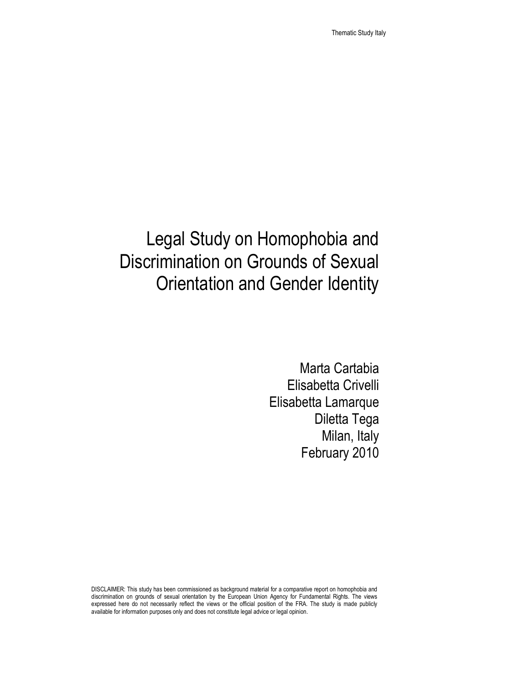# Legal Study on Homophobia and Discrimination on Grounds of Sexual Orientation and Gender Identity

Marta Cartabia Elisabetta Crivelli Elisabetta Lamarque Diletta Tega Milan, Italy February 2010

DISCLAIMER: This study has been commissioned as background material for a comparative report on homophobia and discrimination on grounds of sexual orientation by the European Union Agency for Fundamental Rights. The views expressed here do not necessarily reflect the views or the official position of the FRA. The study is made publicly available for information purposes only and does not constitute legal advice or legal opinion.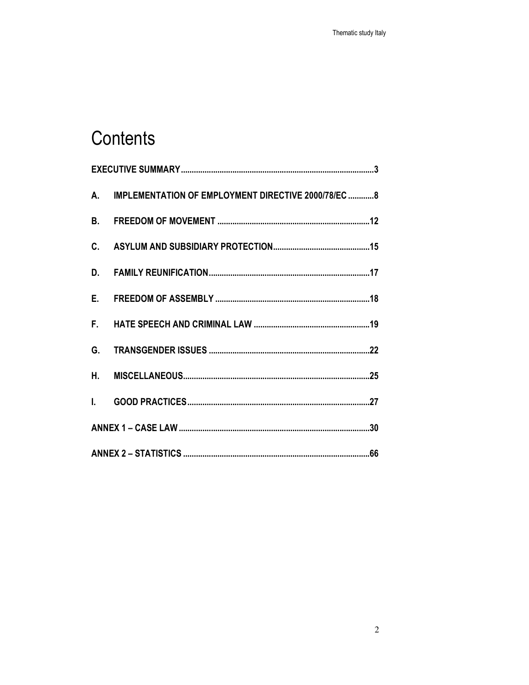# Contents

|  | A. IMPLEMENTATION OF EMPLOYMENT DIRECTIVE 2000/78/EC  8 |
|--|---------------------------------------------------------|
|  |                                                         |
|  |                                                         |
|  |                                                         |
|  |                                                         |
|  |                                                         |
|  |                                                         |
|  |                                                         |
|  |                                                         |
|  |                                                         |
|  |                                                         |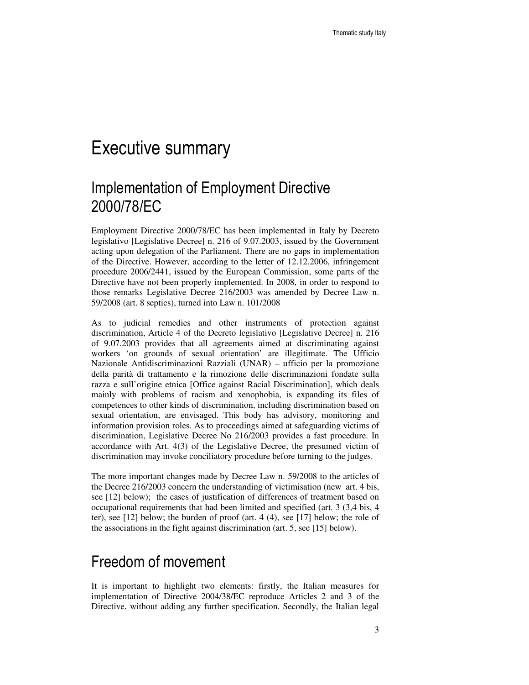### Executive summary

#### Implementation of Employment Directive 2000/78/EC

Employment Directive 2000/78/EC has been implemented in Italy by Decreto legislativo [Legislative Decree] n. 216 of 9.07.2003, issued by the Government acting upon delegation of the Parliament. There are no gaps in implementation of the Directive. However, according to the letter of 12.12.2006, infringement procedure 2006/2441, issued by the European Commission, some parts of the Directive have not been properly implemented. In 2008, in order to respond to those remarks Legislative Decree 216/2003 was amended by Decree Law n. 59/2008 (art. 8 septies), turned into Law n. 101/2008

As to judicial remedies and other instruments of protection against discrimination, Article 4 of the Decreto legislativo [Legislative Decree] n. 216 of 9.07.2003 provides that all agreements aimed at discriminating against workers 'on grounds of sexual orientation' are illegitimate. The Ufficio Nazionale Antidiscriminazioni Razziali (UNAR) – ufficio per la promozione della parità di trattamento e la rimozione delle discriminazioni fondate sulla razza e sull'origine etnica [Office against Racial Discrimination], which deals mainly with problems of racism and xenophobia, is expanding its files of competences to other kinds of discrimination, including discrimination based on sexual orientation, are envisaged. This body has advisory, monitoring and information provision roles. As to proceedings aimed at safeguarding victims of discrimination, Legislative Decree No 216/2003 provides a fast procedure. In accordance with Art. 4(3) of the Legislative Decree, the presumed victim of discrimination may invoke conciliatory procedure before turning to the judges.

The more important changes made by Decree Law n. 59/2008 to the articles of the Decree 216/2003 concern the understanding of victimisation (new art. 4 bis, see [12] below); the cases of justification of differences of treatment based on occupational requirements that had been limited and specified (art. 3 (3,4 bis, 4 ter), see [12] below; the burden of proof (art. 4 (4), see [17] below; the role of the associations in the fight against discrimination (art. 5, see [15] below).

#### Freedom of movement

It is important to highlight two elements: firstly, the Italian measures for implementation of Directive 2004/38/EC reproduce Articles 2 and 3 of the Directive, without adding any further specification. Secondly, the Italian legal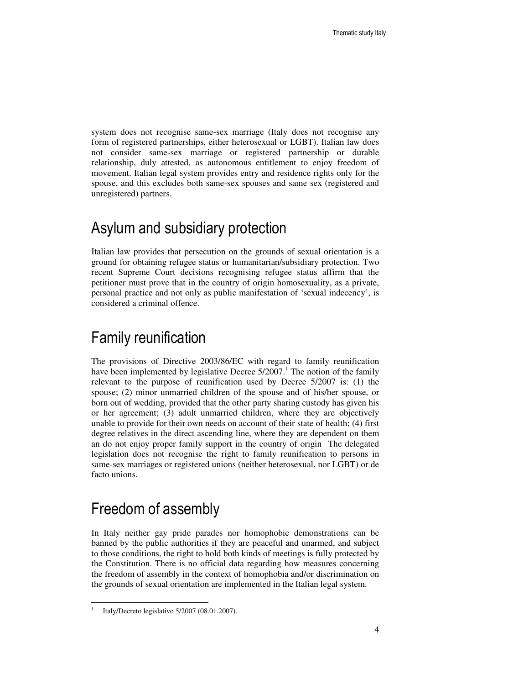system does not recognise same-sex marriage (Italy does not recognise any form of registered partnerships, either heterosexual or LGBT). Italian law does not consider same-sex marriage or registered partnership or durable relationship, duly attested, as autonomous entitlement to enjoy freedom of movement. Italian legal system provides entry and residence rights only for the spouse, and this excludes both same-sex spouses and same sex (registered and unregistered) partners.

#### Asylum and subsidiary protection

Italian law provides that persecution on the grounds of sexual orientation is a ground for obtaining refugee status or humanitarian/subsidiary protection. Two recent Supreme Court decisions recognising refugee status affirm that the petitioner must prove that in the country of origin homosexuality, as a private, personal practice and not only as public manifestation of 'sexual indecency', is considered a criminal offence.

### Family reunification

The provisions of Directive 2003/86/EC with regard to family reunification have been implemented by legislative Decree  $5/2007$ .<sup>1</sup> The notion of the family relevant to the purpose of reunification used by Decree 5/2007 is: (1) the spouse; (2) minor unmarried children of the spouse and of his/her spouse, or born out of wedding, provided that the other party sharing custody has given his or her agreement; (3) adult unmarried children, where they are objectively unable to provide for their own needs on account of their state of health; (4) first degree relatives in the direct ascending line, where they are dependent on them an do not enjoy proper family support in the country of origin The delegated legislation does not recognise the right to family reunification to persons in same-sex marriages or registered unions (neither heterosexual, nor LGBT) or de facto unions.

#### Freedom of assembly

In Italy neither gay pride parades nor homophobic demonstrations can be banned by the public authorities if they are peaceful and unarmed, and subject to those conditions, the right to hold both kinds of meetings is fully protected by the Constitution. There is no official data regarding how measures concerning the freedom of assembly in the context of homophobia and/or discrimination on the grounds of sexual orientation are implemented in the Italian legal system.

-

<sup>1</sup> Italy/Decreto legislativo 5/2007 (08.01.2007).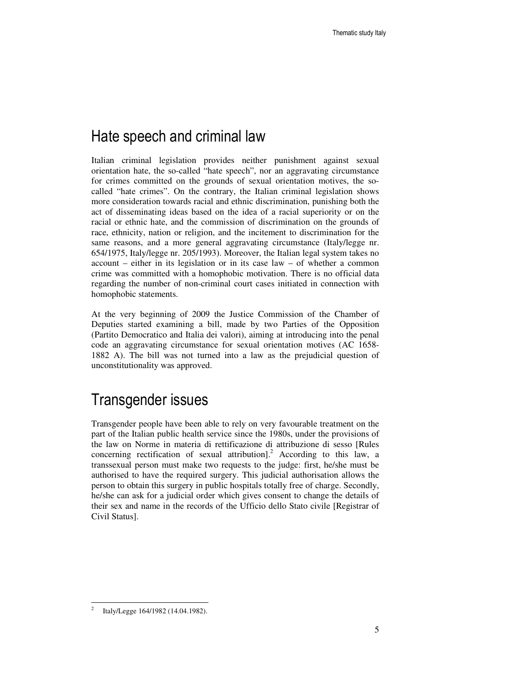#### Hate speech and criminal law

Italian criminal legislation provides neither punishment against sexual orientation hate, the so-called "hate speech", nor an aggravating circumstance for crimes committed on the grounds of sexual orientation motives, the socalled "hate crimes". On the contrary, the Italian criminal legislation shows more consideration towards racial and ethnic discrimination, punishing both the act of disseminating ideas based on the idea of a racial superiority or on the racial or ethnic hate, and the commission of discrimination on the grounds of race, ethnicity, nation or religion, and the incitement to discrimination for the same reasons, and a more general aggravating circumstance (Italy/legge nr. 654/1975, Italy/legge nr. 205/1993). Moreover, the Italian legal system takes no account – either in its legislation or in its case law – of whether a common crime was committed with a homophobic motivation. There is no official data regarding the number of non-criminal court cases initiated in connection with homophobic statements.

At the very beginning of 2009 the Justice Commission of the Chamber of Deputies started examining a bill, made by two Parties of the Opposition (Partito Democratico and Italia dei valori), aiming at introducing into the penal code an aggravating circumstance for sexual orientation motives (AC 1658- 1882 A). The bill was not turned into a law as the prejudicial question of unconstitutionality was approved.

#### Transgender issues

Transgender people have been able to rely on very favourable treatment on the part of the Italian public health service since the 1980s, under the provisions of the law on Norme in materia di rettificazione di attribuzione di sesso [Rules concerning rectification of sexual attribution].<sup>2</sup> According to this law, a transsexual person must make two requests to the judge: first, he/she must be authorised to have the required surgery. This judicial authorisation allows the person to obtain this surgery in public hospitals totally free of charge. Secondly, he/she can ask for a judicial order which gives consent to change the details of their sex and name in the records of the Ufficio dello Stato civile [Registrar of Civil Status].

-

<sup>2</sup> Italy/Legge 164/1982 (14.04.1982).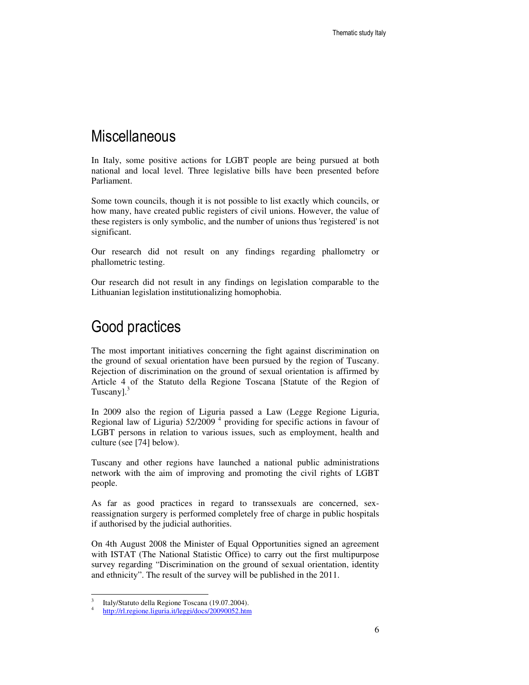#### **Miscellaneous**

In Italy, some positive actions for LGBT people are being pursued at both national and local level. Three legislative bills have been presented before Parliament.

Some town councils, though it is not possible to list exactly which councils, or how many, have created public registers of civil unions. However, the value of these registers is only symbolic, and the number of unions thus 'registered' is not significant.

Our research did not result on any findings regarding phallometry or phallometric testing.

Our research did not result in any findings on legislation comparable to the Lithuanian legislation institutionalizing homophobia.

#### Good practices

The most important initiatives concerning the fight against discrimination on the ground of sexual orientation have been pursued by the region of Tuscany. Rejection of discrimination on the ground of sexual orientation is affirmed by Article 4 of the Statuto della Regione Toscana [Statute of the Region of Tuscany].<sup>3</sup>

In 2009 also the region of Liguria passed a Law (Legge Regione Liguria, Regional law of Liguria)  $52/2009$ <sup>4</sup> providing for specific actions in favour of LGBT persons in relation to various issues, such as employment, health and culture (see [74] below).

Tuscany and other regions have launched a national public administrations network with the aim of improving and promoting the civil rights of LGBT people.

As far as good practices in regard to transsexuals are concerned, sexreassignation surgery is performed completely free of charge in public hospitals if authorised by the judicial authorities.

On 4th August 2008 the Minister of Equal Opportunities signed an agreement with ISTAT (The National Statistic Office) to carry out the first multipurpose survey regarding "Discrimination on the ground of sexual orientation, identity and ethnicity". The result of the survey will be published in the 2011.

<sup>3</sup> Italy/Statuto della Regione Toscana (19.07.2004).

<sup>4</sup> http://rl.regione.liguria.it/leggi/docs/20090052.htm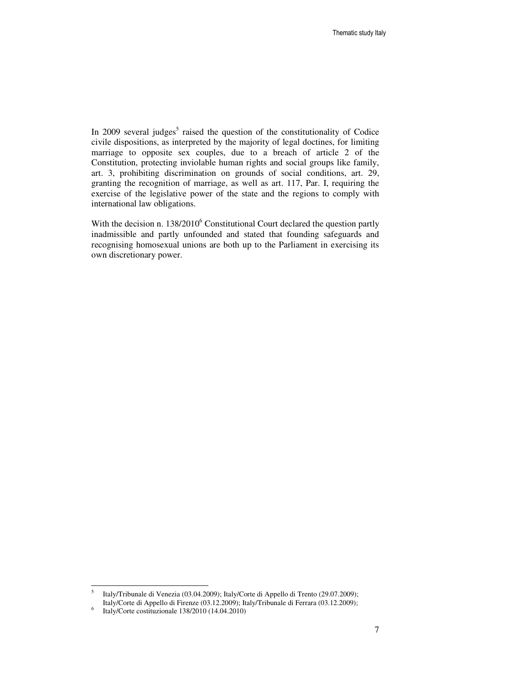In 2009 several judges<sup>5</sup> raised the question of the constitutionality of Codice civile dispositions, as interpreted by the majority of legal doctines, for limiting marriage to opposite sex couples, due to a breach of article 2 of the Constitution, protecting inviolable human rights and social groups like family, art. 3, prohibiting discrimination on grounds of social conditions, art. 29, granting the recognition of marriage, as well as art. 117, Par. I, requiring the exercise of the legislative power of the state and the regions to comply with international law obligations.

With the decision n.  $138/2010^6$  Constitutional Court declared the question partly inadmissible and partly unfounded and stated that founding safeguards and recognising homosexual unions are both up to the Parliament in exercising its own discretionary power.

<sup>5</sup> Italy/Tribunale di Venezia (03.04.2009); Italy/Corte di Appello di Trento (29.07.2009); Italy/Corte di Appello di Firenze (03.12.2009); Italy/Tribunale di Ferrara (03.12.2009);

<sup>6</sup> Italy/Corte costituzionale 138/2010 (14.04.2010)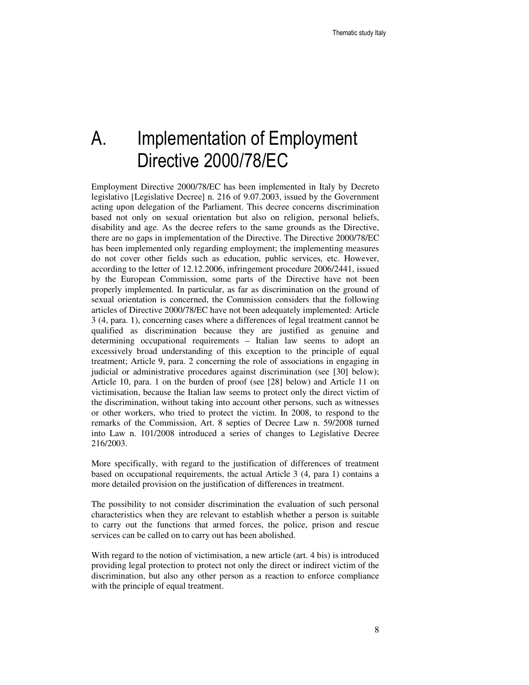# A. Implementation of Employment Directive 2000/78/EC

Employment Directive 2000/78/EC has been implemented in Italy by Decreto legislativo [Legislative Decree] n. 216 of 9.07.2003, issued by the Government acting upon delegation of the Parliament. This decree concerns discrimination based not only on sexual orientation but also on religion, personal beliefs, disability and age. As the decree refers to the same grounds as the Directive, there are no gaps in implementation of the Directive. The Directive 2000/78/EC has been implemented only regarding employment; the implementing measures do not cover other fields such as education, public services, etc. However, according to the letter of 12.12.2006, infringement procedure 2006/2441, issued by the European Commission, some parts of the Directive have not been properly implemented. In particular, as far as discrimination on the ground of sexual orientation is concerned, the Commission considers that the following articles of Directive 2000/78/EC have not been adequately implemented: Article 3 (4, para. 1), concerning cases where a differences of legal treatment cannot be qualified as discrimination because they are justified as genuine and determining occupational requirements – Italian law seems to adopt an excessively broad understanding of this exception to the principle of equal treatment; Article 9, para. 2 concerning the role of associations in engaging in judicial or administrative procedures against discrimination (see [30] below); Article 10, para. 1 on the burden of proof (see [28] below) and Article 11 on victimisation, because the Italian law seems to protect only the direct victim of the discrimination, without taking into account other persons, such as witnesses or other workers, who tried to protect the victim. In 2008, to respond to the remarks of the Commission, Art. 8 septies of Decree Law n. 59/2008 turned into Law n. 101/2008 introduced a series of changes to Legislative Decree 216/2003.

More specifically, with regard to the justification of differences of treatment based on occupational requirements, the actual Article 3 (4, para 1) contains a more detailed provision on the justification of differences in treatment.

The possibility to not consider discrimination the evaluation of such personal characteristics when they are relevant to establish whether a person is suitable to carry out the functions that armed forces, the police, prison and rescue services can be called on to carry out has been abolished.

With regard to the notion of victimisation, a new article (art. 4 bis) is introduced providing legal protection to protect not only the direct or indirect victim of the discrimination, but also any other person as a reaction to enforce compliance with the principle of equal treatment.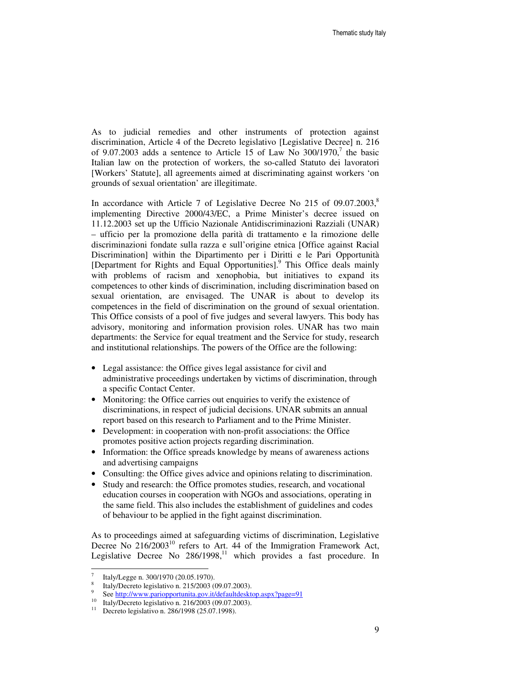As to judicial remedies and other instruments of protection against discrimination, Article 4 of the Decreto legislativo [Legislative Decree] n. 216 of 9.07.2003 adds a sentence to Article  $15$  of Law No 300/1970,<sup>7</sup> the basic Italian law on the protection of workers, the so-called Statuto dei lavoratori [Workers' Statute], all agreements aimed at discriminating against workers 'on grounds of sexual orientation' are illegitimate.

In accordance with Article 7 of Legislative Decree No 215 of  $09.07.2003$ ,<sup>8</sup> implementing Directive 2000/43/EC, a Prime Minister's decree issued on 11.12.2003 set up the Ufficio Nazionale Antidiscriminazioni Razziali (UNAR) – ufficio per la promozione della parità di trattamento e la rimozione delle discriminazioni fondate sulla razza e sull'origine etnica [Office against Racial Discrimination] within the Dipartimento per i Diritti e le Pari Opportunità [Department for Rights and Equal Opportunities].<sup>9</sup> This Office deals mainly with problems of racism and xenophobia, but initiatives to expand its competences to other kinds of discrimination, including discrimination based on sexual orientation, are envisaged. The UNAR is about to develop its competences in the field of discrimination on the ground of sexual orientation. This Office consists of a pool of five judges and several lawyers. This body has advisory, monitoring and information provision roles. UNAR has two main departments: the Service for equal treatment and the Service for study, research and institutional relationships. The powers of the Office are the following:

- Legal assistance: the Office gives legal assistance for civil and administrative proceedings undertaken by victims of discrimination, through a specific Contact Center.
- Monitoring: the Office carries out enquiries to verify the existence of discriminations, in respect of judicial decisions. UNAR submits an annual report based on this research to Parliament and to the Prime Minister.
- Development: in cooperation with non-profit associations: the Office promotes positive action projects regarding discrimination.
- Information: the Office spreads knowledge by means of awareness actions and advertising campaigns
- Consulting: the Office gives advice and opinions relating to discrimination.
- Study and research: the Office promotes studies, research, and vocational education courses in cooperation with NGOs and associations, operating in the same field. This also includes the establishment of guidelines and codes of behaviour to be applied in the fight against discrimination.

As to proceedings aimed at safeguarding victims of discrimination, Legislative Decree No 216/2003<sup>10</sup> refers to Art. 44 of the Immigration Framework Act, Legislative Decree No  $286/1998$ ,<sup>11</sup> which provides a fast procedure. In

<sup>7</sup> Italy/Legge n. 300/1970 (20.05.1970).

<sup>8</sup> Italy/Decreto legislativo n. 215/2003 (09.07.2003).

<sup>9</sup> See http://www.pariopportunita.gov.it/defaultdesktop.aspx?page=91

<sup>&</sup>lt;sup>10</sup> Italy/Decreto legislativo n. 216/2003 (09.07.2003).

<sup>11</sup> Decreto legislativo n. 286/1998 (25.07.1998).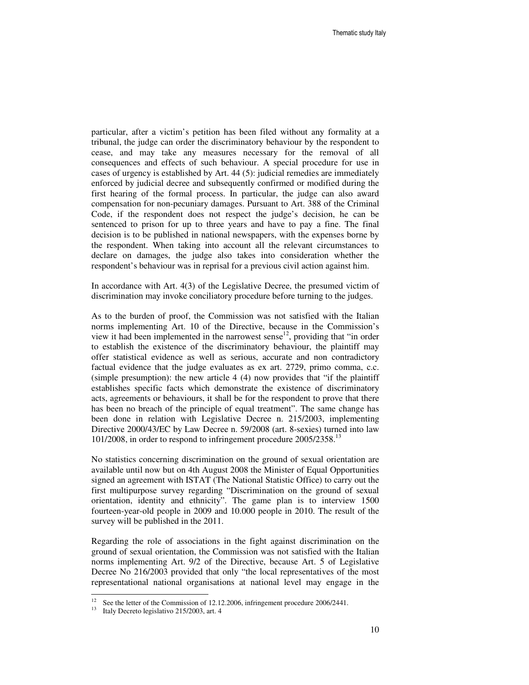particular, after a victim's petition has been filed without any formality at a tribunal, the judge can order the discriminatory behaviour by the respondent to cease, and may take any measures necessary for the removal of all consequences and effects of such behaviour. A special procedure for use in cases of urgency is established by Art. 44 (5): judicial remedies are immediately enforced by judicial decree and subsequently confirmed or modified during the first hearing of the formal process. In particular, the judge can also award compensation for non-pecuniary damages. Pursuant to Art. 388 of the Criminal Code, if the respondent does not respect the judge's decision, he can be sentenced to prison for up to three years and have to pay a fine. The final decision is to be published in national newspapers, with the expenses borne by the respondent. When taking into account all the relevant circumstances to declare on damages, the judge also takes into consideration whether the respondent's behaviour was in reprisal for a previous civil action against him.

In accordance with Art. 4(3) of the Legislative Decree, the presumed victim of discrimination may invoke conciliatory procedure before turning to the judges.

As to the burden of proof, the Commission was not satisfied with the Italian norms implementing Art. 10 of the Directive, because in the Commission's view it had been implemented in the narrowest sense<sup>12</sup>, providing that "in order to establish the existence of the discriminatory behaviour, the plaintiff may offer statistical evidence as well as serious, accurate and non contradictory factual evidence that the judge evaluates as ex art. 2729, primo comma, c.c. (simple presumption): the new article 4 (4) now provides that "if the plaintiff establishes specific facts which demonstrate the existence of discriminatory acts, agreements or behaviours, it shall be for the respondent to prove that there has been no breach of the principle of equal treatment". The same change has been done in relation with Legislative Decree n. 215/2003, implementing Directive 2000/43/EC by Law Decree n. 59/2008 (art. 8-sexies) turned into law 101/2008, in order to respond to infringement procedure 2005/2358.<sup>13</sup>

No statistics concerning discrimination on the ground of sexual orientation are available until now but on 4th August 2008 the Minister of Equal Opportunities signed an agreement with ISTAT (The National Statistic Office) to carry out the first multipurpose survey regarding "Discrimination on the ground of sexual orientation, identity and ethnicity". The game plan is to interview 1500 fourteen-year-old people in 2009 and 10.000 people in 2010. The result of the survey will be published in the 2011.

Regarding the role of associations in the fight against discrimination on the ground of sexual orientation, the Commission was not satisfied with the Italian norms implementing Art. 9/2 of the Directive, because Art. 5 of Legislative Decree No 216/2003 provided that only "the local representatives of the most representational national organisations at national level may engage in the

See the letter of the Commission of 12.12.2006, infringement procedure 2006/2441.

<sup>&</sup>lt;sup>13</sup> Italy Decreto legislativo 215/2003, art. 4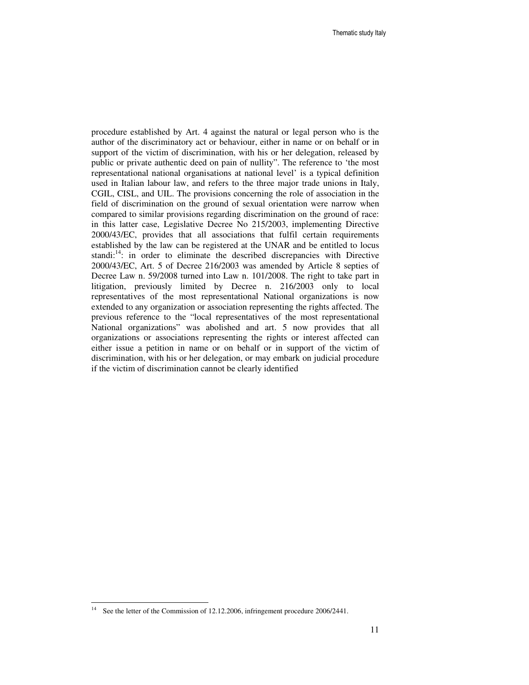procedure established by Art. 4 against the natural or legal person who is the author of the discriminatory act or behaviour, either in name or on behalf or in support of the victim of discrimination, with his or her delegation, released by public or private authentic deed on pain of nullity". The reference to 'the most representational national organisations at national level' is a typical definition used in Italian labour law, and refers to the three major trade unions in Italy, CGIL, CISL, and UIL. The provisions concerning the role of association in the field of discrimination on the ground of sexual orientation were narrow when compared to similar provisions regarding discrimination on the ground of race: in this latter case, Legislative Decree No 215/2003, implementing Directive 2000/43/EC, provides that all associations that fulfil certain requirements established by the law can be registered at the UNAR and be entitled to locus standi: $14$ : in order to eliminate the described discrepancies with Directive 2000/43/EC, Art. 5 of Decree 216/2003 was amended by Article 8 septies of Decree Law n. 59/2008 turned into Law n. 101/2008. The right to take part in litigation, previously limited by Decree n. 216/2003 only to local representatives of the most representational National organizations is now extended to any organization or association representing the rights affected. The previous reference to the "local representatives of the most representational National organizations" was abolished and art. 5 now provides that all organizations or associations representing the rights or interest affected can either issue a petition in name or on behalf or in support of the victim of discrimination, with his or her delegation, or may embark on judicial procedure if the victim of discrimination cannot be clearly identified

-

<sup>&</sup>lt;sup>14</sup> See the letter of the Commission of 12.12.2006, infringement procedure 2006/2441.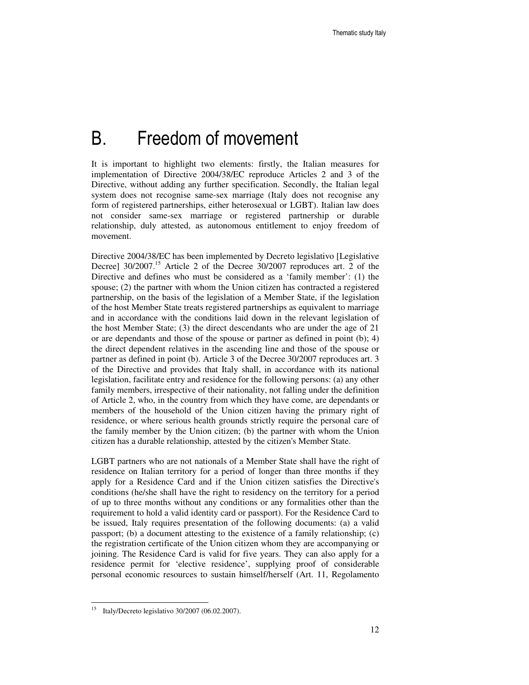### B. Freedom of movement

It is important to highlight two elements: firstly, the Italian measures for implementation of Directive 2004/38/EC reproduce Articles 2 and 3 of the Directive, without adding any further specification. Secondly, the Italian legal system does not recognise same-sex marriage (Italy does not recognise any form of registered partnerships, either heterosexual or LGBT). Italian law does not consider same-sex marriage or registered partnership or durable relationship, duly attested, as autonomous entitlement to enjoy freedom of movement.

Directive 2004/38/EC has been implemented by Decreto legislativo [Legislative Decree] 30/2007.<sup>15</sup> Article 2 of the Decree 30/2007 reproduces art. 2 of the Directive and defines who must be considered as a 'family member': (1) the spouse; (2) the partner with whom the Union citizen has contracted a registered partnership, on the basis of the legislation of a Member State, if the legislation of the host Member State treats registered partnerships as equivalent to marriage and in accordance with the conditions laid down in the relevant legislation of the host Member State; (3) the direct descendants who are under the age of 21 or are dependants and those of the spouse or partner as defined in point (b); 4) the direct dependent relatives in the ascending line and those of the spouse or partner as defined in point (b). Article 3 of the Decree 30/2007 reproduces art. 3 of the Directive and provides that Italy shall, in accordance with its national legislation, facilitate entry and residence for the following persons: (a) any other family members, irrespective of their nationality, not falling under the definition of Article 2, who, in the country from which they have come, are dependants or members of the household of the Union citizen having the primary right of residence, or where serious health grounds strictly require the personal care of the family member by the Union citizen; (b) the partner with whom the Union citizen has a durable relationship, attested by the citizen's Member State.

LGBT partners who are not nationals of a Member State shall have the right of residence on Italian territory for a period of longer than three months if they apply for a Residence Card and if the Union citizen satisfies the Directive's conditions (he/she shall have the right to residency on the territory for a period of up to three months without any conditions or any formalities other than the requirement to hold a valid identity card or passport). For the Residence Card to be issued, Italy requires presentation of the following documents: (a) a valid passport; (b) a document attesting to the existence of a family relationship; (c) the registration certificate of the Union citizen whom they are accompanying or joining. The Residence Card is valid for five years. They can also apply for a residence permit for 'elective residence', supplying proof of considerable personal economic resources to sustain himself/herself (Art. 11, Regolamento

-

<sup>&</sup>lt;sup>15</sup> Italy/Decreto legislativo 30/2007 (06.02.2007).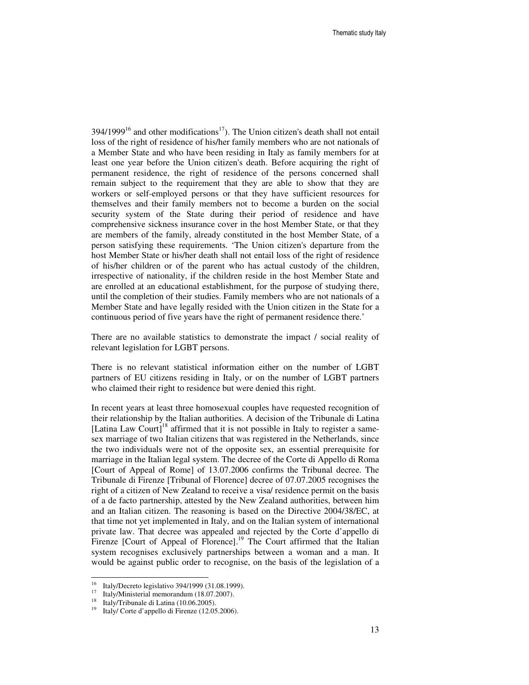$394/1999^{16}$  and other modifications<sup>17</sup>). The Union citizen's death shall not entail loss of the right of residence of his/her family members who are not nationals of a Member State and who have been residing in Italy as family members for at least one year before the Union citizen's death. Before acquiring the right of permanent residence, the right of residence of the persons concerned shall remain subject to the requirement that they are able to show that they are workers or self-employed persons or that they have sufficient resources for themselves and their family members not to become a burden on the social security system of the State during their period of residence and have comprehensive sickness insurance cover in the host Member State, or that they are members of the family, already constituted in the host Member State, of a person satisfying these requirements. 'The Union citizen's departure from the host Member State or his/her death shall not entail loss of the right of residence of his/her children or of the parent who has actual custody of the children, irrespective of nationality, if the children reside in the host Member State and are enrolled at an educational establishment, for the purpose of studying there, until the completion of their studies. Family members who are not nationals of a Member State and have legally resided with the Union citizen in the State for a continuous period of five years have the right of permanent residence there.'

There are no available statistics to demonstrate the impact / social reality of relevant legislation for LGBT persons.

There is no relevant statistical information either on the number of LGBT partners of EU citizens residing in Italy, or on the number of LGBT partners who claimed their right to residence but were denied this right.

In recent years at least three homosexual couples have requested recognition of their relationship by the Italian authorities. A decision of the Tribunale di Latina [Latina Law Court]<sup>18</sup> affirmed that it is not possible in Italy to register a samesex marriage of two Italian citizens that was registered in the Netherlands, since the two individuals were not of the opposite sex, an essential prerequisite for marriage in the Italian legal system. The decree of the Corte di Appello di Roma [Court of Appeal of Rome] of 13.07.2006 confirms the Tribunal decree. The Tribunale di Firenze [Tribunal of Florence] decree of 07.07.2005 recognises the right of a citizen of New Zealand to receive a visa/ residence permit on the basis of a de facto partnership, attested by the New Zealand authorities, between him and an Italian citizen. The reasoning is based on the Directive 2004/38/EC, at that time not yet implemented in Italy, and on the Italian system of international private law. That decree was appealed and rejected by the Corte d'appello di Firenze [Court of Appeal of Florence].<sup>19</sup> The Court affirmed that the Italian system recognises exclusively partnerships between a woman and a man. It would be against public order to recognise, on the basis of the legislation of a

 $16$  Italy/Decreto legislativo 394/1999 (31.08.1999).

<sup>&</sup>lt;sup>17</sup> Italy/Ministerial memorandum (18.07.2007).

<sup>18</sup> Italy/Tribunale di Latina (10.06.2005).

<sup>19</sup> Italy/ Corte d'appello di Firenze (12.05.2006).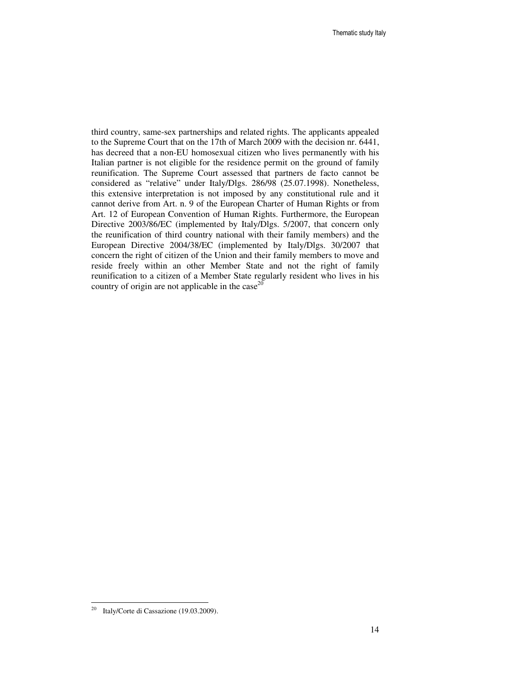third country, same-sex partnerships and related rights. The applicants appealed to the Supreme Court that on the 17th of March 2009 with the decision nr. 6441, has decreed that a non-EU homosexual citizen who lives permanently with his Italian partner is not eligible for the residence permit on the ground of family reunification. The Supreme Court assessed that partners de facto cannot be considered as "relative" under Italy/Dlgs. 286/98 (25.07.1998). Nonetheless, this extensive interpretation is not imposed by any constitutional rule and it cannot derive from Art. n. 9 of the European Charter of Human Rights or from Art. 12 of European Convention of Human Rights. Furthermore, the European Directive 2003/86/EC (implemented by Italy/Dlgs. 5/2007, that concern only the reunification of third country national with their family members) and the European Directive 2004/38/EC (implemented by Italy/Dlgs. 30/2007 that concern the right of citizen of the Union and their family members to move and reside freely within an other Member State and not the right of family reunification to a citizen of a Member State regularly resident who lives in his country of origin are not applicable in the case<sup>20</sup>

-

 $^{20}$  Italy/Corte di Cassazione (19.03.2009).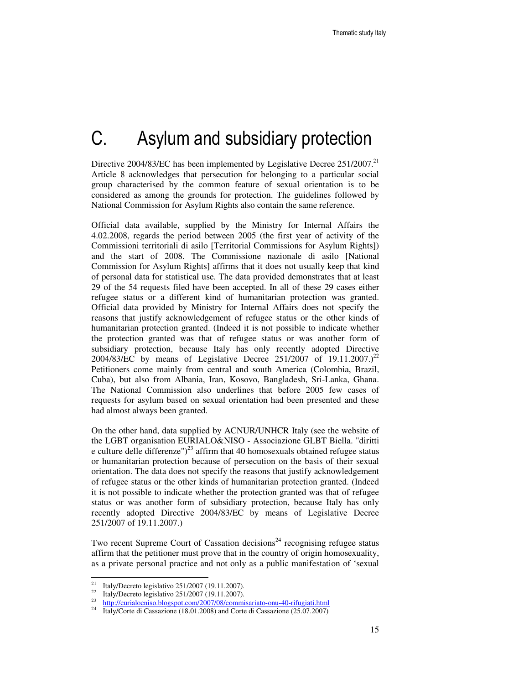# C. Asylum and subsidiary protection

Directive 2004/83/EC has been implemented by Legislative Decree  $251/2007$ <sup>21</sup> Article 8 acknowledges that persecution for belonging to a particular social group characterised by the common feature of sexual orientation is to be considered as among the grounds for protection. The guidelines followed by National Commission for Asylum Rights also contain the same reference.

Official data available, supplied by the Ministry for Internal Affairs the 4.02.2008, regards the period between 2005 (the first year of activity of the Commissioni territoriali di asilo [Territorial Commissions for Asylum Rights]) and the start of 2008. The Commissione nazionale di asilo [National Commission for Asylum Rights] affirms that it does not usually keep that kind of personal data for statistical use. The data provided demonstrates that at least 29 of the 54 requests filed have been accepted. In all of these 29 cases either refugee status or a different kind of humanitarian protection was granted. Official data provided by Ministry for Internal Affairs does not specify the reasons that justify acknowledgement of refugee status or the other kinds of humanitarian protection granted. (Indeed it is not possible to indicate whether the protection granted was that of refugee status or was another form of subsidiary protection, because Italy has only recently adopted Directive 2004/83/EC by means of Legislative Decree 251/2007 of 19.11.2007.)<sup>22</sup> Petitioners come mainly from central and south America (Colombia, Brazil, Cuba), but also from Albania, Iran, Kosovo, Bangladesh, Sri-Lanka, Ghana. The National Commission also underlines that before 2005 few cases of requests for asylum based on sexual orientation had been presented and these had almost always been granted.

On the other hand, data supplied by ACNUR/UNHCR Italy (see the website of the LGBT organisation EURIALO&NISO - Associazione GLBT Biella. "diritti e culture delle differenze")<sup>23</sup> affirm that 40 homosexuals obtained refugee status or humanitarian protection because of persecution on the basis of their sexual orientation. The data does not specify the reasons that justify acknowledgement of refugee status or the other kinds of humanitarian protection granted. (Indeed it is not possible to indicate whether the protection granted was that of refugee status or was another form of subsidiary protection, because Italy has only recently adopted Directive 2004/83/EC by means of Legislative Decree 251/2007 of 19.11.2007.)

Two recent Supreme Court of Cassation decisions<sup>24</sup> recognising refugee status affirm that the petitioner must prove that in the country of origin homosexuality, as a private personal practice and not only as a public manifestation of 'sexual

 $21$ <sup>21</sup> Italy/Decreto legislativo 251/2007 (19.11.2007).<br><sup>22</sup> Italy/Decrete legislative 251/2007 (10.11.2007).

<sup>22</sup> Italy/Decreto legislativo 251/2007 (19.11.2007).

<sup>&</sup>lt;sup>23</sup> http://eurialoeniso.blogspot.com/2007/08/commisariato-onu-40-rifugiati.html

<sup>24</sup> Italy/Corte di Cassazione (18.01.2008) and Corte di Cassazione (25.07.2007)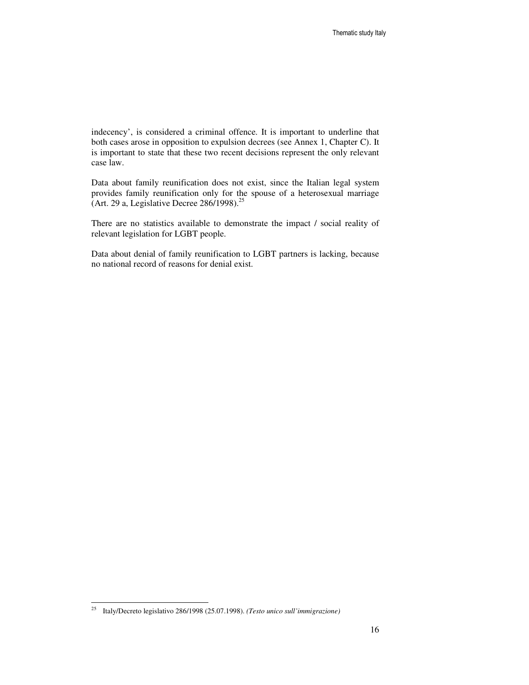indecency', is considered a criminal offence. It is important to underline that both cases arose in opposition to expulsion decrees (see Annex 1, Chapter C). It is important to state that these two recent decisions represent the only relevant case law.

Data about family reunification does not exist, since the Italian legal system provides family reunification only for the spouse of a heterosexual marriage (Art. 29 a, Legislative Decree 286/1998).<sup>25</sup>

There are no statistics available to demonstrate the impact / social reality of relevant legislation for LGBT people.

Data about denial of family reunification to LGBT partners is lacking, because no national record of reasons for denial exist.

-

<sup>25</sup> Italy/Decreto legislativo 286/1998 (25.07.1998). *(Testo unico sull'immigrazione)*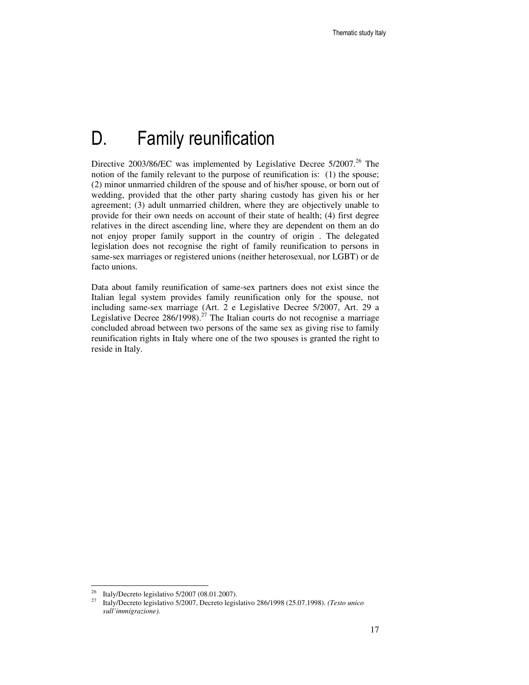## D. Family reunification

Directive  $2003/86/EC$  was implemented by Legislative Decree  $5/2007$ <sup>26</sup>. The notion of the family relevant to the purpose of reunification is: (1) the spouse; (2) minor unmarried children of the spouse and of his/her spouse, or born out of wedding, provided that the other party sharing custody has given his or her agreement; (3) adult unmarried children, where they are objectively unable to provide for their own needs on account of their state of health; (4) first degree relatives in the direct ascending line, where they are dependent on them an do not enjoy proper family support in the country of origin . The delegated legislation does not recognise the right of family reunification to persons in same-sex marriages or registered unions (neither heterosexual, nor LGBT) or de facto unions.

Data about family reunification of same-sex partners does not exist since the Italian legal system provides family reunification only for the spouse, not including same-sex marriage (Art. 2 e Legislative Decree 5/2007, Art. 29 a Legislative Decree  $286/1998$ ).<sup>27</sup> The Italian courts do not recognise a marriage concluded abroad between two persons of the same sex as giving rise to family reunification rights in Italy where one of the two spouses is granted the right to reside in Italy.

<sup>26</sup> <sup>26</sup> Italy/Decreto legislativo 5/2007 (08.01.2007).<br><sup>27</sup> Italy/Decreto legislativo 5/2007 Decreto legisl

<sup>27</sup> Italy/Decreto legislativo 5/2007, Decreto legislativo 286/1998 (25.07.1998). *(Testo unico sull'immigrazione)*.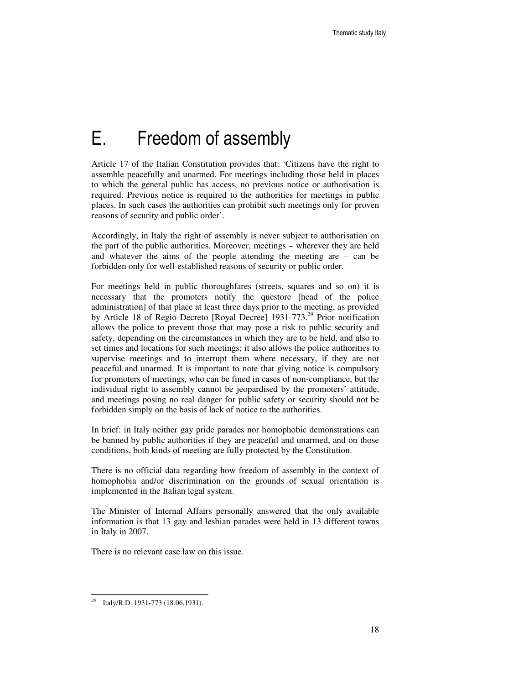## E. Freedom of assembly

Article 17 of the Italian Constitution provides that: 'Citizens have the right to assemble peacefully and unarmed. For meetings including those held in places to which the general public has access, no previous notice or authorisation is required. Previous notice is required to the authorities for meetings in public places. In such cases the authorities can prohibit such meetings only for proven reasons of security and public order'.

Accordingly, in Italy the right of assembly is never subject to authorisation on the part of the public authorities. Moreover, meetings – wherever they are held and whatever the aims of the people attending the meeting are – can be forbidden only for well-established reasons of security or public order.

For meetings held in public thoroughfares (streets, squares and so on) it is necessary that the promoters notify the questore [head of the police administration] of that place at least three days prior to the meeting, as provided by Article 18 of Regio Decreto [Royal Decree] 1931-773.<sup>29</sup> Prior notification allows the police to prevent those that may pose a risk to public security and safety, depending on the circumstances in which they are to be held, and also to set times and locations for such meetings; it also allows the police authorities to supervise meetings and to interrupt them where necessary, if they are not peaceful and unarmed. It is important to note that giving notice is compulsory for promoters of meetings, who can be fined in cases of non-compliance, but the individual right to assembly cannot be jeopardised by the promoters' attitude, and meetings posing no real danger for public safety or security should not be forbidden simply on the basis of lack of notice to the authorities.

In brief: in Italy neither gay pride parades nor homophobic demonstrations can be banned by public authorities if they are peaceful and unarmed, and on those conditions, both kinds of meeting are fully protected by the Constitution.

There is no official data regarding how freedom of assembly in the context of homophobia and/or discrimination on the grounds of sexual orientation is implemented in the Italian legal system.

The Minister of Internal Affairs personally answered that the only available information is that 13 gay and lesbian parades were held in 13 different towns in Italy in 2007.

There is no relevant case law on this issue.

<sup>&</sup>lt;sup>29</sup> Italy/R.D. 1931-773 (18.06.1931).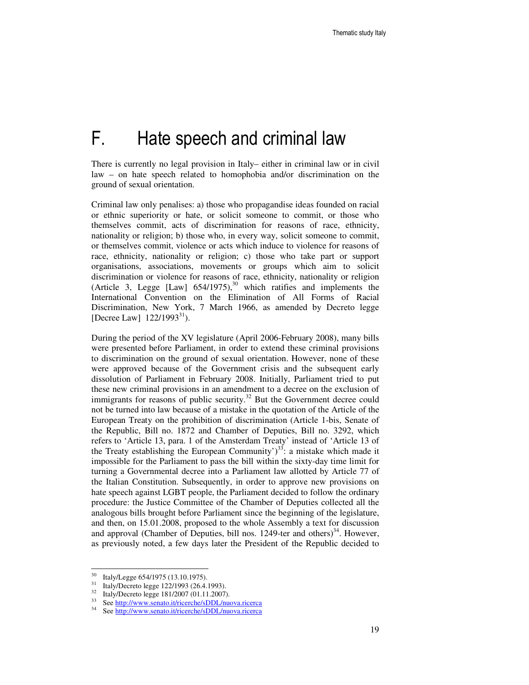# F. Hate speech and criminal law

There is currently no legal provision in Italy– either in criminal law or in civil law – on hate speech related to homophobia and/or discrimination on the ground of sexual orientation.

Criminal law only penalises: a) those who propagandise ideas founded on racial or ethnic superiority or hate, or solicit someone to commit, or those who themselves commit, acts of discrimination for reasons of race, ethnicity, nationality or religion; b) those who, in every way, solicit someone to commit, or themselves commit, violence or acts which induce to violence for reasons of race, ethnicity, nationality or religion; c) those who take part or support organisations, associations, movements or groups which aim to solicit discrimination or violence for reasons of race, ethnicity, nationality or religion (Article 3, Legge [Law]  $654/1975$ ,<sup>30</sup> which ratifies and implements the International Convention on the Elimination of All Forms of Racial Discrimination, New York, 7 March 1966, as amended by Decreto legge [Decree Law]  $122/1993^{31}$ .

During the period of the XV legislature (April 2006-February 2008), many bills were presented before Parliament, in order to extend these criminal provisions to discrimination on the ground of sexual orientation. However, none of these were approved because of the Government crisis and the subsequent early dissolution of Parliament in February 2008. Initially, Parliament tried to put these new criminal provisions in an amendment to a decree on the exclusion of immigrants for reasons of public security.<sup>32</sup> But the Government decree could not be turned into law because of a mistake in the quotation of the Article of the European Treaty on the prohibition of discrimination (Article 1-bis, Senate of the Republic, Bill no. 1872 and Chamber of Deputies, Bill no. 3292, which refers to 'Article 13, para. 1 of the Amsterdam Treaty' instead of 'Article 13 of the Treaty establishing the European Community')<sup>33</sup>: a mistake which made it impossible for the Parliament to pass the bill within the sixty-day time limit for turning a Governmental decree into a Parliament law allotted by Article 77 of the Italian Constitution. Subsequently, in order to approve new provisions on hate speech against LGBT people, the Parliament decided to follow the ordinary procedure: the Justice Committee of the Chamber of Deputies collected all the analogous bills brought before Parliament since the beginning of the legislature, and then, on 15.01.2008, proposed to the whole Assembly a text for discussion and approval (Chamber of Deputies, bill nos. 1249-ter and others)<sup>34</sup>. However, as previously noted, a few days later the President of the Republic decided to

<sup>30</sup>  $^{30}$  Italy/Legge 654/1975 (13.10.1975).<br> $^{31}$  Italy/Decrete lagge 122/1003 (26.4)

Italy/Decreto legge 122/1993 (26.4.1993).

 $\frac{32}{13}$  Italy/Decreto legge 181/2007 (01.11.2007).

See http://www.senato.it/ricerche/sDDL/nuova.ricerca

<sup>34</sup> See http://www.senato.it/ricerche/sDDL/nuova.ricerca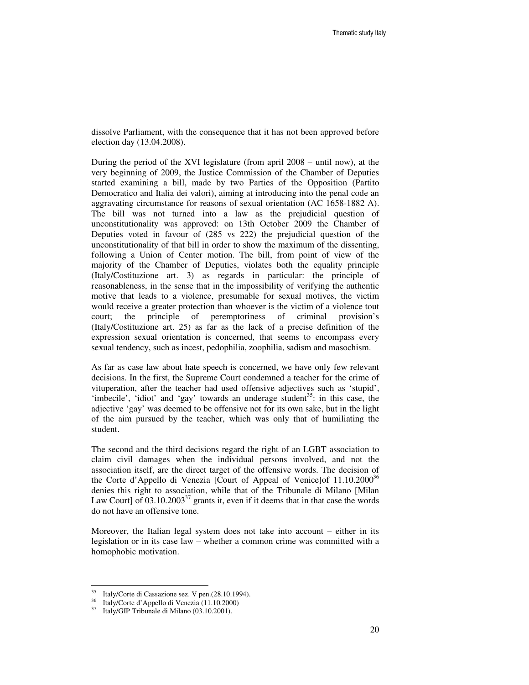dissolve Parliament, with the consequence that it has not been approved before election day (13.04.2008).

During the period of the XVI legislature (from april 2008 – until now), at the very beginning of 2009, the Justice Commission of the Chamber of Deputies started examining a bill, made by two Parties of the Opposition (Partito Democratico and Italia dei valori), aiming at introducing into the penal code an aggravating circumstance for reasons of sexual orientation (AC 1658-1882 A). The bill was not turned into a law as the prejudicial question of unconstitutionality was approved: on 13th October 2009 the Chamber of Deputies voted in favour of (285 vs 222) the prejudicial question of the unconstitutionality of that bill in order to show the maximum of the dissenting, following a Union of Center motion. The bill, from point of view of the majority of the Chamber of Deputies, violates both the equality principle (Italy/Costituzione art. 3) as regards in particular: the principle of reasonableness, in the sense that in the impossibility of verifying the authentic motive that leads to a violence, presumable for sexual motives, the victim would receive a greater protection than whoever is the victim of a violence tout court; the principle of peremptoriness of criminal provision's (Italy/Costituzione art. 25) as far as the lack of a precise definition of the expression sexual orientation is concerned, that seems to encompass every sexual tendency, such as incest, pedophilia, zoophilia, sadism and masochism.

As far as case law about hate speech is concerned, we have only few relevant decisions. In the first, the Supreme Court condemned a teacher for the crime of vituperation, after the teacher had used offensive adjectives such as 'stupid', 'imbecile', 'idiot' and 'gay' towards an underage student<sup>35</sup>: in this case, the adjective 'gay' was deemed to be offensive not for its own sake, but in the light of the aim pursued by the teacher, which was only that of humiliating the student.

The second and the third decisions regard the right of an LGBT association to claim civil damages when the individual persons involved, and not the association itself, are the direct target of the offensive words. The decision of the Corte d'Appello di Venezia [Court of Appeal of Venice]of  $11.10.2000^{36}$ denies this right to association, while that of the Tribunale di Milano [Milan Law Court] of  $03.10.2003^{37}$  grants it, even if it deems that in that case the words do not have an offensive tone.

Moreover, the Italian legal system does not take into account – either in its legislation or in its case law – whether a common crime was committed with a homophobic motivation.

<sup>&</sup>lt;sup>35</sup> Italy/Corte di Cassazione sez. V pen.(28.10.1994).

<sup>36</sup> Italy/Corte d'Appello di Venezia (11.10.2000)

<sup>37</sup> Italy/GIP Tribunale di Milano (03.10.2001).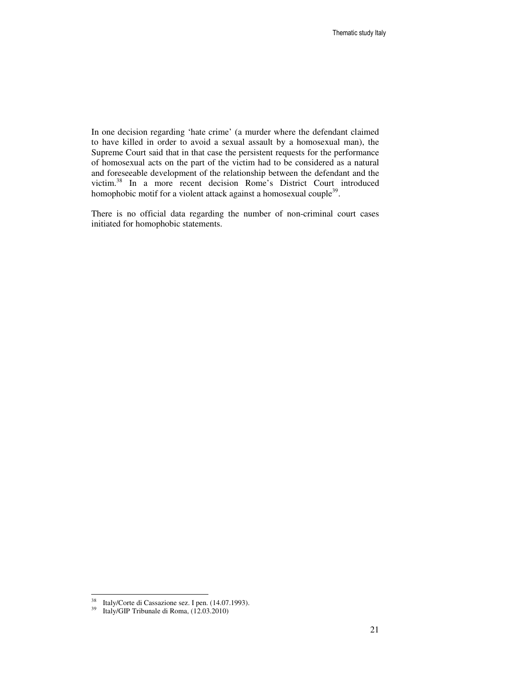In one decision regarding 'hate crime' (a murder where the defendant claimed to have killed in order to avoid a sexual assault by a homosexual man), the Supreme Court said that in that case the persistent requests for the performance of homosexual acts on the part of the victim had to be considered as a natural and foreseeable development of the relationship between the defendant and the victim.<sup>38</sup> In a more recent decision Rome's District Court introduced homophobic motif for a violent attack against a homosexual couple<sup>39</sup>.

There is no official data regarding the number of non-criminal court cases initiated for homophobic statements.

 $3\,8$ Italy/Corte di Cassazione sez. I pen. (14.07.1993).

 $\frac{12.03 \times 10^{14} \text{ J}}{29 \text{ Hz}}$  Italy/GIP Tribunale di Roma,  $(12.03.2010)$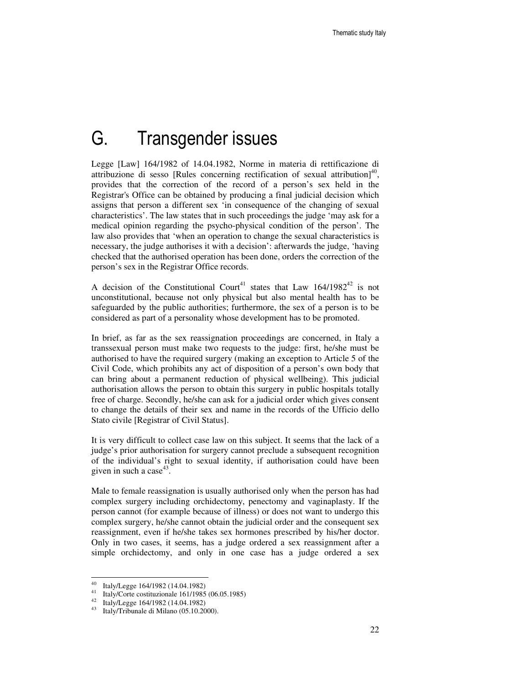## G. Transgender issues

Legge [Law] 164/1982 of 14.04.1982, Norme in materia di rettificazione di attribuzione di sesso [Rules concerning rectification of sexual attribution] $40$ , provides that the correction of the record of a person's sex held in the Registrar's Office can be obtained by producing a final judicial decision which assigns that person a different sex 'in consequence of the changing of sexual characteristics'. The law states that in such proceedings the judge 'may ask for a medical opinion regarding the psycho-physical condition of the person'. The law also provides that 'when an operation to change the sexual characteristics is necessary, the judge authorises it with a decision': afterwards the judge, 'having checked that the authorised operation has been done, orders the correction of the person's sex in the Registrar Office records.

A decision of the Constitutional Court<sup>41</sup> states that Law  $164/1982^{42}$  is not unconstitutional, because not only physical but also mental health has to be safeguarded by the public authorities; furthermore, the sex of a person is to be considered as part of a personality whose development has to be promoted.

In brief, as far as the sex reassignation proceedings are concerned, in Italy a transsexual person must make two requests to the judge: first, he/she must be authorised to have the required surgery (making an exception to Article 5 of the Civil Code, which prohibits any act of disposition of a person's own body that can bring about a permanent reduction of physical wellbeing). This judicial authorisation allows the person to obtain this surgery in public hospitals totally free of charge. Secondly, he/she can ask for a judicial order which gives consent to change the details of their sex and name in the records of the Ufficio dello Stato civile [Registrar of Civil Status].

It is very difficult to collect case law on this subject. It seems that the lack of a judge's prior authorisation for surgery cannot preclude a subsequent recognition of the individual's right to sexual identity, if authorisation could have been given in such a case<sup>43</sup>.

Male to female reassignation is usually authorised only when the person has had complex surgery including orchidectomy, penectomy and vaginaplasty. If the person cannot (for example because of illness) or does not want to undergo this complex surgery, he/she cannot obtain the judicial order and the consequent sex reassignment, even if he/she takes sex hormones prescribed by his/her doctor. Only in two cases, it seems, has a judge ordered a sex reassignment after a simple orchidectomy, and only in one case has a judge ordered a sex

 $^{40}$  Italy/Legge 164/1982 (14.04.1982)

<sup>41</sup> Italy/Corte costituzionale 161/1985 (06.05.1985)

<sup>42</sup> Italy/Legge 164/1982 (14.04.1982)

<sup>43</sup> Italy/Tribunale di Milano (05.10.2000).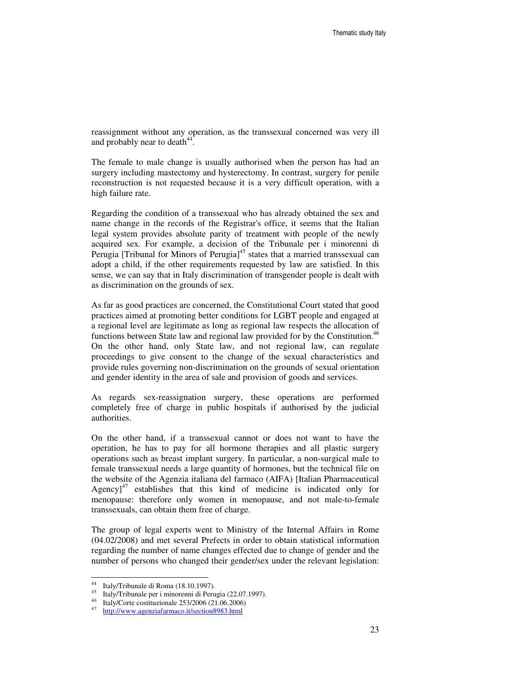reassignment without any operation, as the transsexual concerned was very ill and probably near to death<sup>44</sup>.

The female to male change is usually authorised when the person has had an surgery including mastectomy and hysterectomy. In contrast, surgery for penile reconstruction is not requested because it is a very difficult operation, with a high failure rate.

Regarding the condition of a transsexual who has already obtained the sex and name change in the records of the Registrar's office, it seems that the Italian legal system provides absolute parity of treatment with people of the newly acquired sex. For example, a decision of the Tribunale per i minorenni di Perugia [Tribunal for Minors of Perugia]<sup>45</sup> states that a married transsexual can adopt a child, if the other requirements requested by law are satisfied. In this sense, we can say that in Italy discrimination of transgender people is dealt with as discrimination on the grounds of sex.

As far as good practices are concerned, the Constitutional Court stated that good practices aimed at promoting better conditions for LGBT people and engaged at a regional level are legitimate as long as regional law respects the allocation of functions between State law and regional law provided for by the Constitution.<sup>46</sup> On the other hand, only State law, and not regional law, can regulate proceedings to give consent to the change of the sexual characteristics and provide rules governing non-discrimination on the grounds of sexual orientation and gender identity in the area of sale and provision of goods and services.

As regards sex-reassignation surgery, these operations are performed completely free of charge in public hospitals if authorised by the judicial authorities.

On the other hand, if a transsexual cannot or does not want to have the operation, he has to pay for all hormone therapies and all plastic surgery operations such as breast implant surgery. In particular, a non-surgical male to female transsexual needs a large quantity of hormones, but the technical file on the website of the Agenzia italiana del farmaco (AIFA) [Italian Pharmaceutical Agency] $47$  establishes that this kind of medicine is indicated only for menopause: therefore only women in menopause, and not male-to-female transsexuals, can obtain them free of charge.

The group of legal experts went to Ministry of the Internal Affairs in Rome (04.02/2008) and met several Prefects in order to obtain statistical information regarding the number of name changes effected due to change of gender and the number of persons who changed their gender/sex under the relevant legislation:

 $44<sup>1</sup>$ Italy/Tribunale di Roma (18.10.1997).

<sup>45</sup> Italy/Tribunale per i minorenni di Perugia (22.07.1997).

<sup>46</sup> Italy/Corte costituzionale 253/2006 (21.06.2006)

<sup>47</sup> http://www.agenziafarmaco.it/section8983.html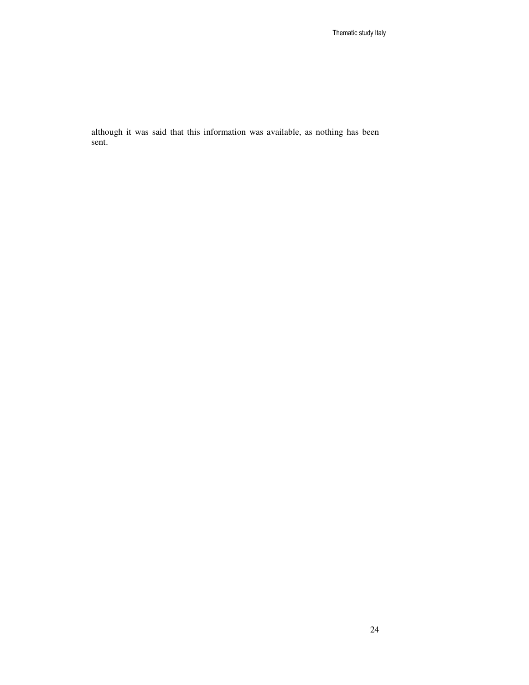although it was said that this information was available, as nothing has been sent.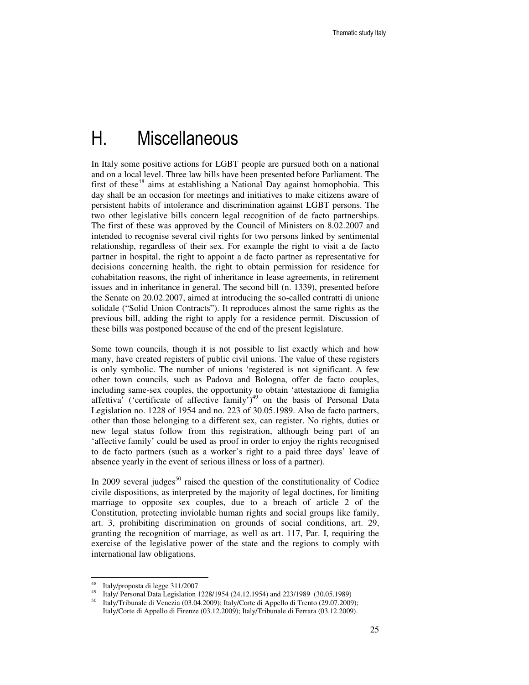### H. Miscellaneous

In Italy some positive actions for LGBT people are pursued both on a national and on a local level. Three law bills have been presented before Parliament. The first of these<sup>48</sup> aims at establishing a National Day against homophobia. This day shall be an occasion for meetings and initiatives to make citizens aware of persistent habits of intolerance and discrimination against LGBT persons. The two other legislative bills concern legal recognition of de facto partnerships. The first of these was approved by the Council of Ministers on 8.02.2007 and intended to recognise several civil rights for two persons linked by sentimental relationship, regardless of their sex. For example the right to visit a de facto partner in hospital, the right to appoint a de facto partner as representative for decisions concerning health, the right to obtain permission for residence for cohabitation reasons, the right of inheritance in lease agreements, in retirement issues and in inheritance in general. The second bill (n. 1339), presented before the Senate on 20.02.2007, aimed at introducing the so-called contratti di unione solidale ("Solid Union Contracts"). It reproduces almost the same rights as the previous bill, adding the right to apply for a residence permit. Discussion of these bills was postponed because of the end of the present legislature.

Some town councils, though it is not possible to list exactly which and how many, have created registers of public civil unions. The value of these registers is only symbolic. The number of unions 'registered is not significant. A few other town councils, such as Padova and Bologna, offer de facto couples, including same-sex couples, the opportunity to obtain 'attestazione di famiglia affettiva' ('certificate of affective family')<sup>49</sup> on the basis of Personal Data Legislation no. 1228 of 1954 and no. 223 of 30.05.1989. Also de facto partners, other than those belonging to a different sex, can register. No rights, duties or new legal status follow from this registration, although being part of an 'affective family' could be used as proof in order to enjoy the rights recognised to de facto partners (such as a worker's right to a paid three days' leave of absence yearly in the event of serious illness or loss of a partner).

In 2009 several judges<sup>50</sup> raised the question of the constitutionality of Codice civile dispositions, as interpreted by the majority of legal doctines, for limiting marriage to opposite sex couples, due to a breach of article 2 of the Constitution, protecting inviolable human rights and social groups like family, art. 3, prohibiting discrimination on grounds of social conditions, art. 29, granting the recognition of marriage, as well as art. 117, Par. I, requiring the exercise of the legislative power of the state and the regions to comply with international law obligations.

<sup>48</sup> <sup>48</sup> Italy/proposta di legge  $311/2007$ 

<sup>49</sup> Italy/ Personal Data Legislation 1228/1954 (24.12.1954) and 223/1989 (30.05.1989)

<sup>50</sup> Italy/Tribunale di Venezia (03.04.2009); Italy/Corte di Appello di Trento (29.07.2009); Italy/Corte di Appello di Firenze (03.12.2009); Italy/Tribunale di Ferrara (03.12.2009).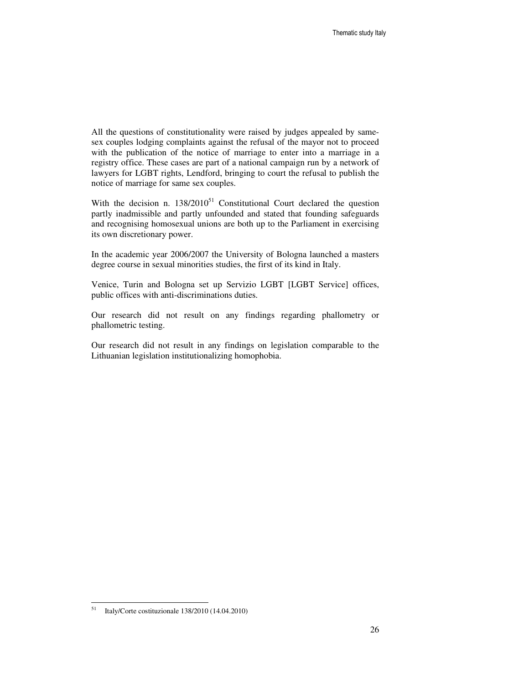All the questions of constitutionality were raised by judges appealed by samesex couples lodging complaints against the refusal of the mayor not to proceed with the publication of the notice of marriage to enter into a marriage in a registry office. These cases are part of a national campaign run by a network of lawyers for LGBT rights, Lendford, bringing to court the refusal to publish the notice of marriage for same sex couples.

With the decision n.  $138/2010^{51}$  Constitutional Court declared the question partly inadmissible and partly unfounded and stated that founding safeguards and recognising homosexual unions are both up to the Parliament in exercising its own discretionary power.

In the academic year 2006/2007 the University of Bologna launched a masters degree course in sexual minorities studies, the first of its kind in Italy.

Venice, Turin and Bologna set up Servizio LGBT [LGBT Service] offices, public offices with anti-discriminations duties.

Our research did not result on any findings regarding phallometry or phallometric testing.

Our research did not result in any findings on legislation comparable to the Lithuanian legislation institutionalizing homophobia.

<sup>51</sup> <sup>51</sup> Italy/Corte costituzionale 138/2010 (14.04.2010)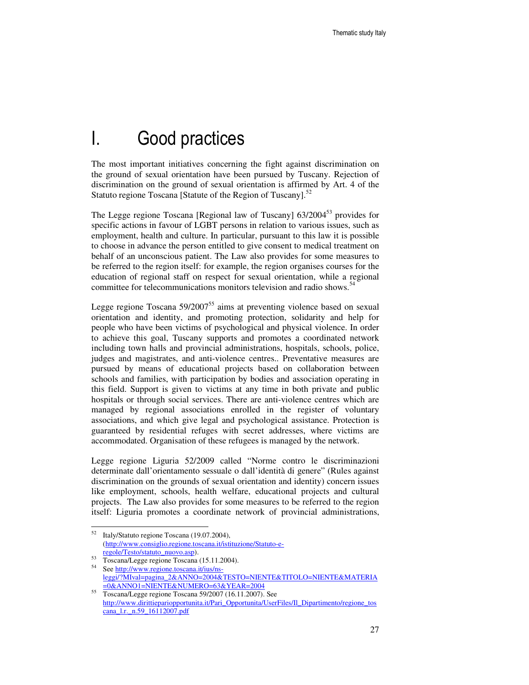## I. Good practices

The most important initiatives concerning the fight against discrimination on the ground of sexual orientation have been pursued by Tuscany. Rejection of discrimination on the ground of sexual orientation is affirmed by Art. 4 of the Statuto regione Toscana [Statute of the Region of Tuscany].<sup>52</sup>

The Legge regione Toscana [Regional law of Tuscany] 63/2004<sup>53</sup> provides for specific actions in favour of LGBT persons in relation to various issues, such as employment, health and culture. In particular, pursuant to this law it is possible to choose in advance the person entitled to give consent to medical treatment on behalf of an unconscious patient. The Law also provides for some measures to be referred to the region itself: for example, the region organises courses for the education of regional staff on respect for sexual orientation, while a regional committee for telecommunications monitors television and radio shows.<sup>54</sup>

Legge regione Toscana  $59/2007^{55}$  aims at preventing violence based on sexual orientation and identity, and promoting protection, solidarity and help for people who have been victims of psychological and physical violence. In order to achieve this goal, Tuscany supports and promotes a coordinated network including town halls and provincial administrations, hospitals, schools, police, judges and magistrates, and anti-violence centres.. Preventative measures are pursued by means of educational projects based on collaboration between schools and families, with participation by bodies and association operating in this field. Support is given to victims at any time in both private and public hospitals or through social services. There are anti-violence centres which are managed by regional associations enrolled in the register of voluntary associations, and which give legal and psychological assistance. Protection is guaranteed by residential refuges with secret addresses, where victims are accommodated. Organisation of these refugees is managed by the network.

Legge regione Liguria 52/2009 called "Norme contro le discriminazioni determinate dall'orientamento sessuale o dall'identità di genere" (Rules against discrimination on the grounds of sexual orientation and identity) concern issues like employment, schools, health welfare, educational projects and cultural projects. The Law also provides for some measures to be referred to the region itself: Liguria promotes a coordinate network of provincial administrations,

<sup>52</sup> Italy/Statuto regione Toscana (19.07.2004), (http://www.consiglio.regione.toscana.it/istituzione/Statuto-eregole/Testo/statuto\_nuovo.asp).

<sup>53</sup> Toscana/Legge regione Toscana (15.11.2004).

<sup>54</sup> See http://www.regione.toscana.it/ius/nsleggi/?MIval=pagina\_2&ANNO=2004&TESTO=NIENTE&TITOLO=NIENTE&MATERIA =0&ANNO1=NIENTE&NUMERO=63&YEAR=2004

<sup>55</sup> Toscana/Legge regione Toscana 59/2007 (16.11.2007). See http://www.dirittiepariopportunita.it/Pari\_Opportunita/UserFiles/Il\_Dipartimento/regione\_tos cana\_l.r.\_n.59\_16112007.pdf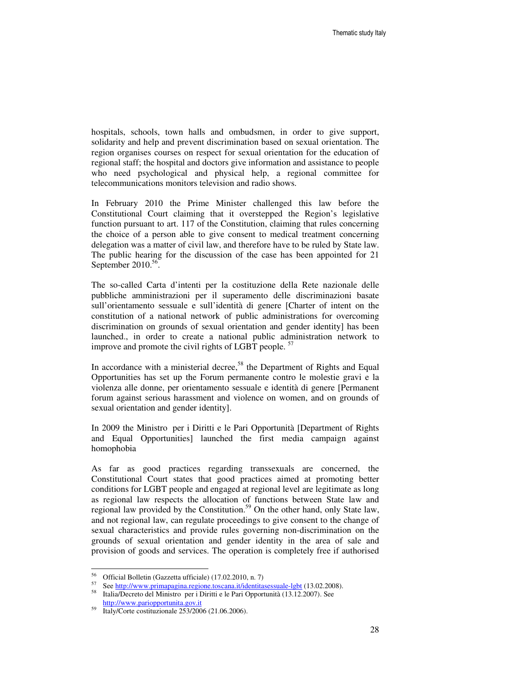hospitals, schools, town halls and ombudsmen, in order to give support, solidarity and help and prevent discrimination based on sexual orientation. The region organises courses on respect for sexual orientation for the education of regional staff; the hospital and doctors give information and assistance to people who need psychological and physical help, a regional committee for telecommunications monitors television and radio shows.

In February 2010 the Prime Minister challenged this law before the Constitutional Court claiming that it overstepped the Region's legislative function pursuant to art. 117 of the Constitution, claiming that rules concerning the choice of a person able to give consent to medical treatment concerning delegation was a matter of civil law, and therefore have to be ruled by State law. The public hearing for the discussion of the case has been appointed for 21 September 2010.<sup>56</sup>.

The so-called Carta d'intenti per la costituzione della Rete nazionale delle pubbliche amministrazioni per il superamento delle discriminazioni basate sull'orientamento sessuale e sull'identità di genere [Charter of intent on the constitution of a national network of public administrations for overcoming discrimination on grounds of sexual orientation and gender identity] has been launched., in order to create a national public administration network to improve and promote the civil rights of LGBT people.<sup>57</sup>

In accordance with a ministerial decree,<sup>58</sup> the Department of Rights and Equal Opportunities has set up the Forum permanente contro le molestie gravi e la violenza alle donne, per orientamento sessuale e identità di genere [Permanent forum against serious harassment and violence on women, and on grounds of sexual orientation and gender identity].

In 2009 the Ministro per i Diritti e le Pari Opportunità [Department of Rights and Equal Opportunities] launched the first media campaign against homophobia

As far as good practices regarding transsexuals are concerned, the Constitutional Court states that good practices aimed at promoting better conditions for LGBT people and engaged at regional level are legitimate as long as regional law respects the allocation of functions between State law and regional law provided by the Constitution.<sup>59</sup> On the other hand, only State law, and not regional law, can regulate proceedings to give consent to the change of sexual characteristics and provide rules governing non-discrimination on the grounds of sexual orientation and gender identity in the area of sale and provision of goods and services. The operation is completely free if authorised

<sup>56</sup> Official Bolletin (Gazzetta ufficiale) (17.02.2010, n. 7)

<sup>&</sup>lt;sup>57</sup> See <u>http://www.primapagina.regione.toscana.it/identitasessuale-lgbt</u> (13.02.2008). <sup>58</sup> Italia/Decreto del Ministro per i Diritti e le Pari Opportunità (13.12.2007). See http://www.pariopportunita.gov.it

<sup>59</sup> Italy/Corte costituzionale 253/2006 (21.06.2006).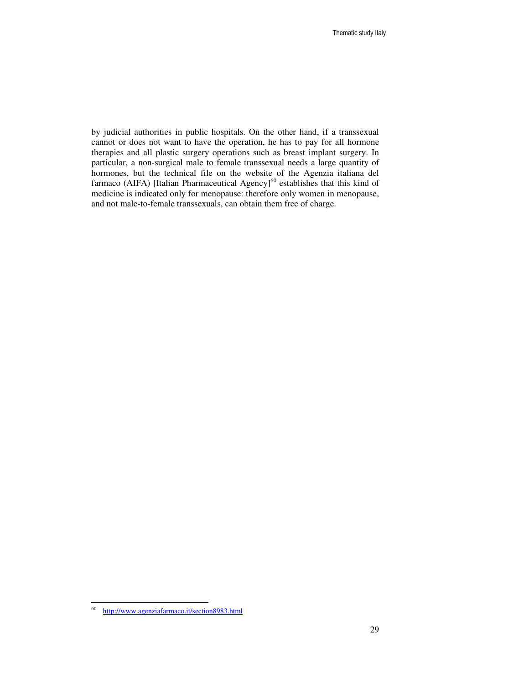by judicial authorities in public hospitals. On the other hand, if a transsexual cannot or does not want to have the operation, he has to pay for all hormone therapies and all plastic surgery operations such as breast implant surgery. In particular, a non-surgical male to female transsexual needs a large quantity of hormones, but the technical file on the website of the Agenzia italiana del farmaco (AIFA) [Italian Pharmaceutical Agency]<sup>60</sup> establishes that this kind of medicine is indicated only for menopause: therefore only women in menopause, and not male-to-female transsexuals, can obtain them free of charge.

 60 http://www.agenziafarmaco.it/section8983.html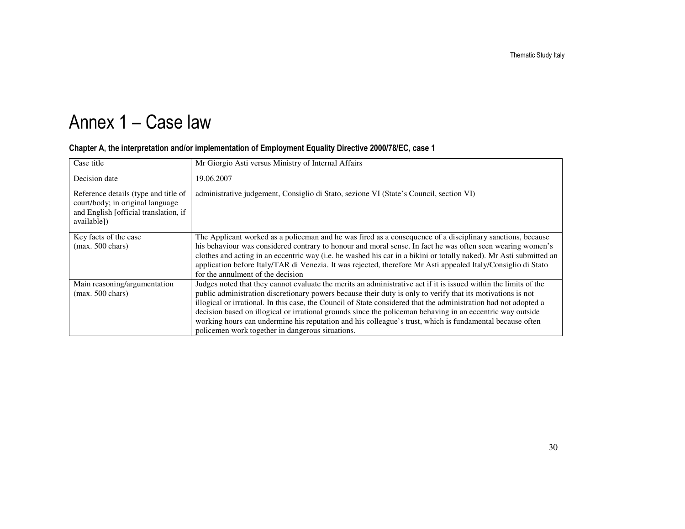# Annex 1 – Case law

| Case title                                                                                                                       | Mr Giorgio Asti versus Ministry of Internal Affairs                                                                                                                                                                                                                                                                                                                                                                                                                                                                                                                                                                               |
|----------------------------------------------------------------------------------------------------------------------------------|-----------------------------------------------------------------------------------------------------------------------------------------------------------------------------------------------------------------------------------------------------------------------------------------------------------------------------------------------------------------------------------------------------------------------------------------------------------------------------------------------------------------------------------------------------------------------------------------------------------------------------------|
| Decision date                                                                                                                    | 19.06.2007                                                                                                                                                                                                                                                                                                                                                                                                                                                                                                                                                                                                                        |
| Reference details (type and title of<br>court/body; in original language<br>and English [official translation, if<br>available]) | administrative judgement, Consiglio di Stato, sezione VI (State's Council, section VI)                                                                                                                                                                                                                                                                                                                                                                                                                                                                                                                                            |
| Key facts of the case<br>$(max. 500 \text{ chars})$                                                                              | The Applicant worked as a policeman and he was fired as a consequence of a disciplinary sanctions, because<br>his behaviour was considered contrary to honour and moral sense. In fact he was often seen wearing women's<br>clothes and acting in an eccentric way (i.e. he washed his car in a bikini or totally naked). Mr Asti submitted an<br>application before Italy/TAR di Venezia. It was rejected, therefore Mr Asti appealed Italy/Consiglio di Stato<br>for the annulment of the decision                                                                                                                              |
| Main reasoning/argumentation<br>$(max. 500 \text{ chars})$                                                                       | Judges noted that they cannot evaluate the merits an administrative act if it is issued within the limits of the<br>public administration discretionary powers because their duty is only to verify that its motivations is not<br>illogical or irrational. In this case, the Council of State considered that the administration had not adopted a<br>decision based on illogical or irrational grounds since the policeman behaving in an eccentric way outside<br>working hours can undermine his reputation and his colleague's trust, which is fundamental because often<br>policemen work together in dangerous situations. |

#### Chapter A, the interpretation and/or implementation of Employment Equality Directive 2000/78/EC, case 1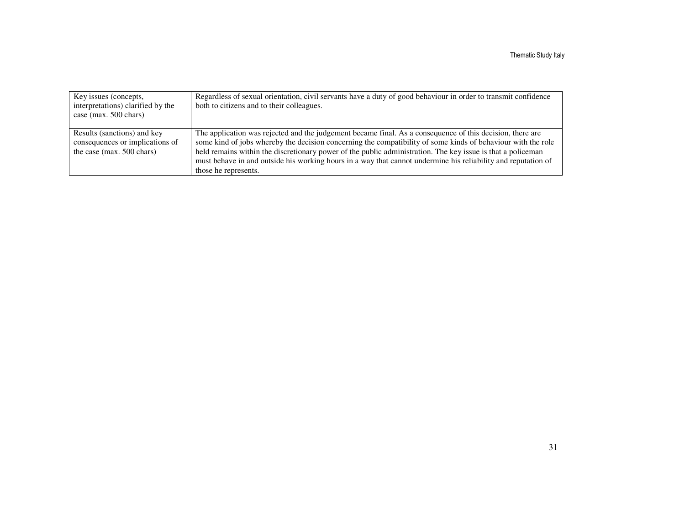| Key issues (concepts,<br>interpretations) clarified by the<br>case (max. 500 chars)         | Regardless of sexual orientation, civil servants have a duty of good behaviour in order to transmit confidence<br>both to citizens and to their colleagues.                                                                                                                                                                                                                                                                                                                       |
|---------------------------------------------------------------------------------------------|-----------------------------------------------------------------------------------------------------------------------------------------------------------------------------------------------------------------------------------------------------------------------------------------------------------------------------------------------------------------------------------------------------------------------------------------------------------------------------------|
| Results (sanctions) and key<br>consequences or implications of<br>the case (max. 500 chars) | The application was rejected and the judgement became final. As a consequence of this decision, there are<br>some kind of jobs whereby the decision concerning the compatibility of some kinds of behaviour with the role<br>held remains within the discretionary power of the public administration. The key issue is that a policeman<br>must behave in and outside his working hours in a way that cannot undermine his reliability and reputation of<br>those he represents. |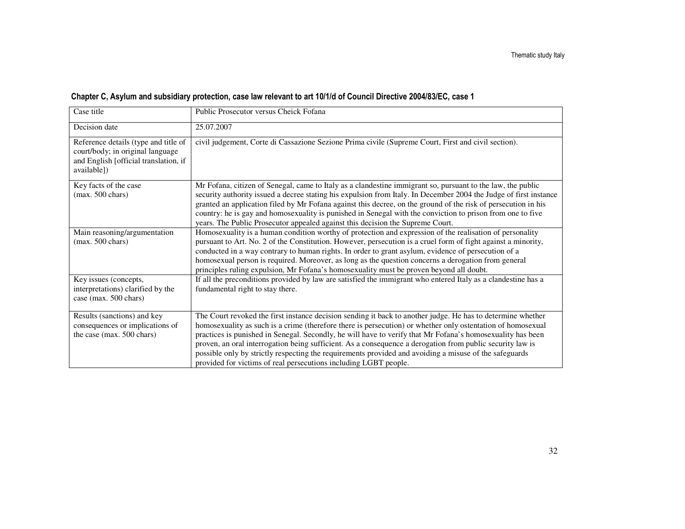| Case title                                                                                                                       | Public Prosecutor versus Cheick Fofana                                                                                                                                                                                                                                                                                                                                                                                                                                                                                                                                                                                              |
|----------------------------------------------------------------------------------------------------------------------------------|-------------------------------------------------------------------------------------------------------------------------------------------------------------------------------------------------------------------------------------------------------------------------------------------------------------------------------------------------------------------------------------------------------------------------------------------------------------------------------------------------------------------------------------------------------------------------------------------------------------------------------------|
| Decision date                                                                                                                    | 25.07.2007                                                                                                                                                                                                                                                                                                                                                                                                                                                                                                                                                                                                                          |
| Reference details (type and title of<br>court/body; in original language<br>and English [official translation, if<br>available]) | civil judgement, Corte di Cassazione Sezione Prima civile (Supreme Court, First and civil section).                                                                                                                                                                                                                                                                                                                                                                                                                                                                                                                                 |
| Key facts of the case<br>$(max. 500 \text{ chars})$                                                                              | Mr Fofana, citizen of Senegal, came to Italy as a clandestine immigrant so, pursuant to the law, the public<br>security authority issued a decree stating his expulsion from Italy. In December 2004 the Judge of first instance<br>granted an application filed by Mr Fofana against this decree, on the ground of the risk of persecution in his<br>country: he is gay and homosexuality is punished in Senegal with the conviction to prison from one to five<br>years. The Public Prosecutor appealed against this decision the Supreme Court.                                                                                  |
| Main reasoning/argumentation<br>$(max. 500 \text{ chars})$                                                                       | Homosexuality is a human condition worthy of protection and expression of the realisation of personality<br>pursuant to Art. No. 2 of the Constitution. However, persecution is a cruel form of fight against a minority,<br>conducted in a way contrary to human rights. In order to grant asylum, evidence of persecution of a<br>homosexual person is required. Moreover, as long as the question concerns a derogation from general<br>principles ruling expulsion, Mr Fofana's homosexuality must be proven beyond all doubt.                                                                                                  |
| Key issues (concepts,<br>interpretations) clarified by the<br>case (max. 500 chars)                                              | If all the preconditions provided by law are satisfied the immigrant who entered Italy as a clandestine has a<br>fundamental right to stay there.                                                                                                                                                                                                                                                                                                                                                                                                                                                                                   |
| Results (sanctions) and key<br>consequences or implications of<br>the case (max. 500 chars)                                      | The Court revoked the first instance decision sending it back to another judge. He has to determine whether<br>homosexuality as such is a crime (therefore there is persecution) or whether only ostentation of homosexual<br>practices is punished in Senegal. Secondly, he will have to verify that Mr Fofana's homosexuality has been<br>proven, an oral interrogation being sufficient. As a consequence a derogation from public security law is<br>possible only by strictly respecting the requirements provided and avoiding a misuse of the safeguards<br>provided for victims of real persecutions including LGBT people. |

#### Chapter C, Asylum and subsidiary protection, case law relevant to art 10/1/d of Council Directive 2004/83/EC, case 1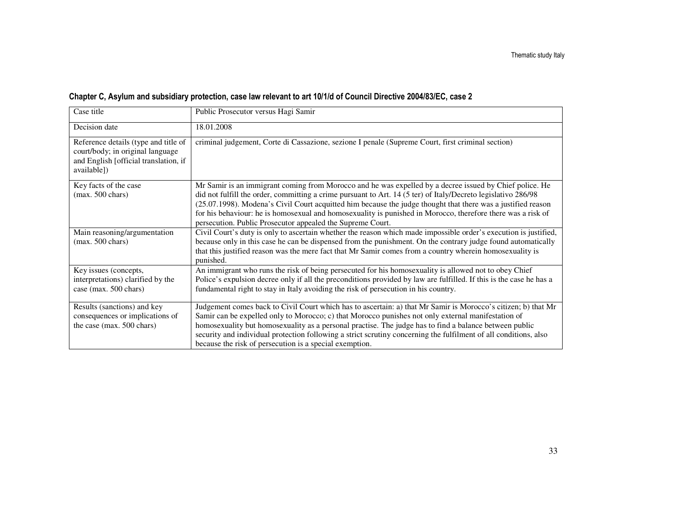|  | Chapter C, Asylum and subsidiary protection, case law relevant to art 10/1/d of Council Directive 2004/83/EC, case 2 |
|--|----------------------------------------------------------------------------------------------------------------------|
|--|----------------------------------------------------------------------------------------------------------------------|

| Case title                                                                                                                       | Public Prosecutor versus Hagi Samir                                                                                                                                                                                                                                                                                                                                                                                                                                                                                   |
|----------------------------------------------------------------------------------------------------------------------------------|-----------------------------------------------------------------------------------------------------------------------------------------------------------------------------------------------------------------------------------------------------------------------------------------------------------------------------------------------------------------------------------------------------------------------------------------------------------------------------------------------------------------------|
| Decision date                                                                                                                    | 18.01.2008                                                                                                                                                                                                                                                                                                                                                                                                                                                                                                            |
| Reference details (type and title of<br>court/body; in original language<br>and English [official translation, if<br>available]) | criminal judgement, Corte di Cassazione, sezione I penale (Supreme Court, first criminal section)                                                                                                                                                                                                                                                                                                                                                                                                                     |
| Key facts of the case<br>$(max. 500 \text{ chars})$                                                                              | Mr Samir is an immigrant coming from Morocco and he was expelled by a decree issued by Chief police. He<br>did not fulfill the order, committing a crime pursuant to Art. 14 (5 ter) of Italy/Decreto legislativo 286/98<br>(25.07.1998). Modena's Civil Court acquitted him because the judge thought that there was a justified reason<br>for his behaviour: he is homosexual and homosexuality is punished in Morocco, therefore there was a risk of<br>persecution. Public Prosecutor appealed the Supreme Court. |
| Main reasoning/argumentation<br>$(max. 500 \text{ chars})$                                                                       | Civil Court's duty is only to ascertain whether the reason which made impossible order's execution is justified,<br>because only in this case he can be dispensed from the punishment. On the contrary judge found automatically<br>that this justified reason was the mere fact that Mr Samir comes from a country wherein homosexuality is<br>punished.                                                                                                                                                             |
| Key issues (concepts,<br>interpretations) clarified by the<br>case (max. 500 chars)                                              | An immigrant who runs the risk of being persecuted for his homosexuality is allowed not to obey Chief<br>Police's expulsion decree only if all the preconditions provided by law are fulfilled. If this is the case he has a<br>fundamental right to stay in Italy avoiding the risk of persecution in his country.                                                                                                                                                                                                   |
| Results (sanctions) and key<br>consequences or implications of<br>the case (max. 500 chars)                                      | Judgement comes back to Civil Court which has to ascertain: a) that Mr Samir is Morocco's citizen; b) that Mr<br>Samir can be expelled only to Morocco; c) that Morocco punishes not only external manifestation of<br>homosexuality but homosexuality as a personal practise. The judge has to find a balance between public<br>security and individual protection following a strict scrutiny concerning the fulfilment of all conditions, also<br>because the risk of persecution is a special exemption.          |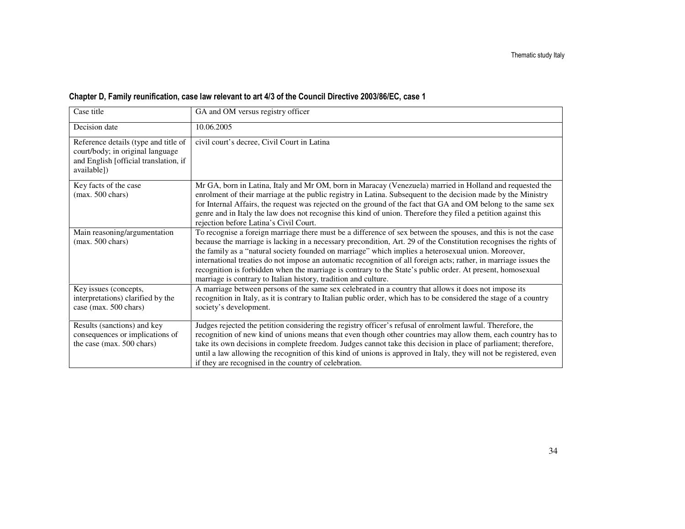#### Chapter D, Family reunification, case law relevant to art 4/3 of the Council Directive 2003/86/EC, case 1

| Case title                                                                                                                       | GA and OM versus registry officer                                                                                                                                                                                                                                                                                                                                                                                                                                                                                                                                                                                                                 |
|----------------------------------------------------------------------------------------------------------------------------------|---------------------------------------------------------------------------------------------------------------------------------------------------------------------------------------------------------------------------------------------------------------------------------------------------------------------------------------------------------------------------------------------------------------------------------------------------------------------------------------------------------------------------------------------------------------------------------------------------------------------------------------------------|
| Decision date                                                                                                                    | 10.06.2005                                                                                                                                                                                                                                                                                                                                                                                                                                                                                                                                                                                                                                        |
| Reference details (type and title of<br>court/body; in original language<br>and English [official translation, if<br>available]) | civil court's decree, Civil Court in Latina                                                                                                                                                                                                                                                                                                                                                                                                                                                                                                                                                                                                       |
| Key facts of the case<br>$(max. 500 \text{ chars})$                                                                              | Mr GA, born in Latina, Italy and Mr OM, born in Maracay (Venezuela) married in Holland and requested the<br>enrolment of their marriage at the public registry in Latina. Subsequent to the decision made by the Ministry<br>for Internal Affairs, the request was rejected on the ground of the fact that GA and OM belong to the same sex<br>genre and in Italy the law does not recognise this kind of union. Therefore they filed a petition against this<br>rejection before Latina's Civil Court.                                                                                                                                           |
| Main reasoning/argumentation<br>$(max. 500 \text{ chars})$                                                                       | To recognise a foreign marriage there must be a difference of sex between the spouses, and this is not the case<br>because the marriage is lacking in a necessary precondition, Art. 29 of the Constitution recognises the rights of<br>the family as a "natural society founded on marriage" which implies a heterosexual union. Moreover,<br>international treaties do not impose an automatic recognition of all foreign acts; rather, in marriage issues the<br>recognition is forbidden when the marriage is contrary to the State's public order. At present, homosexual<br>marriage is contrary to Italian history, tradition and culture. |
| Key issues (concepts,<br>interpretations) clarified by the<br>case (max. 500 chars)                                              | A marriage between persons of the same sex celebrated in a country that allows it does not impose its<br>recognition in Italy, as it is contrary to Italian public order, which has to be considered the stage of a country<br>society's development.                                                                                                                                                                                                                                                                                                                                                                                             |
| Results (sanctions) and key<br>consequences or implications of<br>the case (max. 500 chars)                                      | Judges rejected the petition considering the registry officer's refusal of enrolment lawful. Therefore, the<br>recognition of new kind of unions means that even though other countries may allow them, each country has to<br>take its own decisions in complete freedom. Judges cannot take this decision in place of parliament; therefore,<br>until a law allowing the recognition of this kind of unions is approved in Italy, they will not be registered, even<br>if they are recognised in the country of celebration.                                                                                                                    |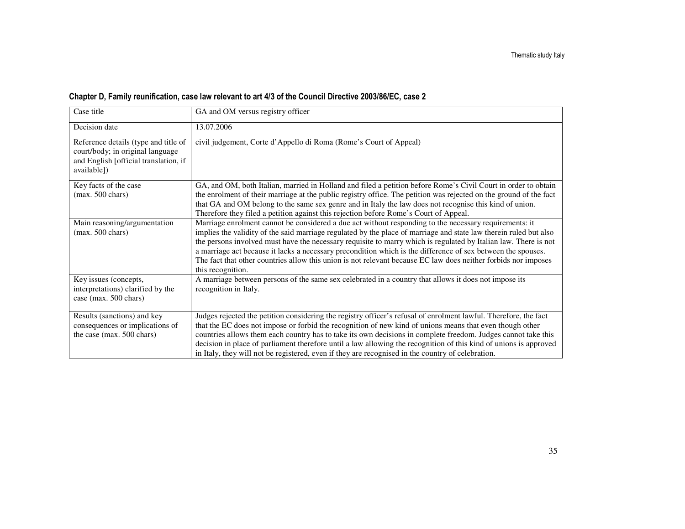| Chapter D, Family reunification, case law relevant to art 4/3 of the Council Directive 2003/86/EC, case 2 |  |
|-----------------------------------------------------------------------------------------------------------|--|
|-----------------------------------------------------------------------------------------------------------|--|

| Case title                                                                                                                       | GA and OM versus registry officer                                                                                                                                                                                                                                                                                                                                                                                                                                                                                                                                                                     |
|----------------------------------------------------------------------------------------------------------------------------------|-------------------------------------------------------------------------------------------------------------------------------------------------------------------------------------------------------------------------------------------------------------------------------------------------------------------------------------------------------------------------------------------------------------------------------------------------------------------------------------------------------------------------------------------------------------------------------------------------------|
| Decision date                                                                                                                    | 13.07.2006                                                                                                                                                                                                                                                                                                                                                                                                                                                                                                                                                                                            |
| Reference details (type and title of<br>court/body; in original language<br>and English [official translation, if<br>available]) | civil judgement, Corte d'Appello di Roma (Rome's Court of Appeal)                                                                                                                                                                                                                                                                                                                                                                                                                                                                                                                                     |
| Key facts of the case<br>$(max. 500 \text{ chars})$                                                                              | GA, and OM, both Italian, married in Holland and filed a petition before Rome's Civil Court in order to obtain<br>the enrolment of their marriage at the public registry office. The petition was rejected on the ground of the fact<br>that GA and OM belong to the same sex genre and in Italy the law does not recognise this kind of union.<br>Therefore they filed a petition against this rejection before Rome's Court of Appeal.                                                                                                                                                              |
| Main reasoning/argumentation<br>$(max. 500 \text{ chars})$                                                                       | Marriage enrolment cannot be considered a due act without responding to the necessary requirements: it<br>implies the validity of the said marriage regulated by the place of marriage and state law therein ruled but also<br>the persons involved must have the necessary requisite to marry which is regulated by Italian law. There is not<br>a marriage act because it lacks a necessary precondition which is the difference of sex between the spouses.<br>The fact that other countries allow this union is not relevant because EC law does neither forbids nor imposes<br>this recognition. |
| Key issues (concepts,<br>interpretations) clarified by the<br>case (max. 500 chars)                                              | A marriage between persons of the same sex celebrated in a country that allows it does not impose its<br>recognition in Italy.                                                                                                                                                                                                                                                                                                                                                                                                                                                                        |
| Results (sanctions) and key<br>consequences or implications of<br>the case (max. 500 chars)                                      | Judges rejected the petition considering the registry officer's refusal of enrolment lawful. Therefore, the fact<br>that the EC does not impose or forbid the recognition of new kind of unions means that even though other<br>countries allows them each country has to take its own decisions in complete freedom. Judges cannot take this<br>decision in place of parliament therefore until a law allowing the recognition of this kind of unions is approved<br>in Italy, they will not be registered, even if they are recognised in the country of celebration.                               |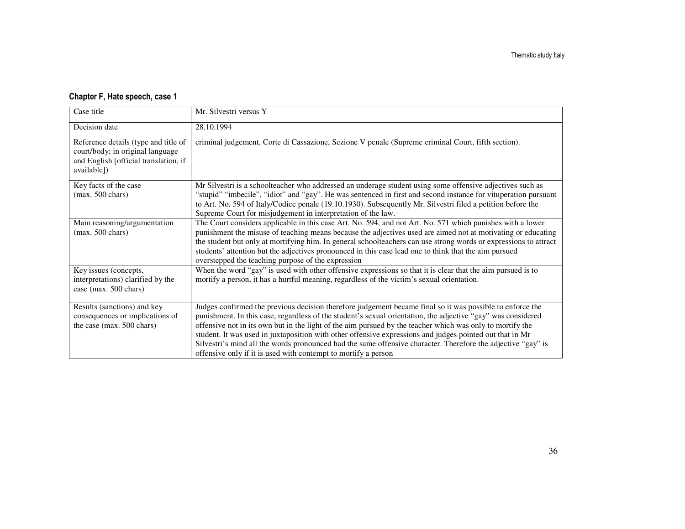#### Chapter F, Hate speech, case 1

| Case title                                                                                                                       | Mr. Silvestri versus Y                                                                                                                                                                                                                                                                                                                                                                                                                                                                                                                                                                                                               |
|----------------------------------------------------------------------------------------------------------------------------------|--------------------------------------------------------------------------------------------------------------------------------------------------------------------------------------------------------------------------------------------------------------------------------------------------------------------------------------------------------------------------------------------------------------------------------------------------------------------------------------------------------------------------------------------------------------------------------------------------------------------------------------|
| Decision date                                                                                                                    | 28.10.1994                                                                                                                                                                                                                                                                                                                                                                                                                                                                                                                                                                                                                           |
| Reference details (type and title of<br>court/body; in original language<br>and English [official translation, if<br>available]) | criminal judgement, Corte di Cassazione, Sezione V penale (Supreme criminal Court, fifth section).                                                                                                                                                                                                                                                                                                                                                                                                                                                                                                                                   |
| Key facts of the case<br>$(max. 500 \text{ chars})$                                                                              | Mr Silvestri is a schoolteacher who addressed an underage student using some offensive adjectives such as<br>"stupid" "imbecile", "idiot" and "gay". He was sentenced in first and second instance for vituperation pursuant<br>to Art. No. 594 of Italy/Codice penale (19.10.1930). Subsequently Mr. Silvestri filed a petition before the<br>Supreme Court for misjudgement in interpretation of the law.                                                                                                                                                                                                                          |
| Main reasoning/argumentation<br>$(max. 500 \text{ chars})$                                                                       | The Court considers applicable in this case Art. No. 594, and not Art. No. 571 which punishes with a lower<br>punishment the misuse of teaching means because the adjectives used are aimed not at motivating or educating<br>the student but only at mortifying him. In general schoolteachers can use strong words or expressions to attract<br>students' attention but the adjectives pronounced in this case lead one to think that the aim pursued<br>overstepped the teaching purpose of the expression                                                                                                                        |
| Key issues (concepts,<br>interpretations) clarified by the<br>case (max. 500 chars)                                              | When the word "gay" is used with other offensive expressions so that it is clear that the aim pursued is to<br>mortify a person, it has a hurtful meaning, regardless of the victim's sexual orientation.                                                                                                                                                                                                                                                                                                                                                                                                                            |
| Results (sanctions) and key<br>consequences or implications of<br>the case (max. 500 chars)                                      | Judges confirmed the previous decision therefore judgement became final so it was possible to enforce the<br>punishment. In this case, regardless of the student's sexual orientation, the adjective "gay" was considered<br>offensive not in its own but in the light of the aim pursued by the teacher which was only to mortify the<br>student. It was used in juxtaposition with other offensive expressions and judges pointed out that in Mr<br>Silvestri's mind all the words pronounced had the same offensive character. Therefore the adjective "gay" is<br>offensive only if it is used with contempt to mortify a person |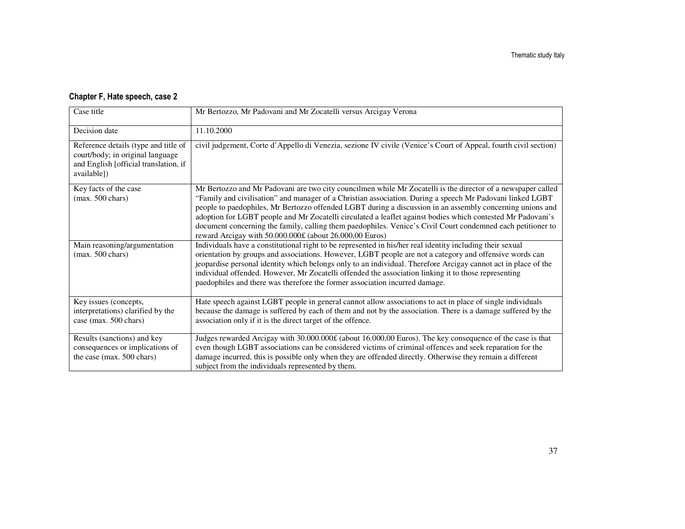## Chapter F, Hate speech, case 2

| Case title                                                                                                                       | Mr Bertozzo, Mr Padovani and Mr Zocatelli versus Arcigay Verona                                                                                                                                                                                                                                                                                                                                                                                                                                                                                                                                                                 |
|----------------------------------------------------------------------------------------------------------------------------------|---------------------------------------------------------------------------------------------------------------------------------------------------------------------------------------------------------------------------------------------------------------------------------------------------------------------------------------------------------------------------------------------------------------------------------------------------------------------------------------------------------------------------------------------------------------------------------------------------------------------------------|
| Decision date                                                                                                                    | 11.10.2000                                                                                                                                                                                                                                                                                                                                                                                                                                                                                                                                                                                                                      |
| Reference details (type and title of<br>court/body; in original language<br>and English [official translation, if<br>available]) | civil judgement, Corte d'Appello di Venezia, sezione IV civile (Venice's Court of Appeal, fourth civil section)                                                                                                                                                                                                                                                                                                                                                                                                                                                                                                                 |
| Key facts of the case<br>$(max. 500 \text{ chars})$                                                                              | Mr Bertozzo and Mr Padovani are two city councilmen while Mr Zocatelli is the director of a newspaper called<br>"Family and civilisation" and manager of a Christian association. During a speech Mr Padovani linked LGBT<br>people to paedophiles, Mr Bertozzo offended LGBT during a discussion in an assembly concerning unions and<br>adoption for LGBT people and Mr Zocatelli circulated a leaflet against bodies which contested Mr Padovani's<br>document concerning the family, calling them paedophiles. Venice's Civil Court condemned each petitioner to<br>reward Arcigay with 50.000.000£ (about 26.000,00 Euros) |
| Main reasoning/argumentation<br>$(max. 500 \text{ chars})$                                                                       | Individuals have a constitutional right to be represented in his/her real identity including their sexual<br>orientation by groups and associations. However, LGBT people are not a category and offensive words can<br>jeopardise personal identity which belongs only to an individual. Therefore Arcigay cannot act in place of the<br>individual offended. However, Mr Zocatelli offended the association linking it to those representing<br>paedophiles and there was therefore the former association incurred damage.                                                                                                   |
| Key issues (concepts,<br>interpretations) clarified by the<br>case (max. 500 chars)                                              | Hate speech against LGBT people in general cannot allow associations to act in place of single individuals<br>because the damage is suffered by each of them and not by the association. There is a damage suffered by the<br>association only if it is the direct target of the offence.                                                                                                                                                                                                                                                                                                                                       |
| Results (sanctions) and key<br>consequences or implications of<br>the case (max. 500 chars)                                      | Judges rewarded Arcigay with 30.000.000£ (about 16.000,00 Euros). The key consequence of the case is that<br>even though LGBT associations can be considered victims of criminal offences and seek reparation for the<br>damage incurred, this is possible only when they are offended directly. Otherwise they remain a different<br>subject from the individuals represented by them.                                                                                                                                                                                                                                         |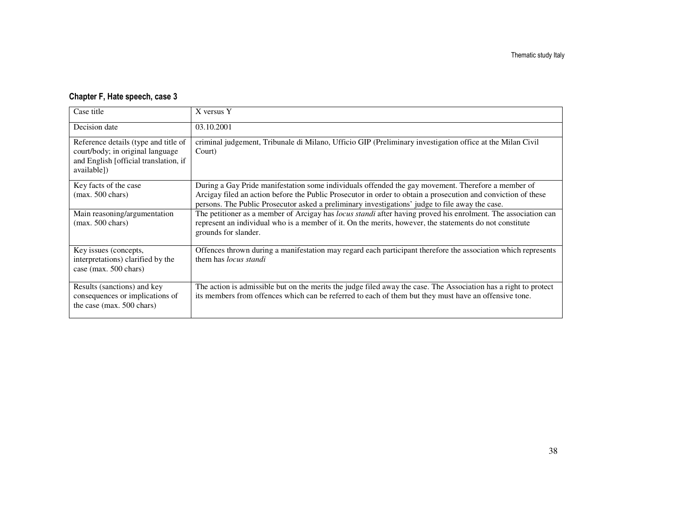## Chapter F, Hate speech, case 3

| Case title                                                                                                                       | X versus Y                                                                                                                                                                                                                                                                                                             |
|----------------------------------------------------------------------------------------------------------------------------------|------------------------------------------------------------------------------------------------------------------------------------------------------------------------------------------------------------------------------------------------------------------------------------------------------------------------|
| Decision date                                                                                                                    | 03.10.2001                                                                                                                                                                                                                                                                                                             |
| Reference details (type and title of<br>court/body; in original language<br>and English [official translation, if<br>available]) | criminal judgement, Tribunale di Milano, Ufficio GIP (Preliminary investigation office at the Milan Civil<br>Court)                                                                                                                                                                                                    |
| Key facts of the case<br>$(max. 500 \text{ chars})$                                                                              | During a Gay Pride manifestation some individuals offended the gay movement. Therefore a member of<br>Arcigay filed an action before the Public Prosecutor in order to obtain a prosecution and conviction of these<br>persons. The Public Prosecutor asked a preliminary investigations' judge to file away the case. |
| Main reasoning/argumentation<br>$(max. 500 \text{ chars})$                                                                       | The petitioner as a member of Arcigay has locus standi after having proved his enrolment. The association can<br>represent an individual who is a member of it. On the merits, however, the statements do not constitute<br>grounds for slander.                                                                       |
| Key issues (concepts,<br>interpretations) clarified by the<br>case (max. 500 chars)                                              | Offences thrown during a manifestation may regard each participant therefore the association which represents<br>them has <i>locus standi</i>                                                                                                                                                                          |
| Results (sanctions) and key<br>consequences or implications of<br>the case (max. 500 chars)                                      | The action is admissible but on the merits the judge filed away the case. The Association has a right to protect<br>its members from offences which can be referred to each of them but they must have an offensive tone.                                                                                              |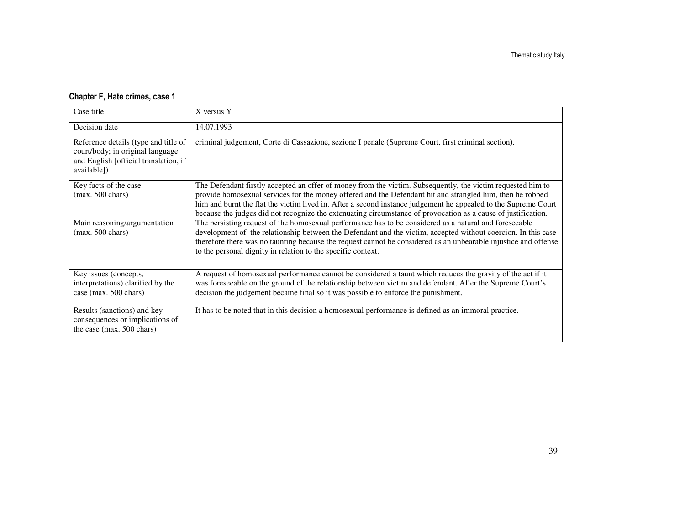### Chapter F, Hate crimes, case 1

| Case title                                                                                                                       | X versus Y                                                                                                                                                                                                                                                                                                                                                                                                                                                  |
|----------------------------------------------------------------------------------------------------------------------------------|-------------------------------------------------------------------------------------------------------------------------------------------------------------------------------------------------------------------------------------------------------------------------------------------------------------------------------------------------------------------------------------------------------------------------------------------------------------|
| Decision date                                                                                                                    | 14.07.1993                                                                                                                                                                                                                                                                                                                                                                                                                                                  |
| Reference details (type and title of<br>court/body; in original language<br>and English [official translation, if<br>available]) | criminal judgement, Corte di Cassazione, sezione I penale (Supreme Court, first criminal section).                                                                                                                                                                                                                                                                                                                                                          |
| Key facts of the case<br>$(max. 500 \text{ chars})$                                                                              | The Defendant firstly accepted an offer of money from the victim. Subsequently, the victim requested him to<br>provide homosexual services for the money offered and the Defendant hit and strangled him, then he robbed<br>him and burnt the flat the victim lived in. After a second instance judgement he appealed to the Supreme Court<br>because the judges did not recognize the extenuating circumstance of provocation as a cause of justification. |
| Main reasoning/argumentation<br>$(max. 500 \text{ chars})$                                                                       | The persisting request of the homosexual performance has to be considered as a natural and foreseeable<br>development of the relationship between the Defendant and the victim, accepted without coercion. In this case<br>therefore there was no taunting because the request cannot be considered as an unbearable injustice and offense<br>to the personal dignity in relation to the specific context.                                                  |
| Key issues (concepts,<br>interpretations) clarified by the<br>case (max. 500 chars)                                              | A request of homosexual performance cannot be considered a taunt which reduces the gravity of the act if it<br>was foreseeable on the ground of the relationship between victim and defendant. After the Supreme Court's<br>decision the judgement became final so it was possible to enforce the punishment.                                                                                                                                               |
| Results (sanctions) and key<br>consequences or implications of<br>the case (max. 500 chars)                                      | It has to be noted that in this decision a homosexual performance is defined as an immoral practice.                                                                                                                                                                                                                                                                                                                                                        |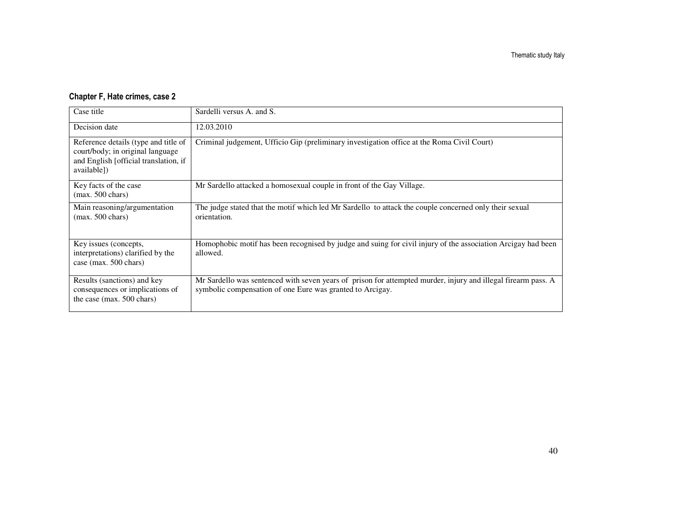### Chapter F, Hate crimes, case 2

| Case title                                                                                                                       | Sardelli versus A. and S.                                                                                                                                                  |
|----------------------------------------------------------------------------------------------------------------------------------|----------------------------------------------------------------------------------------------------------------------------------------------------------------------------|
| Decision date                                                                                                                    | 12.03.2010                                                                                                                                                                 |
| Reference details (type and title of<br>court/body; in original language<br>and English [official translation, if<br>available]) | Criminal judgement, Ufficio Gip (preliminary investigation office at the Roma Civil Court)                                                                                 |
| Key facts of the case<br>$(max. 500 \text{ chars})$                                                                              | Mr Sardello attacked a homosexual couple in front of the Gay Village.                                                                                                      |
| Main reasoning/argumentation<br>$(max. 500 \text{ chars})$                                                                       | The judge stated that the motif which led Mr Sardello to attack the couple concerned only their sexual<br>orientation.                                                     |
| Key issues (concepts,<br>interpretations) clarified by the<br>case (max. 500 chars)                                              | Homophobic motif has been recognised by judge and suing for civil injury of the association Arcigay had been<br>allowed.                                                   |
| Results (sanctions) and key<br>consequences or implications of<br>the case (max. 500 chars)                                      | Mr Sardello was sentenced with seven years of prison for attempted murder, injury and illegal firearm pass. A<br>symbolic compensation of one Eure was granted to Arcigay. |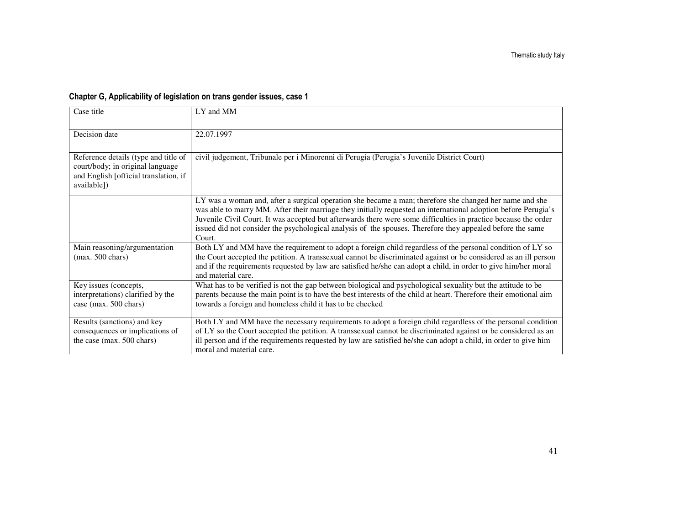## Chapter G, Applicability of legislation on trans gender issues, case 1

| Case title                                                                                                                       | LY and MM                                                                                                                                                                                                                                                                                                                                                                                                                                                            |
|----------------------------------------------------------------------------------------------------------------------------------|----------------------------------------------------------------------------------------------------------------------------------------------------------------------------------------------------------------------------------------------------------------------------------------------------------------------------------------------------------------------------------------------------------------------------------------------------------------------|
|                                                                                                                                  |                                                                                                                                                                                                                                                                                                                                                                                                                                                                      |
| Decision date                                                                                                                    | 22.07.1997                                                                                                                                                                                                                                                                                                                                                                                                                                                           |
|                                                                                                                                  |                                                                                                                                                                                                                                                                                                                                                                                                                                                                      |
| Reference details (type and title of<br>court/body; in original language<br>and English [official translation, if<br>available]) | civil judgement, Tribunale per i Minorenni di Perugia (Perugia's Juvenile District Court)                                                                                                                                                                                                                                                                                                                                                                            |
|                                                                                                                                  | LY was a woman and, after a surgical operation she became a man; therefore she changed her name and she<br>was able to marry MM. After their marriage they initially requested an international adoption before Perugia's<br>Juvenile Civil Court. It was accepted but afterwards there were some difficulties in practice because the order<br>issued did not consider the psychological analysis of the spouses. Therefore they appealed before the same<br>Court. |
| Main reasoning/argumentation                                                                                                     | Both LY and MM have the requirement to adopt a foreign child regardless of the personal condition of LY so                                                                                                                                                                                                                                                                                                                                                           |
| $(max. 500 \text{ chars})$                                                                                                       | the Court accepted the petition. A transsexual cannot be discriminated against or be considered as an ill person<br>and if the requirements requested by law are satisfied he/she can adopt a child, in order to give him/her moral<br>and material care.                                                                                                                                                                                                            |
| Key issues (concepts,                                                                                                            | What has to be verified is not the gap between biological and psychological sexuality but the attitude to be                                                                                                                                                                                                                                                                                                                                                         |
| interpretations) clarified by the                                                                                                | parents because the main point is to have the best interests of the child at heart. Therefore their emotional aim                                                                                                                                                                                                                                                                                                                                                    |
| case (max. 500 chars)                                                                                                            | towards a foreign and homeless child it has to be checked                                                                                                                                                                                                                                                                                                                                                                                                            |
| Results (sanctions) and key                                                                                                      | Both LY and MM have the necessary requirements to adopt a foreign child regardless of the personal condition                                                                                                                                                                                                                                                                                                                                                         |
| consequences or implications of                                                                                                  | of LY so the Court accepted the petition. A transsexual cannot be discriminated against or be considered as an                                                                                                                                                                                                                                                                                                                                                       |
| the case (max. 500 chars)                                                                                                        | ill person and if the requirements requested by law are satisfied he/she can adopt a child, in order to give him<br>moral and material care.                                                                                                                                                                                                                                                                                                                         |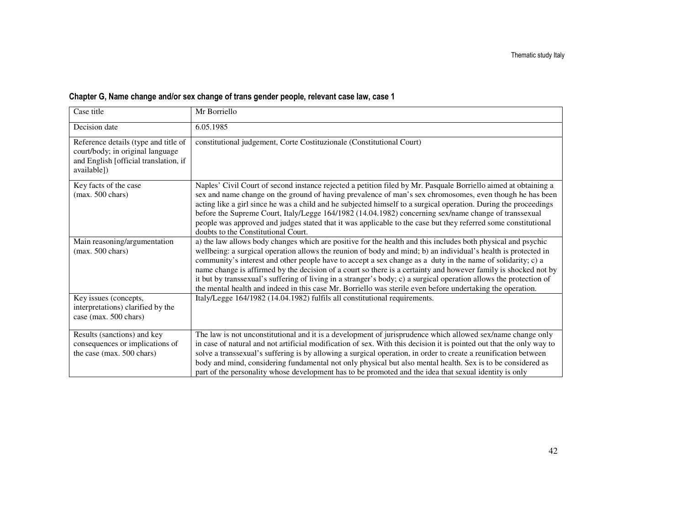| Case title                                                                                                                       | Mr Borriello                                                                                                                                                                                                                                                                                                                                                                                                                                                                                                                                                                                                                                                                                         |
|----------------------------------------------------------------------------------------------------------------------------------|------------------------------------------------------------------------------------------------------------------------------------------------------------------------------------------------------------------------------------------------------------------------------------------------------------------------------------------------------------------------------------------------------------------------------------------------------------------------------------------------------------------------------------------------------------------------------------------------------------------------------------------------------------------------------------------------------|
| Decision date                                                                                                                    | 6.05.1985                                                                                                                                                                                                                                                                                                                                                                                                                                                                                                                                                                                                                                                                                            |
| Reference details (type and title of<br>court/body; in original language<br>and English [official translation, if<br>available]) | constitutional judgement, Corte Costituzionale (Constitutional Court)                                                                                                                                                                                                                                                                                                                                                                                                                                                                                                                                                                                                                                |
| Key facts of the case<br>$(max. 500 \text{ chars})$                                                                              | Naples' Civil Court of second instance rejected a petition filed by Mr. Pasquale Borriello aimed at obtaining a<br>sex and name change on the ground of having prevalence of man's sex chromosomes, even though he has been<br>acting like a girl since he was a child and he subjected himself to a surgical operation. During the proceedings<br>before the Supreme Court, Italy/Legge 164/1982 (14.04.1982) concerning sex/name change of transsexual<br>people was approved and judges stated that it was applicable to the case but they referred some constitutional<br>doubts to the Constitutional Court.                                                                                    |
| Main reasoning/argumentation<br>$(max. 500 \text{ chars})$                                                                       | a) the law allows body changes which are positive for the health and this includes both physical and psychic<br>wellbeing: a surgical operation allows the reunion of body and mind; b) an individual's health is protected in<br>community's interest and other people have to accept a sex change as a duty in the name of solidarity; c) a<br>name change is affirmed by the decision of a court so there is a certainty and however family is shocked not by<br>it but by transsexual's suffering of living in a stranger's body; c) a surgical operation allows the protection of<br>the mental health and indeed in this case Mr. Borriello was sterile even before undertaking the operation. |
| Key issues (concepts,<br>interpretations) clarified by the<br>case (max. 500 chars)                                              | Italy/Legge 164/1982 (14.04.1982) fulfils all constitutional requirements.                                                                                                                                                                                                                                                                                                                                                                                                                                                                                                                                                                                                                           |
| Results (sanctions) and key<br>consequences or implications of<br>the case (max. 500 chars)                                      | The law is not unconstitutional and it is a development of jurisprudence which allowed sex/name change only<br>in case of natural and not artificial modification of sex. With this decision it is pointed out that the only way to<br>solve a transsexual's suffering is by allowing a surgical operation, in order to create a reunification between<br>body and mind, considering fundamental not only physical but also mental health. Sex is to be considered as<br>part of the personality whose development has to be promoted and the idea that sexual identity is only                                                                                                                      |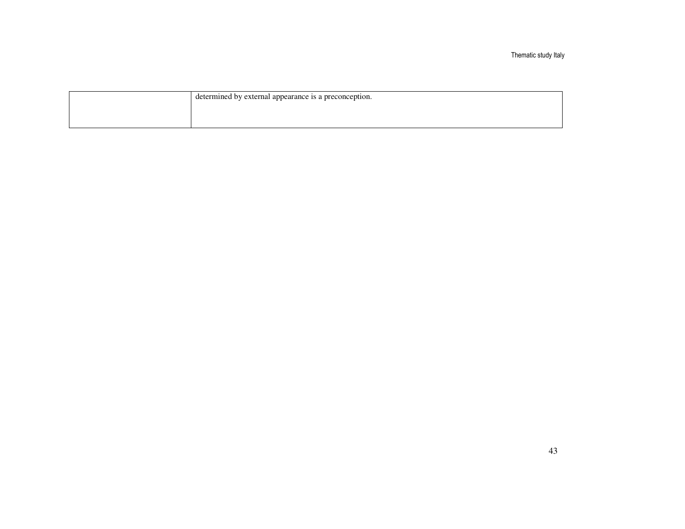Thematic study Italy

| determined by external appearance is a preconception. |
|-------------------------------------------------------|
|                                                       |
|                                                       |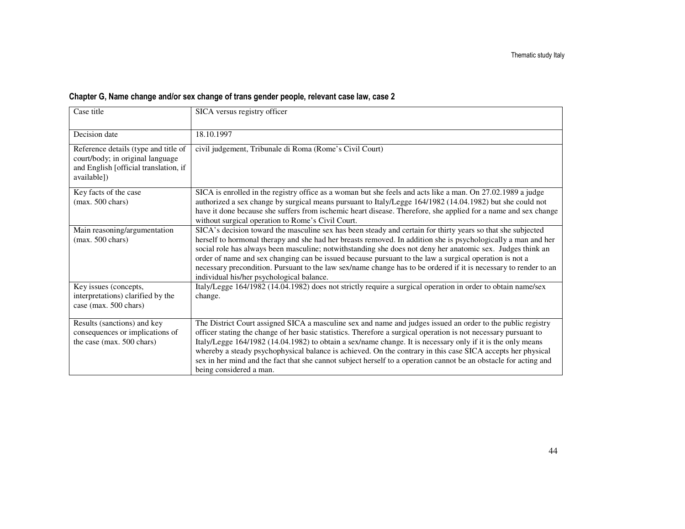| Case title                                                                                                                       | SICA versus registry officer                                                                                                                                                                                                                                                                                                                                                                                                                                                                                                                                                                                          |
|----------------------------------------------------------------------------------------------------------------------------------|-----------------------------------------------------------------------------------------------------------------------------------------------------------------------------------------------------------------------------------------------------------------------------------------------------------------------------------------------------------------------------------------------------------------------------------------------------------------------------------------------------------------------------------------------------------------------------------------------------------------------|
|                                                                                                                                  |                                                                                                                                                                                                                                                                                                                                                                                                                                                                                                                                                                                                                       |
| Decision date                                                                                                                    | 18.10.1997                                                                                                                                                                                                                                                                                                                                                                                                                                                                                                                                                                                                            |
| Reference details (type and title of<br>court/body; in original language<br>and English [official translation, if<br>available]) | civil judgement, Tribunale di Roma (Rome's Civil Court)                                                                                                                                                                                                                                                                                                                                                                                                                                                                                                                                                               |
| Key facts of the case<br>$(max. 500 \text{ chars})$                                                                              | SICA is enrolled in the registry office as a woman but she feels and acts like a man. On 27.02.1989 a judge<br>authorized a sex change by surgical means pursuant to Italy/Legge 164/1982 (14.04.1982) but she could not<br>have it done because she suffers from ischemic heart disease. Therefore, she applied for a name and sex change<br>without surgical operation to Rome's Civil Court.                                                                                                                                                                                                                       |
| Main reasoning/argumentation<br>$(max. 500 \text{ chars})$                                                                       | SICA's decision toward the masculine sex has been steady and certain for thirty years so that she subjected<br>herself to hormonal therapy and she had her breasts removed. In addition she is psychologically a man and her<br>social role has always been masculine; notwithstanding she does not deny her anatomic sex. Judges think an<br>order of name and sex changing can be issued because pursuant to the law a surgical operation is not a<br>necessary precondition. Pursuant to the law sex/name change has to be ordered if it is necessary to render to an<br>individual his/her psychological balance. |
| Key issues (concepts,<br>interpretations) clarified by the<br>case (max. 500 chars)                                              | Italy/Legge 164/1982 (14.04.1982) does not strictly require a surgical operation in order to obtain name/sex<br>change.                                                                                                                                                                                                                                                                                                                                                                                                                                                                                               |
| Results (sanctions) and key<br>consequences or implications of<br>the case (max. 500 chars)                                      | The District Court assigned SICA a masculine sex and name and judges issued an order to the public registry<br>officer stating the change of her basic statistics. Therefore a surgical operation is not necessary pursuant to<br>Italy/Legge 164/1982 (14.04.1982) to obtain a sex/name change. It is necessary only if it is the only means<br>whereby a steady psychophysical balance is achieved. On the contrary in this case SICA accepts her physical<br>sex in her mind and the fact that she cannot subject herself to a operation cannot be an obstacle for acting and<br>being considered a man.           |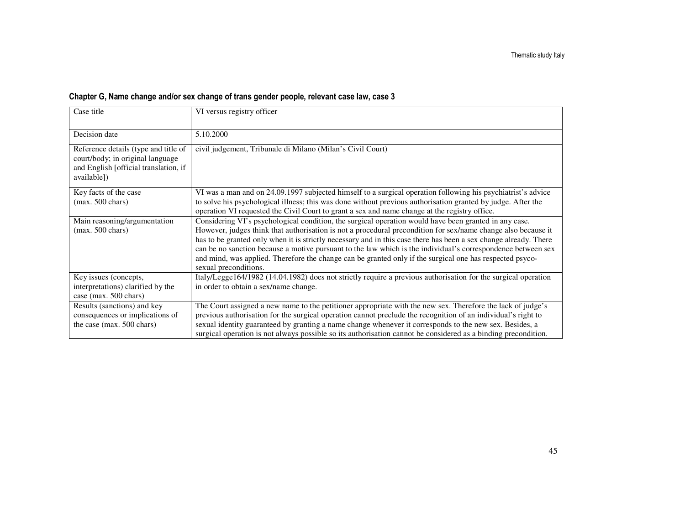|  |  | Chapter G, Name change and/or sex change of trans gender people, relevant case law, case 3 |  |  |  |
|--|--|--------------------------------------------------------------------------------------------|--|--|--|
|  |  |                                                                                            |  |  |  |

| Case title                                                                                                                       | VI versus registry officer                                                                                                                                                                                                                                                                                                                                                                                                                                                                                                                                                                      |
|----------------------------------------------------------------------------------------------------------------------------------|-------------------------------------------------------------------------------------------------------------------------------------------------------------------------------------------------------------------------------------------------------------------------------------------------------------------------------------------------------------------------------------------------------------------------------------------------------------------------------------------------------------------------------------------------------------------------------------------------|
| Decision date                                                                                                                    | 5.10.2000                                                                                                                                                                                                                                                                                                                                                                                                                                                                                                                                                                                       |
| Reference details (type and title of<br>court/body; in original language<br>and English [official translation, if<br>available]) | civil judgement, Tribunale di Milano (Milan's Civil Court)                                                                                                                                                                                                                                                                                                                                                                                                                                                                                                                                      |
| Key facts of the case<br>$(max. 500 \text{ chars})$                                                                              | VI was a man and on 24.09.1997 subjected himself to a surgical operation following his psychiatrist's advice<br>to solve his psychological illness; this was done without previous authorisation granted by judge. After the<br>operation VI requested the Civil Court to grant a sex and name change at the registry office.                                                                                                                                                                                                                                                                   |
| Main reasoning/argumentation<br>$(max. 500 \text{ chars})$                                                                       | Considering VI's psychological condition, the surgical operation would have been granted in any case.<br>However, judges think that authorisation is not a procedural precondition for sex/name change also because it<br>has to be granted only when it is strictly necessary and in this case there has been a sex change already. There<br>can be no sanction because a motive pursuant to the law which is the individual's correspondence between sex<br>and mind, was applied. Therefore the change can be granted only if the surgical one has respected psyco-<br>sexual preconditions. |
| Key issues (concepts,<br>interpretations) clarified by the<br>case (max. 500 chars)                                              | Italy/Legge164/1982 (14.04.1982) does not strictly require a previous authorisation for the surgical operation<br>in order to obtain a sex/name change.                                                                                                                                                                                                                                                                                                                                                                                                                                         |
| Results (sanctions) and key<br>consequences or implications of<br>the case (max. 500 chars)                                      | The Court assigned a new name to the petitioner appropriate with the new sex. Therefore the lack of judge's<br>previous authorisation for the surgical operation cannot preclude the recognition of an individual's right to<br>sexual identity guaranteed by granting a name change whenever it corresponds to the new sex. Besides, a<br>surgical operation is not always possible so its authorisation cannot be considered as a binding precondition.                                                                                                                                       |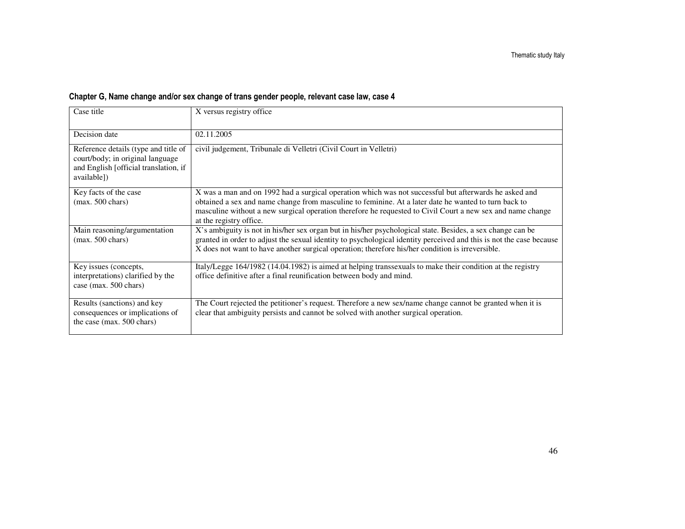| Case title                                                                                                                       | X versus registry office                                                                                                                                                                                                                                                                                                                               |
|----------------------------------------------------------------------------------------------------------------------------------|--------------------------------------------------------------------------------------------------------------------------------------------------------------------------------------------------------------------------------------------------------------------------------------------------------------------------------------------------------|
| Decision date                                                                                                                    | 02.11.2005                                                                                                                                                                                                                                                                                                                                             |
| Reference details (type and title of<br>court/body; in original language<br>and English [official translation, if<br>available]) | civil judgement, Tribunale di Velletri (Civil Court in Velletri)                                                                                                                                                                                                                                                                                       |
| Key facts of the case<br>$(max. 500 \text{ chars})$                                                                              | X was a man and on 1992 had a surgical operation which was not successful but afterwards he asked and<br>obtained a sex and name change from masculine to feminine. At a later date he wanted to turn back to<br>masculine without a new surgical operation therefore he requested to Civil Court a new sex and name change<br>at the registry office. |
| Main reasoning/argumentation<br>$(max. 500 \text{ chars})$                                                                       | X's ambiguity is not in his/her sex organ but in his/her psychological state. Besides, a sex change can be<br>granted in order to adjust the sexual identity to psychological identity perceived and this is not the case because<br>X does not want to have another surgical operation; therefore his/her condition is irreversible.                  |
| Key issues (concepts,<br>interpretations) clarified by the<br>case (max. 500 chars)                                              | Italy/Legge 164/1982 (14.04.1982) is aimed at helping transsexuals to make their condition at the registry<br>office definitive after a final reunification between body and mind.                                                                                                                                                                     |
| Results (sanctions) and key<br>consequences or implications of<br>the case (max. 500 chars)                                      | The Court rejected the petitioner's request. Therefore a new sex/name change cannot be granted when it is<br>clear that ambiguity persists and cannot be solved with another surgical operation.                                                                                                                                                       |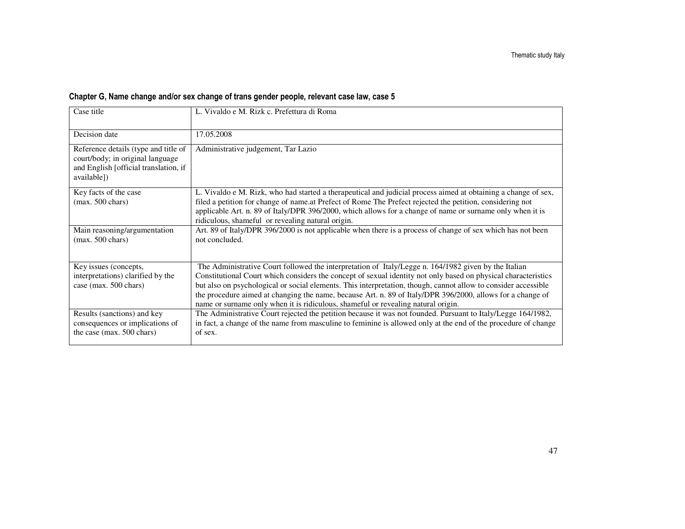| Case title                                                                                                                       | L. Vivaldo e M. Rizk c. Prefettura di Roma                                                                                                                                                                                                                                                                                                                                                                                                                                                                                                  |
|----------------------------------------------------------------------------------------------------------------------------------|---------------------------------------------------------------------------------------------------------------------------------------------------------------------------------------------------------------------------------------------------------------------------------------------------------------------------------------------------------------------------------------------------------------------------------------------------------------------------------------------------------------------------------------------|
| Decision date                                                                                                                    | 17.05.2008                                                                                                                                                                                                                                                                                                                                                                                                                                                                                                                                  |
| Reference details (type and title of<br>court/body; in original language<br>and English [official translation, if<br>available]) | Administrative judgement, Tar Lazio                                                                                                                                                                                                                                                                                                                                                                                                                                                                                                         |
| Key facts of the case<br>$(max. 500 \text{ chars})$                                                                              | L. Vivaldo e M. Rizk, who had started a therapeutical and judicial process aimed at obtaining a change of sex,<br>filed a petition for change of name.at Prefect of Rome The Prefect rejected the petition, considering not<br>applicable Art. n. 89 of Italy/DPR 396/2000, which allows for a change of name or surname only when it is<br>ridiculous, shameful or revealing natural origin.                                                                                                                                               |
| Main reasoning/argumentation<br>$(max. 500 \text{ chars})$                                                                       | Art. 89 of Italy/DPR 396/2000 is not applicable when there is a process of change of sex which has not been<br>not concluded.                                                                                                                                                                                                                                                                                                                                                                                                               |
| Key issues (concepts,<br>interpretations) clarified by the<br>case (max. 500 chars)                                              | The Administrative Court followed the interpretation of Italy/Legge n. 164/1982 given by the Italian<br>Constitutional Court which considers the concept of sexual identity not only based on physical characteristics<br>but also on psychological or social elements. This interpretation, though, cannot allow to consider accessible<br>the procedure aimed at changing the name, because Art. n. 89 of Italy/DPR 396/2000, allows for a change of<br>name or surname only when it is ridiculous, shameful or revealing natural origin. |
| Results (sanctions) and key<br>consequences or implications of<br>the case (max. 500 chars)                                      | The Administrative Court rejected the petition because it was not founded. Pursuant to Italy/Legge 164/1982,<br>in fact, a change of the name from masculine to feminine is allowed only at the end of the procedure of change<br>of sex.                                                                                                                                                                                                                                                                                                   |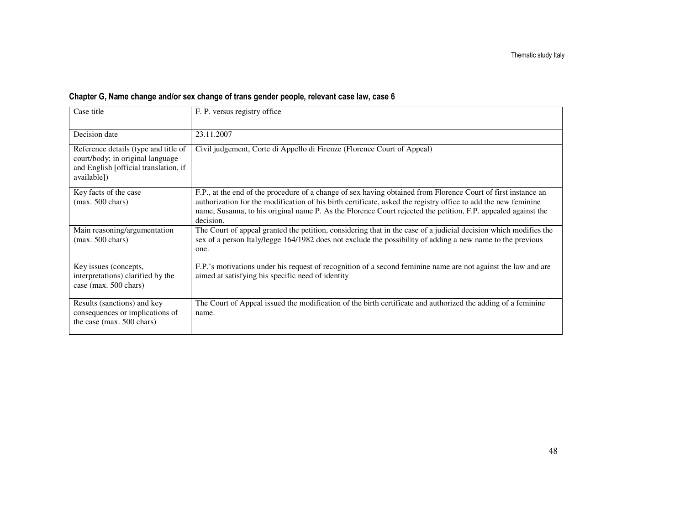| Case title                                                                                                                       | F. P. versus registry office                                                                                                                                                                                                                                                                                                                                  |
|----------------------------------------------------------------------------------------------------------------------------------|---------------------------------------------------------------------------------------------------------------------------------------------------------------------------------------------------------------------------------------------------------------------------------------------------------------------------------------------------------------|
| Decision date                                                                                                                    | 23.11.2007                                                                                                                                                                                                                                                                                                                                                    |
| Reference details (type and title of<br>court/body; in original language<br>and English [official translation, if<br>available]) | Civil judgement, Corte di Appello di Firenze (Florence Court of Appeal)                                                                                                                                                                                                                                                                                       |
| Key facts of the case<br>$(max. 500 \text{ chars})$                                                                              | F.P., at the end of the procedure of a change of sex having obtained from Florence Court of first instance an<br>authorization for the modification of his birth certificate, asked the registry office to add the new feminine<br>name, Susanna, to his original name P. As the Florence Court rejected the petition, F.P. appealed against the<br>decision. |
| Main reasoning/argumentation<br>$(max. 500 \text{ chars})$                                                                       | The Court of appeal granted the petition, considering that in the case of a judicial decision which modifies the<br>sex of a person Italy/legge 164/1982 does not exclude the possibility of adding a new name to the previous<br>one.                                                                                                                        |
| Key issues (concepts,<br>interpretations) clarified by the<br>case (max. 500 chars)                                              | F.P.'s motivations under his request of recognition of a second feminine name are not against the law and are<br>aimed at satisfying his specific need of identity                                                                                                                                                                                            |
| Results (sanctions) and key<br>consequences or implications of<br>the case (max. 500 chars)                                      | The Court of Appeal issued the modification of the birth certificate and authorized the adding of a feminine<br>name.                                                                                                                                                                                                                                         |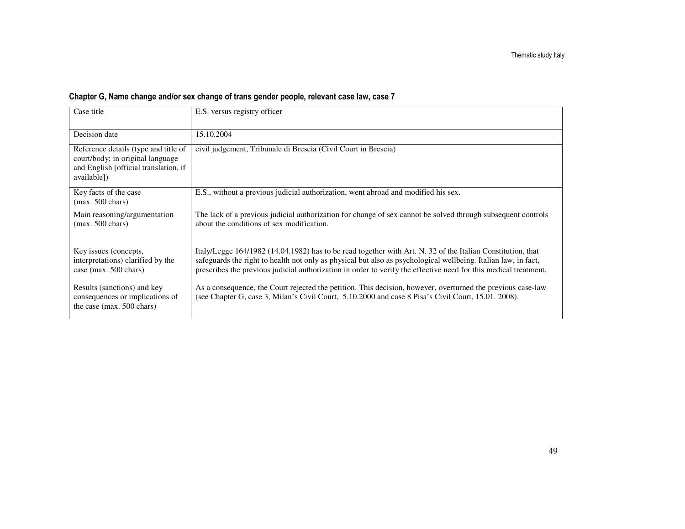| Case title                                                                                                                       | E.S. versus registry officer                                                                                                                                                                                                                                                                                                                      |
|----------------------------------------------------------------------------------------------------------------------------------|---------------------------------------------------------------------------------------------------------------------------------------------------------------------------------------------------------------------------------------------------------------------------------------------------------------------------------------------------|
| Decision date                                                                                                                    | 15.10.2004                                                                                                                                                                                                                                                                                                                                        |
| Reference details (type and title of<br>court/body; in original language<br>and English [official translation, if<br>available]) | civil judgement, Tribunale di Brescia (Civil Court in Brescia)                                                                                                                                                                                                                                                                                    |
| Key facts of the case<br>$(max. 500 \text{ chars})$                                                                              | E.S., without a previous judicial authorization, went abroad and modified his sex.                                                                                                                                                                                                                                                                |
| Main reasoning/argumentation<br>$(max. 500 \text{ chars})$                                                                       | The lack of a previous judicial authorization for change of sex cannot be solved through subsequent controls<br>about the conditions of sex modification.                                                                                                                                                                                         |
| Key issues (concepts,<br>interpretations) clarified by the<br>case (max. 500 chars)                                              | Italy/Legge 164/1982 (14.04.1982) has to be read together with Art. N. 32 of the Italian Constitution, that<br>safeguards the right to health not only as physical but also as psychological wellbeing. Italian law, in fact,<br>prescribes the previous judicial authorization in order to verify the effective need for this medical treatment. |
| Results (sanctions) and key<br>consequences or implications of<br>the case (max. 500 chars)                                      | As a consequence, the Court rejected the petition. This decision, however, overturned the previous case-law<br>(see Chapter G, case 3, Milan's Civil Court, 5.10.2000 and case 8 Pisa's Civil Court, 15.01. 2008).                                                                                                                                |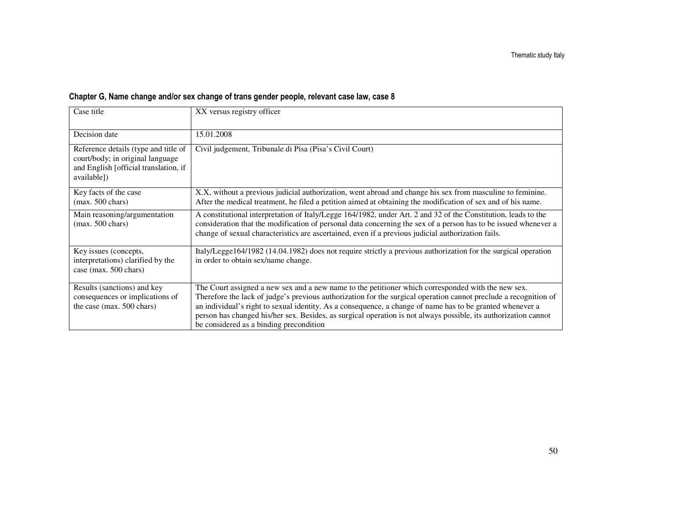| Case title                                                                                                                       | XX versus registry officer                                                                                                                                                                                                                                                                                                                                                                                                                                                                        |
|----------------------------------------------------------------------------------------------------------------------------------|---------------------------------------------------------------------------------------------------------------------------------------------------------------------------------------------------------------------------------------------------------------------------------------------------------------------------------------------------------------------------------------------------------------------------------------------------------------------------------------------------|
| Decision date                                                                                                                    | 15.01.2008                                                                                                                                                                                                                                                                                                                                                                                                                                                                                        |
| Reference details (type and title of<br>court/body; in original language<br>and English [official translation, if<br>available]) | Civil judgement, Tribunale di Pisa (Pisa's Civil Court)                                                                                                                                                                                                                                                                                                                                                                                                                                           |
| Key facts of the case<br>$(max. 500 \text{ chars})$                                                                              | X.X, without a previous judicial authorization, went abroad and change his sex from masculine to feminine.<br>After the medical treatment, he filed a petition aimed at obtaining the modification of sex and of his name.                                                                                                                                                                                                                                                                        |
| Main reasoning/argumentation<br>$(max. 500 \text{ chars})$                                                                       | A constitutional interpretation of Italy/Legge 164/1982, under Art. 2 and 32 of the Constitution, leads to the<br>consideration that the modification of personal data concerning the sex of a person has to be issued whenever a<br>change of sexual characteristics are ascertained, even if a previous judicial authorization fails.                                                                                                                                                           |
| Key issues (concepts,<br>interpretations) clarified by the<br>case (max. 500 chars)                                              | Italy/Legge164/1982 (14.04.1982) does not require strictly a previous authorization for the surgical operation<br>in order to obtain sex/name change.                                                                                                                                                                                                                                                                                                                                             |
| Results (sanctions) and key<br>consequences or implications of<br>the case (max. 500 chars)                                      | The Court assigned a new sex and a new name to the petitioner which corresponded with the new sex.<br>Therefore the lack of judge's previous authorization for the surgical operation cannot preclude a recognition of<br>an individual's right to sexual identity. As a consequence, a change of name has to be granted whenever a<br>person has changed his/her sex. Besides, as surgical operation is not always possible, its authorization cannot<br>be considered as a binding precondition |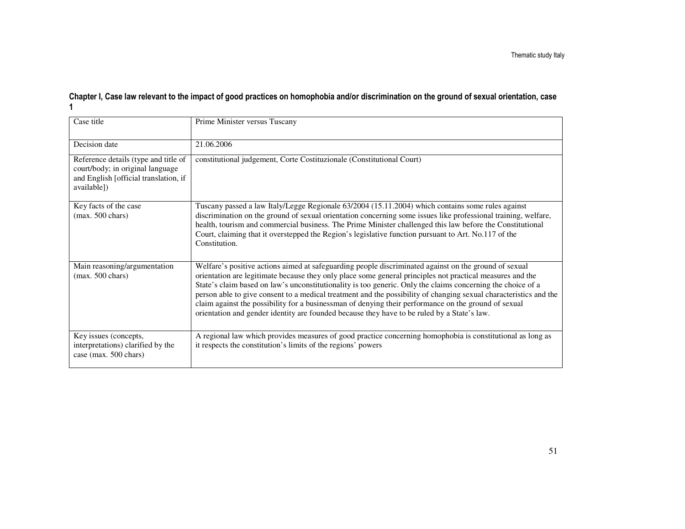## Chapter I, Case law relevant to the impact of good practices on homophobia and/or discrimination on the ground of sexual orientation, case 1

| Case title                                                                                                                       | Prime Minister versus Tuscany                                                                                                                                                                                                                                                                                                                                                                                                                                                                                                                                                                                                                                 |
|----------------------------------------------------------------------------------------------------------------------------------|---------------------------------------------------------------------------------------------------------------------------------------------------------------------------------------------------------------------------------------------------------------------------------------------------------------------------------------------------------------------------------------------------------------------------------------------------------------------------------------------------------------------------------------------------------------------------------------------------------------------------------------------------------------|
| Decision date                                                                                                                    | 21.06.2006                                                                                                                                                                                                                                                                                                                                                                                                                                                                                                                                                                                                                                                    |
| Reference details (type and title of<br>court/body; in original language<br>and English [official translation, if<br>available]) | constitutional judgement, Corte Costituzionale (Constitutional Court)                                                                                                                                                                                                                                                                                                                                                                                                                                                                                                                                                                                         |
| Key facts of the case<br>$(max. 500 \text{ chars})$                                                                              | Tuscany passed a law Italy/Legge Regionale 63/2004 (15.11.2004) which contains some rules against<br>discrimination on the ground of sexual orientation concerning some issues like professional training, welfare,<br>health, tourism and commercial business. The Prime Minister challenged this law before the Constitutional<br>Court, claiming that it overstepped the Region's legislative function pursuant to Art. No.117 of the<br>Constitution.                                                                                                                                                                                                     |
| Main reasoning/argumentation<br>$(max. 500 \text{ chars})$                                                                       | Welfare's positive actions aimed at safeguarding people discriminated against on the ground of sexual<br>orientation are legitimate because they only place some general principles not practical measures and the<br>State's claim based on law's unconstitutionality is too generic. Only the claims concerning the choice of a<br>person able to give consent to a medical treatment and the possibility of changing sexual characteristics and the<br>claim against the possibility for a businessman of denying their performance on the ground of sexual<br>orientation and gender identity are founded because they have to be ruled by a State's law. |
| Key issues (concepts,<br>interpretations) clarified by the<br>case (max. 500 chars)                                              | A regional law which provides measures of good practice concerning homophobia is constitutional as long as<br>it respects the constitution's limits of the regions' powers                                                                                                                                                                                                                                                                                                                                                                                                                                                                                    |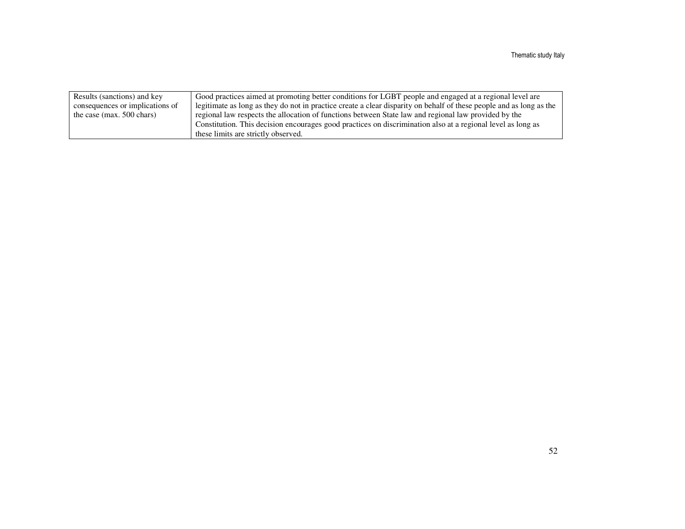| Results (sanctions) and key     | Good practices aimed at promoting better conditions for LGBT people and engaged at a regional level are             |
|---------------------------------|---------------------------------------------------------------------------------------------------------------------|
| consequences or implications of | legitimate as long as they do not in practice create a clear disparity on behalf of these people and as long as the |
| the case (max. $500$ chars)     | regional law respects the allocation of functions between State law and regional law provided by the                |
|                                 | Constitution. This decision encourages good practices on discrimination also at a regional level as long as         |
|                                 | these limits are strictly observed.                                                                                 |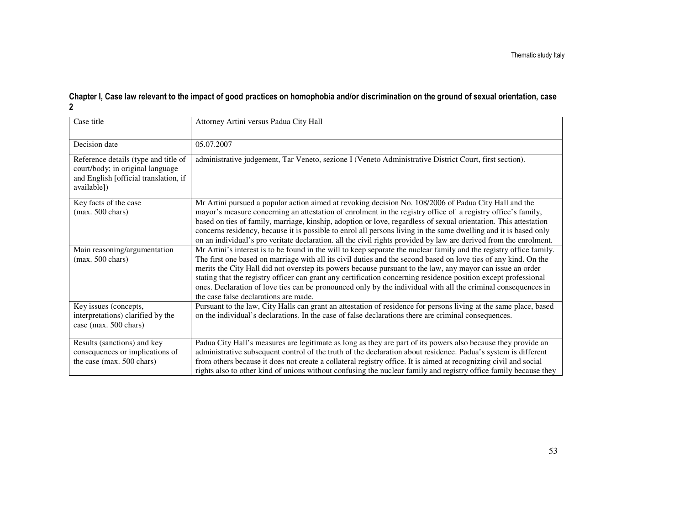## Chapter I, Case law relevant to the impact of good practices on homophobia and/or discrimination on the ground of sexual orientation, case 2

| Case title                                                                                                                       | Attorney Artini versus Padua City Hall                                                                                                                                                                                                                                                                                                                                                                                                                                                                                                                                                                                            |
|----------------------------------------------------------------------------------------------------------------------------------|-----------------------------------------------------------------------------------------------------------------------------------------------------------------------------------------------------------------------------------------------------------------------------------------------------------------------------------------------------------------------------------------------------------------------------------------------------------------------------------------------------------------------------------------------------------------------------------------------------------------------------------|
| Decision date                                                                                                                    | 05.07.2007                                                                                                                                                                                                                                                                                                                                                                                                                                                                                                                                                                                                                        |
| Reference details (type and title of<br>court/body; in original language<br>and English [official translation, if<br>available]) | administrative judgement, Tar Veneto, sezione I (Veneto Administrative District Court, first section).                                                                                                                                                                                                                                                                                                                                                                                                                                                                                                                            |
| Key facts of the case<br>$(max. 500 \text{ chars})$                                                                              | Mr Artini pursued a popular action aimed at revoking decision No. 108/2006 of Padua City Hall and the<br>mayor's measure concerning an attestation of enrolment in the registry office of a registry office's family,<br>based on ties of family, marriage, kinship, adoption or love, regardless of sexual orientation. This attestation<br>concerns residency, because it is possible to enrol all persons living in the same dwelling and it is based only<br>on an individual's pro veritate declaration. all the civil rights provided by law are derived from the enrolment.                                                |
| Main reasoning/argumentation<br>$(max. 500 \text{ chars})$                                                                       | Mr Artini's interest is to be found in the will to keep separate the nuclear family and the registry office family.<br>The first one based on marriage with all its civil duties and the second based on love ties of any kind. On the<br>merits the City Hall did not overstep its powers because pursuant to the law, any mayor can issue an order<br>stating that the registry officer can grant any certification concerning residence position except professional<br>ones. Declaration of love ties can be pronounced only by the individual with all the criminal consequences in<br>the case false declarations are made. |
| Key issues (concepts,<br>interpretations) clarified by the<br>case (max. 500 chars)                                              | Pursuant to the law, City Halls can grant an attestation of residence for persons living at the same place, based<br>on the individual's declarations. In the case of false declarations there are criminal consequences.                                                                                                                                                                                                                                                                                                                                                                                                         |
| Results (sanctions) and key<br>consequences or implications of<br>the case (max. 500 chars)                                      | Padua City Hall's measures are legitimate as long as they are part of its powers also because they provide an<br>administrative subsequent control of the truth of the declaration about residence. Padua's system is different<br>from others because it does not create a collateral registry office. It is aimed at recognizing civil and social<br>rights also to other kind of unions without confusing the nuclear family and registry office family because they                                                                                                                                                           |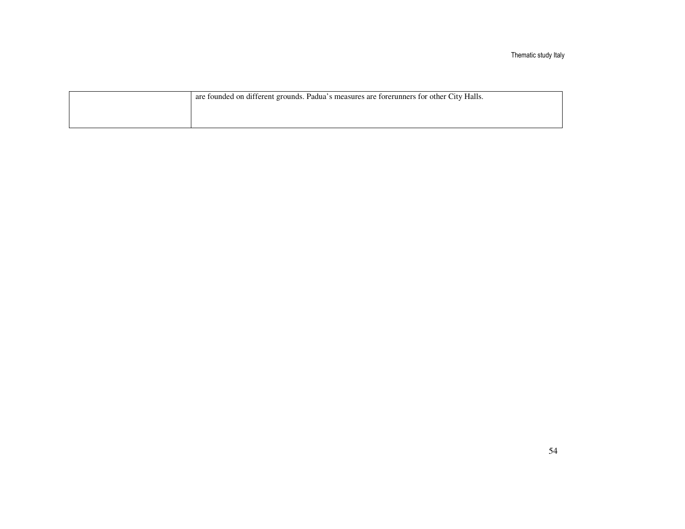Thematic study Italy

| are founded on different grounds. Padua's measures are forerunners for other City Halls. |
|------------------------------------------------------------------------------------------|
|                                                                                          |
|                                                                                          |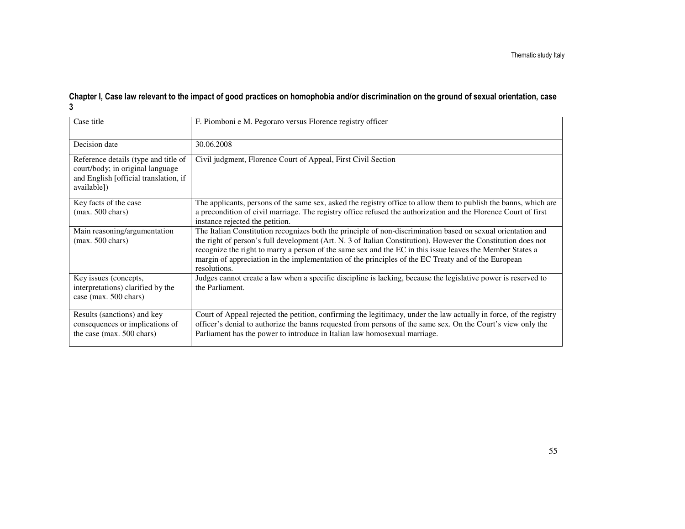## Chapter I, Case law relevant to the impact of good practices on homophobia and/or discrimination on the ground of sexual orientation, case 3

| Case title                                                                                                                       | F. Piomboni e M. Pegoraro versus Florence registry officer                                                                                                                                                                                                                                                                                                                                                                                                        |
|----------------------------------------------------------------------------------------------------------------------------------|-------------------------------------------------------------------------------------------------------------------------------------------------------------------------------------------------------------------------------------------------------------------------------------------------------------------------------------------------------------------------------------------------------------------------------------------------------------------|
| Decision date                                                                                                                    | 30.06.2008                                                                                                                                                                                                                                                                                                                                                                                                                                                        |
| Reference details (type and title of<br>court/body; in original language<br>and English [official translation, if<br>available]) | Civil judgment, Florence Court of Appeal, First Civil Section                                                                                                                                                                                                                                                                                                                                                                                                     |
| Key facts of the case<br>$(max. 500 \text{ chars})$                                                                              | The applicants, persons of the same sex, asked the registry office to allow them to publish the banns, which are<br>a precondition of civil marriage. The registry office refused the authorization and the Florence Court of first<br>instance rejected the petition.                                                                                                                                                                                            |
| Main reasoning/argumentation<br>$(max. 500 \text{ chars})$                                                                       | The Italian Constitution recognizes both the principle of non-discrimination based on sexual orientation and<br>the right of person's full development (Art. N. 3 of Italian Constitution). However the Constitution does not<br>recognize the right to marry a person of the same sex and the EC in this issue leaves the Member States a<br>margin of appreciation in the implementation of the principles of the EC Treaty and of the European<br>resolutions. |
| Key issues (concepts,<br>interpretations) clarified by the<br>case (max. 500 chars)                                              | Judges cannot create a law when a specific discipline is lacking, because the legislative power is reserved to<br>the Parliament.                                                                                                                                                                                                                                                                                                                                 |
| Results (sanctions) and key<br>consequences or implications of<br>the case (max. 500 chars)                                      | Court of Appeal rejected the petition, confirming the legitimacy, under the law actually in force, of the registry<br>officer's denial to authorize the banns requested from persons of the same sex. On the Court's view only the<br>Parliament has the power to introduce in Italian law homosexual marriage.                                                                                                                                                   |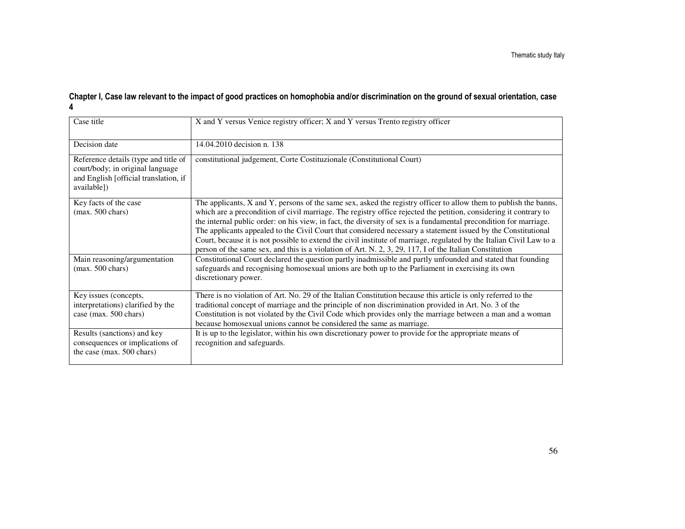## Chapter I, Case law relevant to the impact of good practices on homophobia and/or discrimination on the ground of sexual orientation, case 4

| Case title                                                                                                                       | X and Y versus Venice registry officer; X and Y versus Trento registry officer                                                                                                                                                                                                                                                                                                                                                                                                                                                                                                                                                                                                                                 |
|----------------------------------------------------------------------------------------------------------------------------------|----------------------------------------------------------------------------------------------------------------------------------------------------------------------------------------------------------------------------------------------------------------------------------------------------------------------------------------------------------------------------------------------------------------------------------------------------------------------------------------------------------------------------------------------------------------------------------------------------------------------------------------------------------------------------------------------------------------|
| Decision date                                                                                                                    | 14.04.2010 decision n. 138                                                                                                                                                                                                                                                                                                                                                                                                                                                                                                                                                                                                                                                                                     |
| Reference details (type and title of<br>court/body; in original language<br>and English [official translation, if<br>available]) | constitutional judgement, Corte Costituzionale (Constitutional Court)                                                                                                                                                                                                                                                                                                                                                                                                                                                                                                                                                                                                                                          |
| Key facts of the case<br>$(max. 500 \text{ chars})$                                                                              | The applicants, X and Y, persons of the same sex, asked the registry officer to allow them to publish the banns,<br>which are a precondition of civil marriage. The registry office rejected the petition, considering it contrary to<br>the internal public order: on his view, in fact, the diversity of sex is a fundamental precondition for marriage.<br>The applicants appealed to the Civil Court that considered necessary a statement issued by the Constitutional<br>Court, because it is not possible to extend the civil institute of marriage, regulated by the Italian Civil Law to a<br>person of the same sex, and this is a violation of Art. N. 2, 3, 29, 117, I of the Italian Constitution |
| Main reasoning/argumentation<br>$(max. 500 \text{ chars})$                                                                       | Constitutional Court declared the question partly inadmissible and partly unfounded and stated that founding<br>safeguards and recognising homosexual unions are both up to the Parliament in exercising its own<br>discretionary power.                                                                                                                                                                                                                                                                                                                                                                                                                                                                       |
| Key issues (concepts,<br>interpretations) clarified by the<br>case (max. 500 chars)                                              | There is no violation of Art. No. 29 of the Italian Constitution because this article is only referred to the<br>traditional concept of marriage and the principle of non discrimination provided in Art. No. 3 of the<br>Constitution is not violated by the Civil Code which provides only the marriage between a man and a woman<br>because homosexual unions cannot be considered the same as marriage.                                                                                                                                                                                                                                                                                                    |
| Results (sanctions) and key<br>consequences or implications of<br>the case (max. 500 chars)                                      | It is up to the legislator, within his own discretionary power to provide for the appropriate means of<br>recognition and safeguards.                                                                                                                                                                                                                                                                                                                                                                                                                                                                                                                                                                          |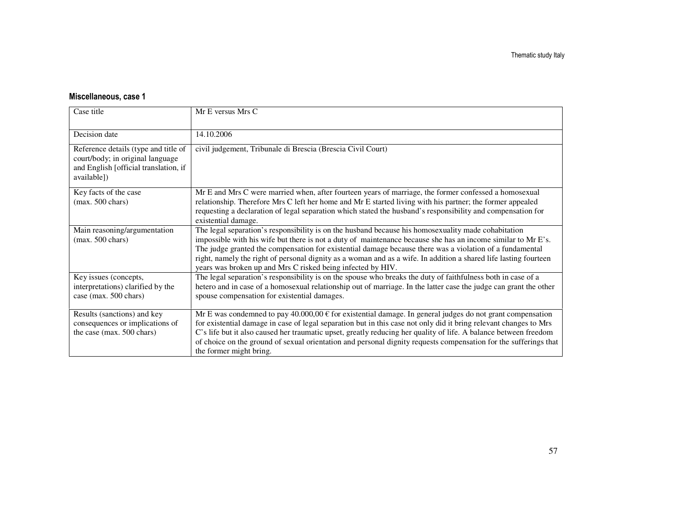| Case title                                                                                                                       | Mr E versus Mrs C                                                                                                                                                                                                                                                                                                                                                                                                                                                                                                  |
|----------------------------------------------------------------------------------------------------------------------------------|--------------------------------------------------------------------------------------------------------------------------------------------------------------------------------------------------------------------------------------------------------------------------------------------------------------------------------------------------------------------------------------------------------------------------------------------------------------------------------------------------------------------|
| Decision date                                                                                                                    | 14.10.2006                                                                                                                                                                                                                                                                                                                                                                                                                                                                                                         |
| Reference details (type and title of<br>court/body; in original language<br>and English [official translation, if<br>available]) | civil judgement, Tribunale di Brescia (Brescia Civil Court)                                                                                                                                                                                                                                                                                                                                                                                                                                                        |
| Key facts of the case<br>$(max. 500 \text{ chars})$                                                                              | Mr E and Mrs C were married when, after fourteen years of marriage, the former confessed a homosexual<br>relationship. Therefore Mrs C left her home and Mr E started living with his partner; the former appealed<br>requesting a declaration of legal separation which stated the husband's responsibility and compensation for<br>existential damage.                                                                                                                                                           |
| Main reasoning/argumentation<br>$(max. 500 \text{ chars})$                                                                       | The legal separation's responsibility is on the husband because his homosexuality made cohabitation<br>impossible with his wife but there is not a duty of maintenance because she has an income similar to Mr E's.<br>The judge granted the compensation for existential damage because there was a violation of a fundamental<br>right, namely the right of personal dignity as a woman and as a wife. In addition a shared life lasting fourteen<br>years was broken up and Mrs C risked being infected by HIV. |
| Key issues (concepts,<br>interpretations) clarified by the<br>case (max. 500 chars)                                              | The legal separation's responsibility is on the spouse who breaks the duty of faithfulness both in case of a<br>hetero and in case of a homosexual relationship out of marriage. In the latter case the judge can grant the other<br>spouse compensation for existential damages.                                                                                                                                                                                                                                  |
| Results (sanctions) and key<br>consequences or implications of<br>the case (max. 500 chars)                                      | Mr E was condemned to pay 40.000,00 $\epsilon$ for existential damage. In general judges do not grant compensation<br>for existential damage in case of legal separation but in this case not only did it bring relevant changes to Mrs<br>C's life but it also caused her traumatic upset, greatly reducing her quality of life. A balance between freedom<br>of choice on the ground of sexual orientation and personal dignity requests compensation for the sufferings that<br>the former might bring.         |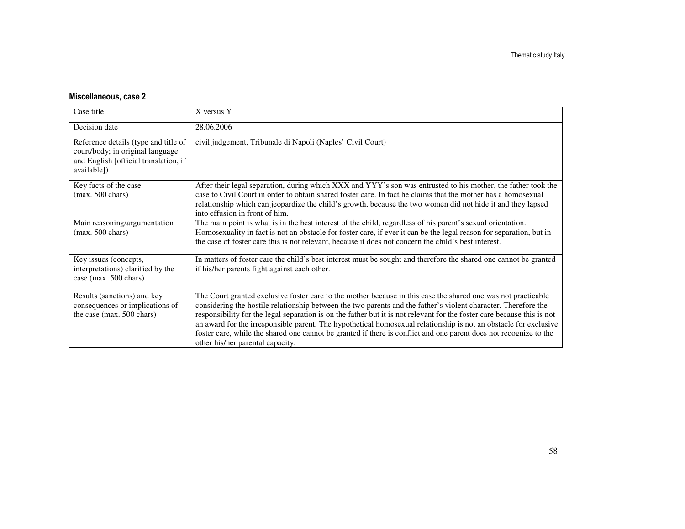| Case title                                                                                                                       | X versus Y                                                                                                                                                                                                                                                                                                                                                                                                                                                                                                                                                                                                                              |
|----------------------------------------------------------------------------------------------------------------------------------|-----------------------------------------------------------------------------------------------------------------------------------------------------------------------------------------------------------------------------------------------------------------------------------------------------------------------------------------------------------------------------------------------------------------------------------------------------------------------------------------------------------------------------------------------------------------------------------------------------------------------------------------|
| Decision date                                                                                                                    | 28.06.2006                                                                                                                                                                                                                                                                                                                                                                                                                                                                                                                                                                                                                              |
| Reference details (type and title of<br>court/body; in original language<br>and English [official translation, if<br>available]) | civil judgement, Tribunale di Napoli (Naples' Civil Court)                                                                                                                                                                                                                                                                                                                                                                                                                                                                                                                                                                              |
| Key facts of the case<br>$(max. 500 \text{ chars})$                                                                              | After their legal separation, during which XXX and YYY's son was entrusted to his mother, the father took the<br>case to Civil Court in order to obtain shared foster care. In fact he claims that the mother has a homosexual<br>relationship which can jeopardize the child's growth, because the two women did not hide it and they lapsed<br>into effusion in front of him.                                                                                                                                                                                                                                                         |
| Main reasoning/argumentation<br>$(max. 500 \text{ chars})$                                                                       | The main point is what is in the best interest of the child, regardless of his parent's sexual orientation.<br>Homosexuality in fact is not an obstacle for foster care, if ever it can be the legal reason for separation, but in<br>the case of foster care this is not relevant, because it does not concern the child's best interest.                                                                                                                                                                                                                                                                                              |
| Key issues (concepts,<br>interpretations) clarified by the<br>case (max. 500 chars)                                              | In matters of foster care the child's best interest must be sought and therefore the shared one cannot be granted<br>if his/her parents fight against each other.                                                                                                                                                                                                                                                                                                                                                                                                                                                                       |
| Results (sanctions) and key<br>consequences or implications of<br>the case (max. 500 chars)                                      | The Court granted exclusive foster care to the mother because in this case the shared one was not practicable<br>considering the hostile relationship between the two parents and the father's violent character. Therefore the<br>responsibility for the legal separation is on the father but it is not relevant for the foster care because this is not<br>an award for the irresponsible parent. The hypothetical homosexual relationship is not an obstacle for exclusive<br>foster care, while the shared one cannot be granted if there is conflict and one parent does not recognize to the<br>other his/her parental capacity. |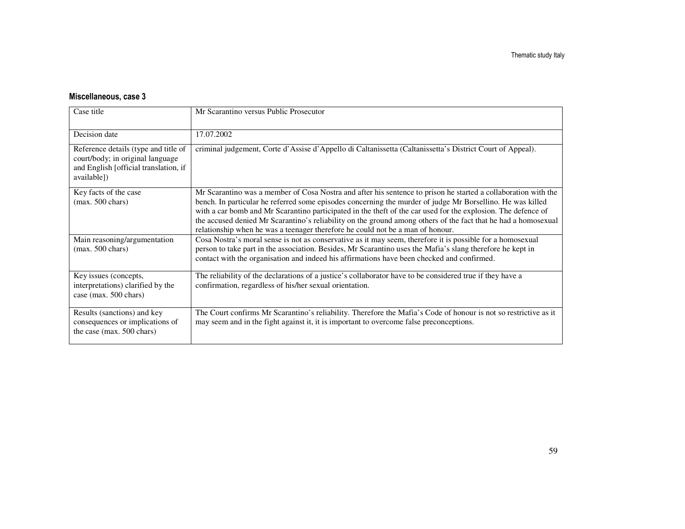| Case title                                                                                                                       | Mr Scarantino versus Public Prosecutor                                                                                                                                                                                                                                                                                                                                                                                                                                                                                                            |
|----------------------------------------------------------------------------------------------------------------------------------|---------------------------------------------------------------------------------------------------------------------------------------------------------------------------------------------------------------------------------------------------------------------------------------------------------------------------------------------------------------------------------------------------------------------------------------------------------------------------------------------------------------------------------------------------|
| Decision date                                                                                                                    | 17.07.2002                                                                                                                                                                                                                                                                                                                                                                                                                                                                                                                                        |
| Reference details (type and title of<br>court/body; in original language<br>and English [official translation, if<br>available]) | criminal judgement, Corte d'Assise d'Appello di Caltanissetta (Caltanissetta's District Court of Appeal).                                                                                                                                                                                                                                                                                                                                                                                                                                         |
| Key facts of the case<br>$(max. 500 \text{ chars})$                                                                              | Mr Scarantino was a member of Cosa Nostra and after his sentence to prison he started a collaboration with the<br>bench. In particular he referred some episodes concerning the murder of judge Mr Borsellino. He was killed<br>with a car bomb and Mr Scarantino participated in the theft of the car used for the explosion. The defence of<br>the accused denied Mr Scarantino's reliability on the ground among others of the fact that he had a homosexual<br>relationship when he was a teenager therefore he could not be a man of honour. |
| Main reasoning/argumentation<br>$(max. 500 \text{ chars})$                                                                       | Cosa Nostra's moral sense is not as conservative as it may seem, therefore it is possible for a homosexual<br>person to take part in the association. Besides, Mr Scarantino uses the Mafia's slang therefore he kept in<br>contact with the organisation and indeed his affirmations have been checked and confirmed.                                                                                                                                                                                                                            |
| Key issues (concepts,<br>interpretations) clarified by the<br>case (max. 500 chars)                                              | The reliability of the declarations of a justice's collaborator have to be considered true if they have a<br>confirmation, regardless of his/her sexual orientation.                                                                                                                                                                                                                                                                                                                                                                              |
| Results (sanctions) and key<br>consequences or implications of<br>the case (max. 500 chars)                                      | The Court confirms Mr Scarantino's reliability. Therefore the Mafia's Code of honour is not so restrictive as it<br>may seem and in the fight against it, it is important to overcome false preconceptions.                                                                                                                                                                                                                                                                                                                                       |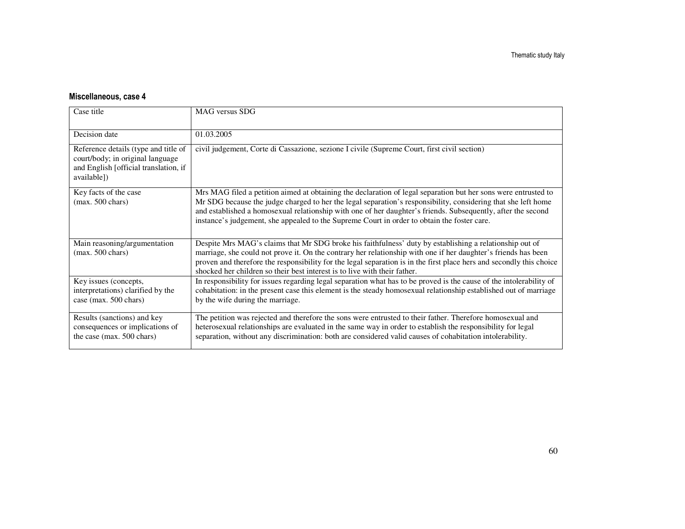| Case title                                                                                                                       | MAG versus SDG                                                                                                                                                                                                                                                                                                                                                                                                                                 |
|----------------------------------------------------------------------------------------------------------------------------------|------------------------------------------------------------------------------------------------------------------------------------------------------------------------------------------------------------------------------------------------------------------------------------------------------------------------------------------------------------------------------------------------------------------------------------------------|
| Decision date                                                                                                                    | 01.03.2005                                                                                                                                                                                                                                                                                                                                                                                                                                     |
| Reference details (type and title of<br>court/body; in original language<br>and English [official translation, if<br>available]) | civil judgement, Corte di Cassazione, sezione I civile (Supreme Court, first civil section)                                                                                                                                                                                                                                                                                                                                                    |
| Key facts of the case<br>$(max. 500 \text{ chars})$                                                                              | Mrs MAG filed a petition aimed at obtaining the declaration of legal separation but her sons were entrusted to<br>Mr SDG because the judge charged to her the legal separation's responsibility, considering that she left home<br>and established a homosexual relationship with one of her daughter's friends. Subsequently, after the second<br>instance's judgement, she appealed to the Supreme Court in order to obtain the foster care. |
| Main reasoning/argumentation<br>$(max. 500 \text{ chars})$                                                                       | Despite Mrs MAG's claims that Mr SDG broke his faithfulness' duty by establishing a relationship out of<br>marriage, she could not prove it. On the contrary her relationship with one if her daughter's friends has been<br>proven and therefore the responsibility for the legal separation is in the first place hers and secondly this choice<br>shocked her children so their best interest is to live with their father.                 |
| Key issues (concepts,<br>interpretations) clarified by the<br>case (max. 500 chars)                                              | In responsibility for issues regarding legal separation what has to be proved is the cause of the intolerability of<br>cohabitation: in the present case this element is the steady homosexual relationship established out of marriage<br>by the wife during the marriage.                                                                                                                                                                    |
| Results (sanctions) and key<br>consequences or implications of<br>the case (max. 500 chars)                                      | The petition was rejected and therefore the sons were entrusted to their father. Therefore homosexual and<br>heterosexual relationships are evaluated in the same way in order to establish the responsibility for legal<br>separation, without any discrimination: both are considered valid causes of cohabitation intolerability.                                                                                                           |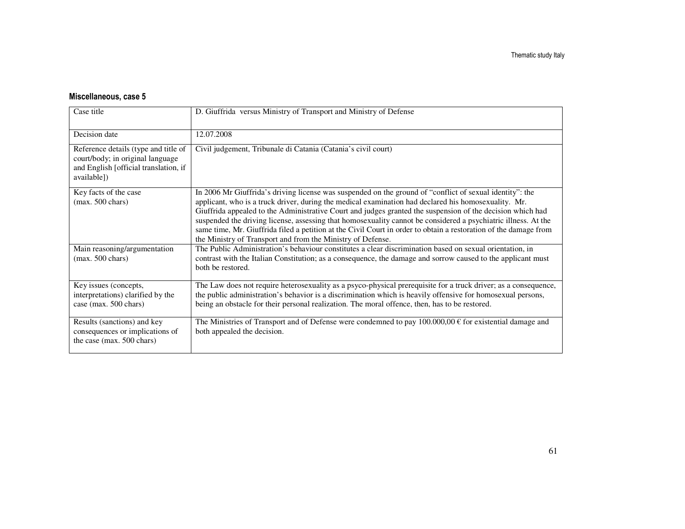| Case title                                                                                                                       | D. Giuffrida versus Ministry of Transport and Ministry of Defense                                                                                                                                                                                                                                                                                                                                                                                                                                                                                                                                                                   |
|----------------------------------------------------------------------------------------------------------------------------------|-------------------------------------------------------------------------------------------------------------------------------------------------------------------------------------------------------------------------------------------------------------------------------------------------------------------------------------------------------------------------------------------------------------------------------------------------------------------------------------------------------------------------------------------------------------------------------------------------------------------------------------|
| Decision date                                                                                                                    | 12.07.2008                                                                                                                                                                                                                                                                                                                                                                                                                                                                                                                                                                                                                          |
| Reference details (type and title of<br>court/body; in original language<br>and English [official translation, if<br>available]) | Civil judgement, Tribunale di Catania (Catania's civil court)                                                                                                                                                                                                                                                                                                                                                                                                                                                                                                                                                                       |
| Key facts of the case<br>$(max. 500 \text{ chars})$                                                                              | In 2006 Mr Giuffrida's driving license was suspended on the ground of "conflict of sexual identity": the<br>applicant, who is a truck driver, during the medical examination had declared his homosexuality. Mr.<br>Giuffrida appealed to the Administrative Court and judges granted the suspension of the decision which had<br>suspended the driving license, assessing that homosexuality cannot be considered a psychiatric illness. At the<br>same time, Mr. Giuffrida filed a petition at the Civil Court in order to obtain a restoration of the damage from<br>the Ministry of Transport and from the Ministry of Defense. |
| Main reasoning/argumentation<br>$(max. 500 \text{ chars})$                                                                       | The Public Administration's behaviour constitutes a clear discrimination based on sexual orientation, in<br>contrast with the Italian Constitution; as a consequence, the damage and sorrow caused to the applicant must<br>both be restored.                                                                                                                                                                                                                                                                                                                                                                                       |
| Key issues (concepts,<br>interpretations) clarified by the<br>case (max. 500 chars)                                              | The Law does not require heterosexuality as a psyco-physical prerequisite for a truck driver; as a consequence,<br>the public administration's behavior is a discrimination which is heavily offensive for homosexual persons,<br>being an obstacle for their personal realization. The moral offence, then, has to be restored.                                                                                                                                                                                                                                                                                                    |
| Results (sanctions) and key<br>consequences or implications of<br>the case (max. 500 chars)                                      | The Ministries of Transport and of Defense were condemned to pay $100.000,00 \in$ for existential damage and<br>both appealed the decision.                                                                                                                                                                                                                                                                                                                                                                                                                                                                                         |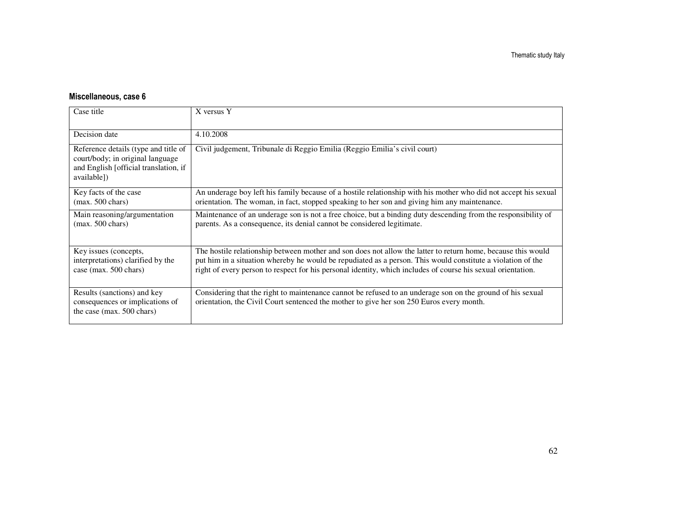| Case title                                                                                                                       | X versus Y                                                                                                                                                                                                                                                                                                                                  |
|----------------------------------------------------------------------------------------------------------------------------------|---------------------------------------------------------------------------------------------------------------------------------------------------------------------------------------------------------------------------------------------------------------------------------------------------------------------------------------------|
| Decision date                                                                                                                    | 4.10.2008                                                                                                                                                                                                                                                                                                                                   |
| Reference details (type and title of<br>court/body; in original language<br>and English [official translation, if<br>available]) | Civil judgement, Tribunale di Reggio Emilia (Reggio Emilia's civil court)                                                                                                                                                                                                                                                                   |
| Key facts of the case<br>$(max. 500 \text{ chars})$                                                                              | An underage boy left his family because of a hostile relationship with his mother who did not accept his sexual<br>orientation. The woman, in fact, stopped speaking to her son and giving him any maintenance.                                                                                                                             |
| Main reasoning/argumentation<br>$(max. 500 \text{ chars})$                                                                       | Maintenance of an underage son is not a free choice, but a binding duty descending from the responsibility of<br>parents. As a consequence, its denial cannot be considered legitimate.                                                                                                                                                     |
| Key issues (concepts,<br>interpretations) clarified by the<br>case (max. 500 chars)                                              | The hostile relationship between mother and son does not allow the latter to return home, because this would<br>put him in a situation whereby he would be repudiated as a person. This would constitute a violation of the<br>right of every person to respect for his personal identity, which includes of course his sexual orientation. |
| Results (sanctions) and key<br>consequences or implications of<br>the case (max. 500 chars)                                      | Considering that the right to maintenance cannot be refused to an underage son on the ground of his sexual<br>orientation, the Civil Court sentenced the mother to give her son 250 Euros every month.                                                                                                                                      |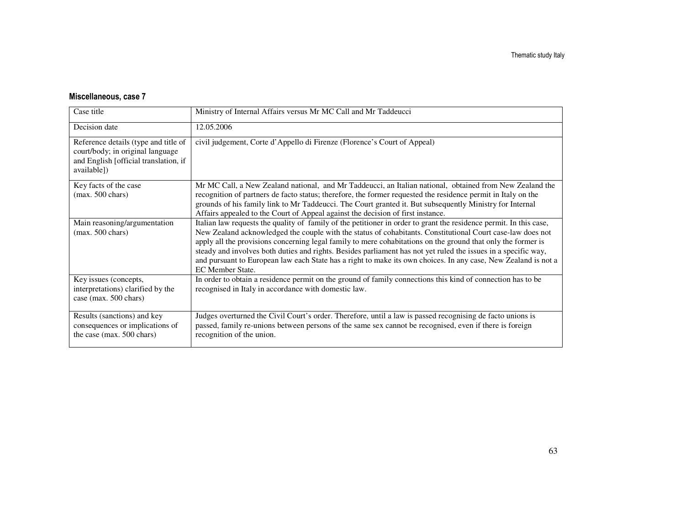| Case title                                                                                                                       | Ministry of Internal Affairs versus Mr MC Call and Mr Taddeucci                                                                                                                                                                                                                                                                                                                                                                                                                                                                                                                                          |
|----------------------------------------------------------------------------------------------------------------------------------|----------------------------------------------------------------------------------------------------------------------------------------------------------------------------------------------------------------------------------------------------------------------------------------------------------------------------------------------------------------------------------------------------------------------------------------------------------------------------------------------------------------------------------------------------------------------------------------------------------|
| Decision date                                                                                                                    | 12.05.2006                                                                                                                                                                                                                                                                                                                                                                                                                                                                                                                                                                                               |
| Reference details (type and title of<br>court/body; in original language<br>and English [official translation, if<br>available]) | civil judgement, Corte d'Appello di Firenze (Florence's Court of Appeal)                                                                                                                                                                                                                                                                                                                                                                                                                                                                                                                                 |
| Key facts of the case<br>$(max. 500 \text{ chars})$                                                                              | Mr MC Call, a New Zealand national, and Mr Taddeucci, an Italian national, obtained from New Zealand the<br>recognition of partners de facto status; therefore, the former requested the residence permit in Italy on the<br>grounds of his family link to Mr Taddeucci. The Court granted it. But subsequently Ministry for Internal<br>Affairs appealed to the Court of Appeal against the decision of first instance.                                                                                                                                                                                 |
| Main reasoning/argumentation<br>$(max. 500 \text{ chars})$                                                                       | Italian law requests the quality of family of the petitioner in order to grant the residence permit. In this case,<br>New Zealand acknowledged the couple with the status of cohabitants. Constitutional Court case-law does not<br>apply all the provisions concerning legal family to mere cohabitations on the ground that only the former is<br>steady and involves both duties and rights. Besides parliament has not yet ruled the issues in a specific way,<br>and pursuant to European law each State has a right to make its own choices. In any case, New Zealand is not a<br>EC Member State. |
| Key issues (concepts,<br>interpretations) clarified by the<br>case (max. 500 chars)                                              | In order to obtain a residence permit on the ground of family connections this kind of connection has to be<br>recognised in Italy in accordance with domestic law.                                                                                                                                                                                                                                                                                                                                                                                                                                      |
| Results (sanctions) and key<br>consequences or implications of<br>the case (max. 500 chars)                                      | Judges overturned the Civil Court's order. Therefore, until a law is passed recognising de facto unions is<br>passed, family re-unions between persons of the same sex cannot be recognised, even if there is foreign<br>recognition of the union.                                                                                                                                                                                                                                                                                                                                                       |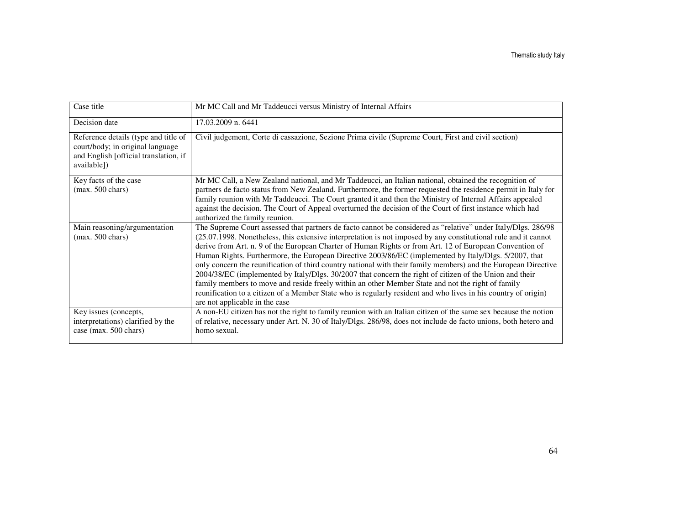| Case title                                                                                                                       | Mr MC Call and Mr Taddeucci versus Ministry of Internal Affairs                                                                                                                                                                                                                                                                                                                                                                                                                                                                                                                                                                                                                                                                                                                                                                                                                                                                            |
|----------------------------------------------------------------------------------------------------------------------------------|--------------------------------------------------------------------------------------------------------------------------------------------------------------------------------------------------------------------------------------------------------------------------------------------------------------------------------------------------------------------------------------------------------------------------------------------------------------------------------------------------------------------------------------------------------------------------------------------------------------------------------------------------------------------------------------------------------------------------------------------------------------------------------------------------------------------------------------------------------------------------------------------------------------------------------------------|
| Decision date                                                                                                                    | 17.03.2009 n. 6441                                                                                                                                                                                                                                                                                                                                                                                                                                                                                                                                                                                                                                                                                                                                                                                                                                                                                                                         |
| Reference details (type and title of<br>court/body; in original language<br>and English [official translation, if<br>available]) | Civil judgement, Corte di cassazione, Sezione Prima civile (Supreme Court, First and civil section)                                                                                                                                                                                                                                                                                                                                                                                                                                                                                                                                                                                                                                                                                                                                                                                                                                        |
| Key facts of the case<br>$(max. 500 \text{ chars})$                                                                              | Mr MC Call, a New Zealand national, and Mr Taddeucci, an Italian national, obtained the recognition of<br>partners de facto status from New Zealand. Furthermore, the former requested the residence permit in Italy for<br>family reunion with Mr Taddeucci. The Court granted it and then the Ministry of Internal Affairs appealed<br>against the decision. The Court of Appeal overturned the decision of the Court of first instance which had<br>authorized the family reunion.                                                                                                                                                                                                                                                                                                                                                                                                                                                      |
| Main reasoning/argumentation<br>$(max. 500 \text{ chars})$                                                                       | The Supreme Court assessed that partners de facto cannot be considered as "relative" under Italy/Dlgs. 286/98<br>(25.07.1998. Nonetheless, this extensive interpretation is not imposed by any constitutional rule and it cannot<br>derive from Art. n. 9 of the European Charter of Human Rights or from Art. 12 of European Convention of<br>Human Rights. Furthermore, the European Directive 2003/86/EC (implemented by Italy/Dlgs. 5/2007, that<br>only concern the reunification of third country national with their family members) and the European Directive<br>2004/38/EC (implemented by Italy/Dlgs. 30/2007 that concern the right of citizen of the Union and their<br>family members to move and reside freely within an other Member State and not the right of family<br>reunification to a citizen of a Member State who is regularly resident and who lives in his country of origin)<br>are not applicable in the case |
| Key issues (concepts,<br>interpretations) clarified by the<br>case (max. 500 chars)                                              | A non-EU citizen has not the right to family reunion with an Italian citizen of the same sex because the notion<br>of relative, necessary under Art. N. 30 of Italy/Dlgs. 286/98, does not include de facto unions, both hetero and<br>homo sexual.                                                                                                                                                                                                                                                                                                                                                                                                                                                                                                                                                                                                                                                                                        |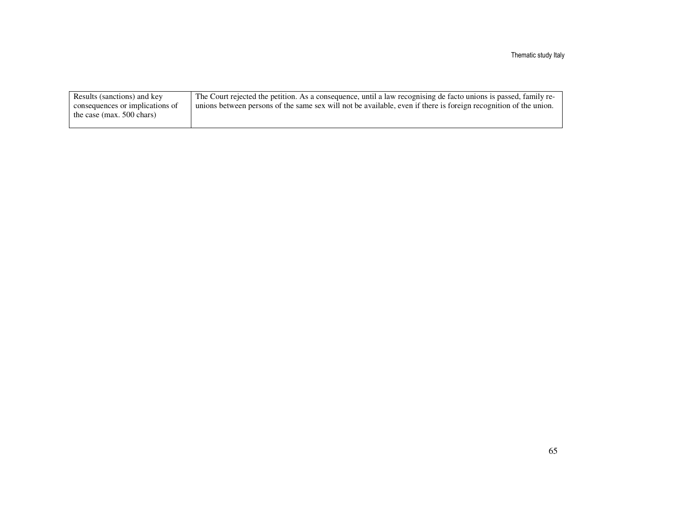| Results (sanctions) and key     | The Court rejected the petition. As a consequence, until a law recognising de facto unions is passed, family re- |
|---------------------------------|------------------------------------------------------------------------------------------------------------------|
| consequences or implications of | unions between persons of the same sex will not be available, even if there is foreign recognition of the union. |
| the case (max. $500$ chars)     |                                                                                                                  |
|                                 |                                                                                                                  |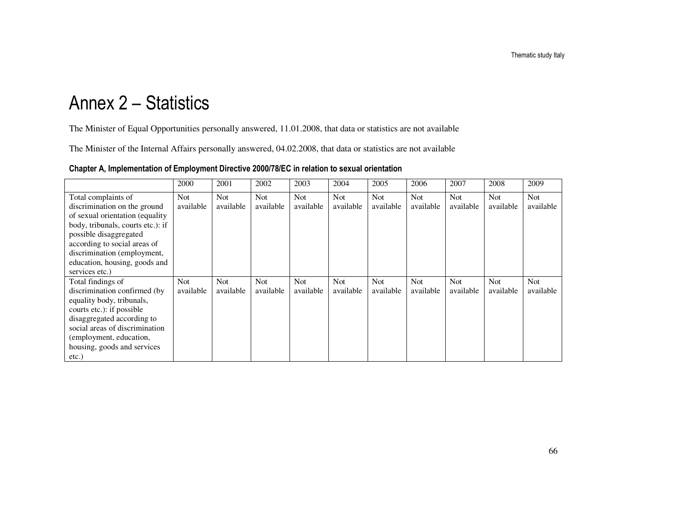# Annex 2 – Statistics

The Minister of Equal Opportunities personally answered, 11.01.2008, that data or statistics are not available

The Minister of the Internal Affairs personally answered, 04.02.2008, that data or statistics are not available

| Chapter A, Implementation of Employment Directive 2000/78/EC in relation to sexual orientation |
|------------------------------------------------------------------------------------------------|
|------------------------------------------------------------------------------------------------|

|                                                                                                                                                                                                                                                                          | 2000                    | 2001                    | 2002                    | 2003                    | 2004                    | 2005                    | 2006                    | 2007                    | 2008             | 2009             |
|--------------------------------------------------------------------------------------------------------------------------------------------------------------------------------------------------------------------------------------------------------------------------|-------------------------|-------------------------|-------------------------|-------------------------|-------------------------|-------------------------|-------------------------|-------------------------|------------------|------------------|
| Total complaints of<br>discrimination on the ground<br>of sexual orientation (equality)<br>body, tribunals, courts etc.): if<br>possible disaggregated<br>according to social areas of<br>discrimination (employment,<br>education, housing, goods and<br>services etc.) | Not<br>available        | Not.<br>available       | <b>Not</b><br>available | <b>Not</b><br>available | Not.<br>available       | <b>Not</b><br>available | <b>Not</b><br>available | <b>Not</b><br>available | Not<br>available | Not<br>available |
| Total findings of<br>discrimination confirmed (by<br>equality body, tribunals,<br>courts etc.): if possible<br>disaggregated according to<br>social areas of discrimination<br>(employment, education,<br>housing, goods and services<br>$etc.$ )                        | <b>Not</b><br>available | <b>Not</b><br>available | Not<br>available        | <b>Not</b><br>available | <b>Not</b><br>available | <b>Not</b><br>available | <b>Not</b><br>available | <b>Not</b><br>available | Not<br>available | Not<br>available |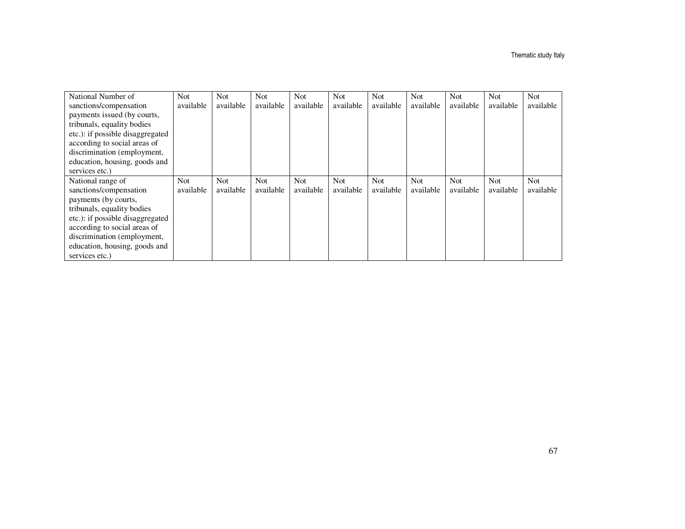| National Number of               | <b>Not</b> | <b>Not</b> | <b>Not</b> | Not.      | Not.      | <b>Not</b> | Not        | <b>Not</b> | <b>Not</b> | <b>Not</b> |
|----------------------------------|------------|------------|------------|-----------|-----------|------------|------------|------------|------------|------------|
| sanctions/compensation           | available  | available  | available  | available | available | available  | available  | available  | available  | available  |
| payments issued (by courts,      |            |            |            |           |           |            |            |            |            |            |
| tribunals, equality bodies       |            |            |            |           |           |            |            |            |            |            |
| etc.): if possible disaggregated |            |            |            |           |           |            |            |            |            |            |
| according to social areas of     |            |            |            |           |           |            |            |            |            |            |
| discrimination (employment,      |            |            |            |           |           |            |            |            |            |            |
| education, housing, goods and    |            |            |            |           |           |            |            |            |            |            |
| services etc.)                   |            |            |            |           |           |            |            |            |            |            |
|                                  |            |            |            |           |           |            |            |            |            |            |
| National range of                | <b>Not</b> | Not        | <b>Not</b> | Not.      | Not       | Not.       | <b>Not</b> | <b>Not</b> | <b>Not</b> | <b>Not</b> |
| sanctions/compensation           | available  | available  | available  | available | available | available  | available  | available  | available  | available  |
| payments (by courts,             |            |            |            |           |           |            |            |            |            |            |
| tribunals, equality bodies       |            |            |            |           |           |            |            |            |            |            |
| etc.): if possible disaggregated |            |            |            |           |           |            |            |            |            |            |
| according to social areas of     |            |            |            |           |           |            |            |            |            |            |
| discrimination (employment,      |            |            |            |           |           |            |            |            |            |            |
| education, housing, goods and    |            |            |            |           |           |            |            |            |            |            |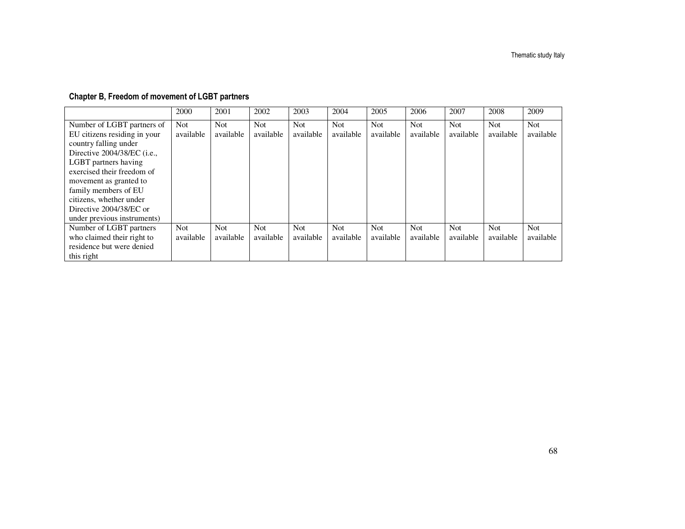### Chapter B, Freedom of movement of LGBT partners

|                                      | 2000      | 2001      | 2002      | 2003      | 2004       | 2005       | 2006       | 2007      | 2008      | 2009      |
|--------------------------------------|-----------|-----------|-----------|-----------|------------|------------|------------|-----------|-----------|-----------|
| Number of LGBT partners of           | Not.      | Not.      | Not.      | Not.      | <b>Not</b> | <b>Not</b> | <b>Not</b> | Not.      | Not.      | Not       |
| EU citizens residing in your         | available | available | available | available | available  | available  | available  | available | available | available |
| country falling under                |           |           |           |           |            |            |            |           |           |           |
| Directive 2004/38/EC ( <i>i.e.</i> , |           |           |           |           |            |            |            |           |           |           |
| LGBT partners having                 |           |           |           |           |            |            |            |           |           |           |
| exercised their freedom of           |           |           |           |           |            |            |            |           |           |           |
| movement as granted to               |           |           |           |           |            |            |            |           |           |           |
| family members of EU                 |           |           |           |           |            |            |            |           |           |           |
| citizens, whether under              |           |           |           |           |            |            |            |           |           |           |
| Directive 2004/38/EC or              |           |           |           |           |            |            |            |           |           |           |
| under previous instruments)          |           |           |           |           |            |            |            |           |           |           |
| Number of LGBT partners              | Not.      | Not.      | Not.      | Not.      | Not.       | Not.       | <b>Not</b> | Not.      | Not.      | Not       |
| who claimed their right to           | available | available | available | available | available  | available  | available  | available | available | available |
| residence but were denied            |           |           |           |           |            |            |            |           |           |           |
| this right                           |           |           |           |           |            |            |            |           |           |           |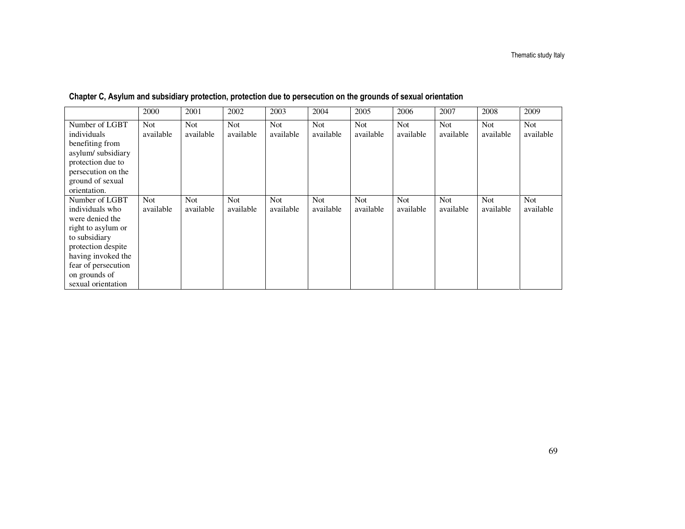|                                                                                                                                                                                                       | 2000                    | 2001                    | 2002                    | 2003              | 2004                    | 2005                    | 2006                    | 2007                    | 2008                    | 2009                    |
|-------------------------------------------------------------------------------------------------------------------------------------------------------------------------------------------------------|-------------------------|-------------------------|-------------------------|-------------------|-------------------------|-------------------------|-------------------------|-------------------------|-------------------------|-------------------------|
| Number of LGBT<br>individuals<br>benefiting from<br>asylum/subsidiary<br>protection due to<br>persecution on the<br>ground of sexual<br>orientation.                                                  | <b>Not</b><br>available | <b>Not</b><br>available | <b>Not</b><br>available | Not.<br>available | <b>Not</b><br>available | <b>Not</b><br>available | Not<br>available        | <b>Not</b><br>available | <b>Not</b><br>available | Not<br>available        |
| Number of LGBT<br>individuals who<br>were denied the<br>right to asylum or<br>to subsidiary<br>protection despite<br>having invoked the<br>fear of persecution<br>on grounds of<br>sexual orientation | <b>Not</b><br>available | <b>Not</b><br>available | Not<br>available        | Not.<br>available | <b>Not</b><br>available | <b>Not</b><br>available | <b>Not</b><br>available | Not<br>available        | <b>Not</b><br>available | <b>Not</b><br>available |

Chapter C, Asylum and subsidiary protection, protection due to persecution on the grounds of sexual orientation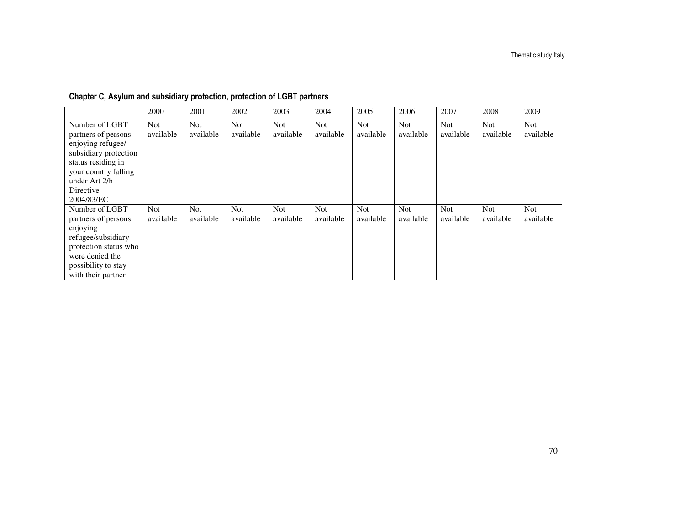|                                                                                                                                                                               | 2000                    | 2001              | 2002                    | 2003                    | 2004              | 2005                    | 2006                    | 2007                    | 2008                    | 2009                    |
|-------------------------------------------------------------------------------------------------------------------------------------------------------------------------------|-------------------------|-------------------|-------------------------|-------------------------|-------------------|-------------------------|-------------------------|-------------------------|-------------------------|-------------------------|
| Number of LGBT<br>partners of persons<br>enjoying refugee/<br>subsidiary protection<br>status residing in<br>your country falling<br>under Art 2/h<br>Directive<br>2004/83/EC | <b>Not</b><br>available | Not.<br>available | Not<br>available        | Not<br>available        | Not.<br>available | <b>Not</b><br>available | <b>Not</b><br>available | <b>Not</b><br>available | Not<br>available        | <b>Not</b><br>available |
| Number of LGBT<br>partners of persons<br>enjoying<br>refugee/subsidiary<br>protection status who<br>were denied the<br>possibility to stay<br>with their partner              | Not.<br>available       | Not.<br>available | <b>Not</b><br>available | <b>Not</b><br>available | Not<br>available  | Not<br>available        | <b>Not</b><br>available | <b>Not</b><br>available | <b>Not</b><br>available | Not<br>available        |

### Chapter C, Asylum and subsidiary protection, protection of LGBT partners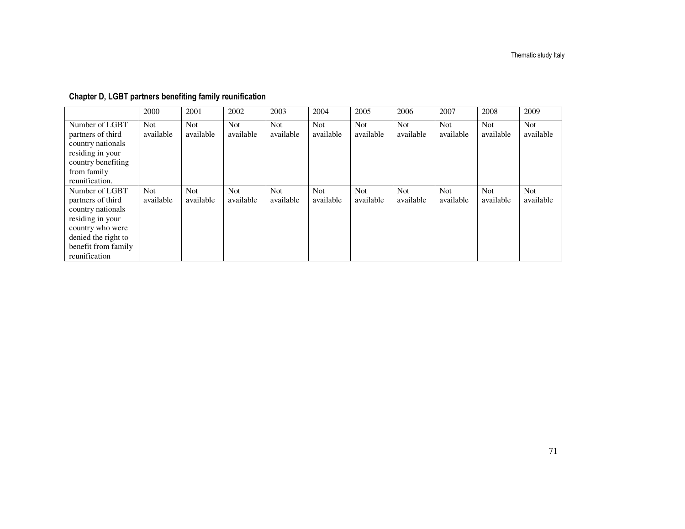### Chapter D, LGBT partners benefiting family reunification

|                                                                                                                                                                 | 2000                    | 2001                    | 2002             | 2003                    | 2004                    | 2005                    | 2006                    | 2007             | 2008             | 2009                    |
|-----------------------------------------------------------------------------------------------------------------------------------------------------------------|-------------------------|-------------------------|------------------|-------------------------|-------------------------|-------------------------|-------------------------|------------------|------------------|-------------------------|
| Number of LGBT<br>partners of third<br>country nationals<br>residing in your<br>country benefiting<br>from family<br>reunification.                             | Not.<br>available       | Not<br>available        | Not<br>available | <b>Not</b><br>available | <b>Not</b><br>available | <b>Not</b><br>available | <b>Not</b><br>available | Not<br>available | Not<br>available | <b>Not</b><br>available |
| Number of LGBT<br>partners of third<br>country nationals<br>residing in your<br>country who were<br>denied the right to<br>benefit from family<br>reunification | <b>Not</b><br>available | <b>Not</b><br>available | Not<br>available | Not.<br>available       | <b>Not</b><br>available | <b>Not</b><br>available | <b>Not</b><br>available | Not<br>available | Not<br>available | <b>Not</b><br>available |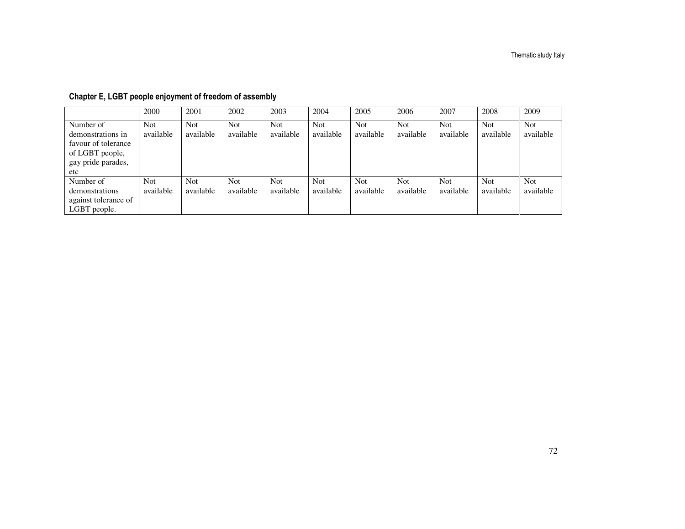|                                                                                                       | 2000                    | 2001                    | 2002              | 2003                    | 2004                    | 2005                    | 2006                    | 2007                    | 2008                    | 2009                    |
|-------------------------------------------------------------------------------------------------------|-------------------------|-------------------------|-------------------|-------------------------|-------------------------|-------------------------|-------------------------|-------------------------|-------------------------|-------------------------|
| Number of<br>demonstrations in<br>favour of tolerance<br>of LGBT people,<br>gay pride parades,<br>etc | <b>Not</b><br>available | <b>Not</b><br>available | Not.<br>available | <b>Not</b><br>available | <b>Not</b><br>available | <b>Not</b><br>available | <b>Not</b><br>available | <b>Not</b><br>available | <b>Not</b><br>available | <b>Not</b><br>available |
| Number of<br>demonstrations<br>against tolerance of<br>LGBT people.                                   | Not.<br>available       | Not.<br>available       | Not.<br>available | <b>Not</b><br>available | <b>Not</b><br>available | <b>Not</b><br>available | <b>Not</b><br>available | <b>Not</b><br>available | <b>Not</b><br>available | <b>Not</b><br>available |

### Chapter E, LGBT people enjoyment of freedom of assembly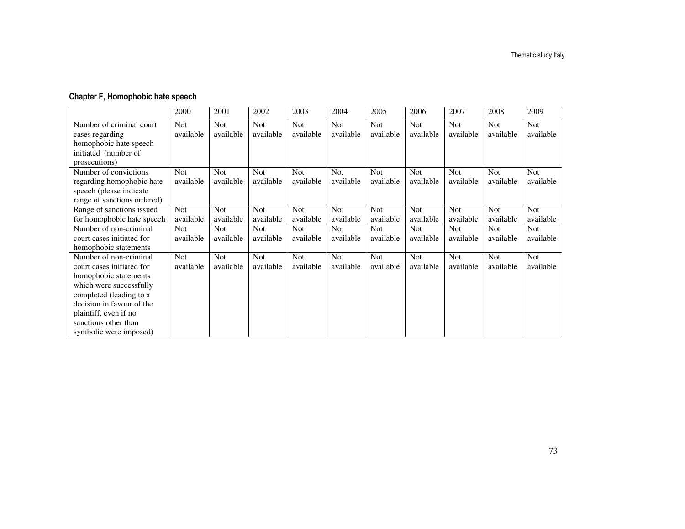## Chapter F, Homophobic hate speech

|                             | 2000       | 2001       | 2002       | 2003       | 2004       | 2005       | 2006       | 2007       | 2008       | 2009       |
|-----------------------------|------------|------------|------------|------------|------------|------------|------------|------------|------------|------------|
| Number of criminal court    | <b>Not</b> | Not        | <b>Not</b> | <b>Not</b> | <b>Not</b> | <b>Not</b> | Not        | Not        | Not        | Not        |
| cases regarding             | available  | available  | available  | available  | available  | available  | available  | available  | available  | available  |
| homophobic hate speech      |            |            |            |            |            |            |            |            |            |            |
| initiated (number of        |            |            |            |            |            |            |            |            |            |            |
| prosecutions)               |            |            |            |            |            |            |            |            |            |            |
| Number of convictions       | <b>Not</b> | Not        | <b>Not</b> | <b>Not</b> | <b>Not</b> | <b>Not</b> | <b>Not</b> | <b>Not</b> | <b>Not</b> | <b>Not</b> |
| regarding homophobic hate   | available  | available  | available  | available  | available  | available  | available  | available  | available  | available  |
| speech (please indicate     |            |            |            |            |            |            |            |            |            |            |
| range of sanctions ordered) |            |            |            |            |            |            |            |            |            |            |
| Range of sanctions issued   | <b>Not</b> | <b>Not</b> | <b>Not</b> | <b>Not</b> | <b>Not</b> | <b>Not</b> | <b>Not</b> | <b>Not</b> | <b>Not</b> | <b>Not</b> |
| for homophobic hate speech  | available  | available  | available  | available  | available  | available  | available  | available  | available  | available  |
| Number of non-criminal      | Not        | Not        | Not        | Not        | Not        | <b>Not</b> | <b>Not</b> | Not        | <b>Not</b> | Not        |
| court cases initiated for   | available  | available  | available  | available  | available  | available  | available  | available  | available  | available  |
| homophobic statements       |            |            |            |            |            |            |            |            |            |            |
| Number of non-criminal      | <b>Not</b> | Not        | <b>Not</b> | <b>Not</b> | <b>Not</b> | <b>Not</b> | <b>Not</b> | <b>Not</b> | <b>Not</b> | Not        |
| court cases initiated for   | available  | available  | available  | available  | available  | available  | available  | available  | available  | available  |
| homophobic statements       |            |            |            |            |            |            |            |            |            |            |
| which were successfully     |            |            |            |            |            |            |            |            |            |            |
| completed (leading to a     |            |            |            |            |            |            |            |            |            |            |
| decision in favour of the   |            |            |            |            |            |            |            |            |            |            |
| plaintiff, even if no       |            |            |            |            |            |            |            |            |            |            |
| sanctions other than        |            |            |            |            |            |            |            |            |            |            |
| symbolic were imposed)      |            |            |            |            |            |            |            |            |            |            |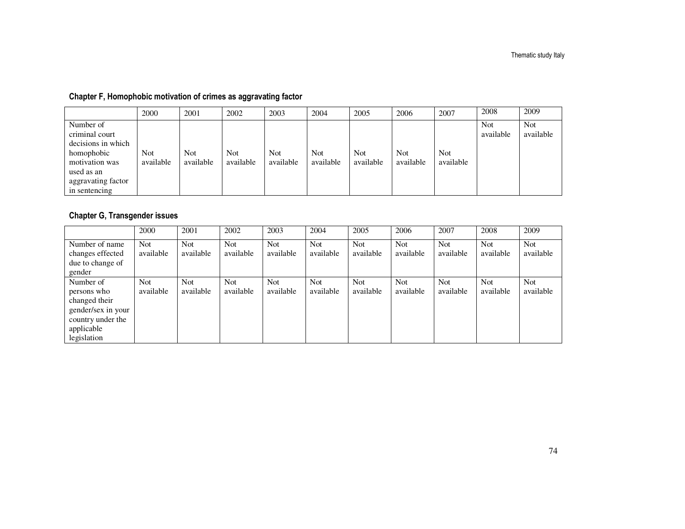## Chapter F, Homophobic motivation of crimes as aggravating factor

|                                                                                                                                        | 2000                    | 2001                    | 2002                | 2003              | 2004                    | 2005                    | 2006                    | 2007              | 2008                    | 2009                    |
|----------------------------------------------------------------------------------------------------------------------------------------|-------------------------|-------------------------|---------------------|-------------------|-------------------------|-------------------------|-------------------------|-------------------|-------------------------|-------------------------|
| Number of<br>criminal court<br>decisions in which<br>homophobic<br>motivation was<br>used as an<br>aggravating factor<br>in sentencing | <b>Not</b><br>available | <b>Not</b><br>available | Not \,<br>available | Not.<br>available | <b>Not</b><br>available | <b>Not</b><br>available | <b>Not</b><br>available | Not.<br>available | <b>Not</b><br>available | <b>Not</b><br>available |

## Chapter G, Transgender issues

|                                                                                                                   | 2000                    | 2001             | 2002                    | 2003              | 2004                    | 2005                    | 2006                    | 2007                    | 2008                    | 2009                    |
|-------------------------------------------------------------------------------------------------------------------|-------------------------|------------------|-------------------------|-------------------|-------------------------|-------------------------|-------------------------|-------------------------|-------------------------|-------------------------|
| Number of name<br>changes effected<br>due to change of<br>gender                                                  | <b>Not</b><br>available | Not<br>available | <b>Not</b><br>available | Not.<br>available | <b>Not</b><br>available | <b>Not</b><br>available | <b>Not</b><br>available | <b>Not</b><br>available | Not.<br>available       | <b>Not</b><br>available |
| Number of<br>persons who<br>changed their<br>gender/sex in your<br>country under the<br>applicable<br>legislation | <b>Not</b><br>available | Not<br>available | <b>Not</b><br>available | Not.<br>available | <b>Not</b><br>available | <b>Not</b><br>available | <b>Not</b><br>available | <b>Not</b><br>available | <b>Not</b><br>available | <b>Not</b><br>available |